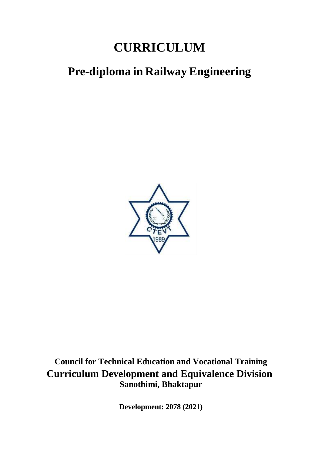# **CURRICULUM**

# **Pre-diploma in Railway Engineering**



## **Council for Technical Education and Vocational Training Curriculum Development and Equivalence Division Sanothimi, Bhaktapur**

**Development: 2078 (2021)**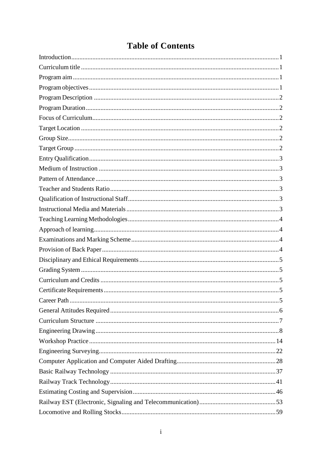## **Table of Contents**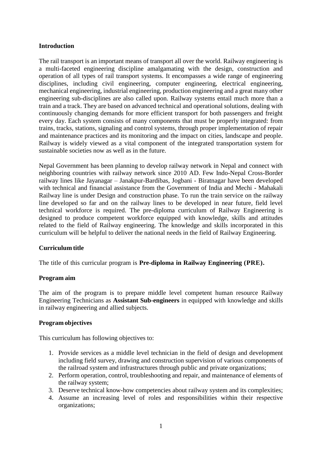### <span id="page-3-0"></span>**Introduction**

The rail transport is an important means of transport all over the world. Railway engineering is a multi-faceted engineering discipline amalgamating with the design, construction and operation of all types of rail transport systems. It encompasses a wide range of engineering disciplines, including civil engineering, computer engineering, electrical engineering, mechanical engineering, industrial engineering, production engineering and a great many other engineering sub-disciplines are also called upon. Railway systems entail much more than a train and a track. They are based on advanced technical and operational solutions, dealing with continuously changing demands for more efficient transport for both passengers and freight every day. Each system consists of many components that must be properly integrated: from trains, tracks, stations, signaling and control systems, through proper implementation of repair and maintenance practices and its monitoring and the impact on cities, landscape and people. Railway is widely viewed as a vital component of the integrated transportation system for sustainable societies now as well as in the future.

Nepal Government has been planning to develop railway network in Nepal and connect with neighboring countries with railway network since 2010 AD. Few Indo-Nepal Cross-Border railway lines like Jayanagar – Janakpur-Bardibas, Jogbani - Biratnagar have been developed with technical and financial assistance from the Government of India and Mechi - Mahakali Railway line is under Design and construction phase. To run the train service on the railway line developed so far and on the railway lines to be developed in near future, field level technical workforce is required. The pre-diploma curriculum of Railway Engineering is designed to produce competent workforce equipped with knowledge, skills and attitudes related to the field of Railway engineering. The knowledge and skills incorporated in this curriculum will be helpful to deliver the national needs in the field of Railway Engineering.

### <span id="page-3-1"></span>**Curriculum title**

The title of this curricular program is **Pre-diploma in Railway Engineering (PRE).**

#### <span id="page-3-2"></span>**Program aim**

The aim of the program is to prepare middle level competent human resource Railway Engineering Technicians as **Assistant Sub-engineers** in equipped with knowledge and skills in railway engineering and allied subjects.

#### <span id="page-3-3"></span>**Programobjectives**

This curriculum has following objectives to:

- 1. Provide services as a middle level technician in the field of design and development including field survey, drawing and construction supervision of various components of the railroad system and infrastructures through public and private organizations;
- 2. Perform operation, control, troubleshooting and repair, and maintenance of elements of the railway system;
- 3. Deserve technical know-how competencies about railway system and its complexities;
- 4. Assume an increasing level of roles and responsibilities within their respective organizations;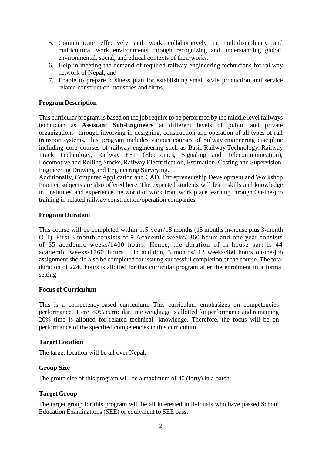- 5. Communicate effectively and work collaboratively in multidisciplinary and multicultural work environments through recognizing and understanding global, environmental, social, and ethical contexts of their works.
- 6. Help in meeting the demand of required railway engineering technicians for railway network of Nepal; and
- 7. Enable to prepare business plan for establishing small scale production and service related construction industries and firms.

### <span id="page-4-0"></span>**ProgramDescription**

This curricular program is based on the job require to be performed by the middle level railways technician as **Assistant Sub-Engineers** at different levels of public and private organizations through involving in designing, construction and operation of all types of rail transport systems. This program includes various courses of railway engineering discipline including core courses of railway engineering such as Basic Railway Technology, Railway Track Technology, Railway EST (Electronics, Signaling and Telecommunication), Locomotive and Rolling Stocks, Railway Electrification, Estimation, Costing and Supervision, Engineering Drawing and Engineering Surveying.

Additionally, Computer Application and CAD, Entrepreneurship Development and Workshop Practice subjects are also offered here. The expected students will learn skills and knowledge in institutes and experience the world of work from work place learning through On-the-job training in related railway construction/operation companies.

### <span id="page-4-1"></span>**Program Duration**

This course will be completed within 1.5 year/18 months (15 months in-house plus 3-month OJT). First 3 month consists of 9 Academic weeks/ 360 hours and one year consists of 35 academic weeks/1400 hours. Hence, the duration of in-house part is 44 academic weeks/1760 hours. In addition, 3 months/ 12 weeks/480 hours on-the-job assignment should also be completed for issuing successful completion of the course. The total duration of 2240 hours is allotted for this curricular program after the enrolment in a formal setting

#### <span id="page-4-2"></span>**Focus of Curriculum**

This is a competency-based curriculum. This curriculum emphasizes on competencies performance. Here 80% curricular time weightage is allotted for performance and remaining 20% time is allotted for related technical knowledge. Therefore, the focus will be on performance of the specified competencies in this curriculum.

#### <span id="page-4-3"></span>**Target Location**

The target location will be all over Nepal.

### <span id="page-4-4"></span>**Group Size**

The group size of this program will be a maximum of 40 (forty) in a batch.

### <span id="page-4-5"></span>**Target Group**

The target group for this program will be all interested individuals who have passed School Education Examinations (SEE) or equivalent to SEE pass.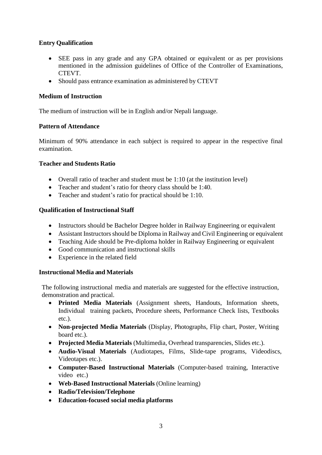### <span id="page-5-0"></span>**Entry Qualification**

- SEE pass in any grade and any GPA obtained or equivalent or as per provisions mentioned in the admission guidelines of Office of the Controller of Examinations, CTEVT.
- Should pass entrance examination as administered by CTEVT

### <span id="page-5-1"></span>**Medium of Instruction**

The medium of instruction will be in English and/or Nepali language.

### <span id="page-5-2"></span>**Pattern of Attendance**

Minimum of 90% attendance in each subject is required to appear in the respective final examination.

### <span id="page-5-3"></span>**Teacher and Students Ratio**

- Overall ratio of teacher and student must be 1:10 (at the institution level)
- Teacher and student's ratio for theory class should be 1:40.
- Teacher and student's ratio for practical should be 1:10.

### <span id="page-5-4"></span>**Qualification of Instructional Staff**

- Instructors should be Bachelor Degree holder in Railway Engineering or equivalent
- Assistant Instructors should be Diploma in Railway and Civil Engineering or equivalent
- Teaching Aide should be Pre-diploma holder in Railway Engineering or equivalent
- Good communication and instructional skills
- Experience in the related field

### <span id="page-5-5"></span>**Instructional Media and Materials**

The following instructional media and materials are suggested for the effective instruction, demonstration and practical.

- **Printed Media Materials** (Assignment sheets, Handouts, Information sheets, Individual training packets, Procedure sheets, Performance Check lists, Textbooks etc.).
- **Non-projected Media Materials** (Display, Photographs, Flip chart, Poster, Writing board etc.).
- **Projected Media Materials** (Multimedia, Overhead transparencies, Slides etc.).
- **Audio-Visual Materials** (Audiotapes, Films, Slide-tape programs, Videodiscs, Videotapes etc.).
- **Computer-Based Instructional Materials** (Computer-based training, Interactive video etc.)
- **Web-Based Instructional Materials** (Online learning)
- **Radio/Television/Telephone**
- **Education-focused social media platforms**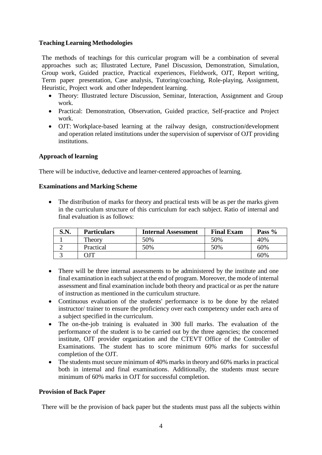### <span id="page-6-0"></span>**Teaching Learning Methodologies**

The methods of teachings for this curricular program will be a combination of several approaches such as; Illustrated Lecture, Panel Discussion, Demonstration, Simulation, Group work, Guided practice, Practical experiences, Fieldwork, OJT, Report writing, Term paper presentation, Case analysis, Tutoring/coaching, Role-playing, Assignment, Heuristic, Project work and other Independent learning.

- Theory: Illustrated lecture Discussion, Seminar, Interaction, Assignment and Group work.
- Practical: Demonstration, Observation, Guided practice, Self-practice and Project work.
- OJT: Workplace-based learning at the railway design, construction/development and operation related institutions under the supervision of supervisor of OJT providing institutions.

### <span id="page-6-1"></span>**Approach of learning**

There will be inductive, deductive and learner-centered approaches of learning.

### <span id="page-6-2"></span>**Examinations and Marking Scheme**

• The distribution of marks for theory and practical tests will be as per the marks given in the curriculum structure of this curriculum for each subject. Ratio of internal and final evaluation is as follows:

| S.N. | <b>Particulars</b> | <b>Internal Assessment</b> | <b>Final Exam</b> | Pass % |
|------|--------------------|----------------------------|-------------------|--------|
|      | Theory             | 50%                        | 50%               | 40%    |
|      | Practical          | 50%                        | 50%               | 60%    |
|      | OIT                |                            |                   | 60%    |

- There will be three internal assessments to be administered by the institute and one final examination in each subject at the end of program. Moreover, the mode of internal assessment and final examination include both theory and practical or as per the nature of instruction as mentioned in the curriculum structure.
- Continuous evaluation of the students' performance is to be done by the related instructor/ trainer to ensure the proficiency over each competency under each area of a subject specified in the curriculum.
- The on-the-job training is evaluated in 300 full marks. The evaluation of the performance of the student is to be carried out by the three agencies; the concerned institute, OJT provider organization and the CTEVT Office of the Controller of Examinations. The student has to score minimum 60% marks for successful completion of the OJT.
- The students must secure minimum of 40% marks in theory and 60% marks in practical both in internal and final examinations. Additionally, the students must secure minimum of 60% marks in OJT for successful completion.

#### <span id="page-6-3"></span>**Provision of Back Paper**

There will be the provision of back paper but the students must pass all the subjects within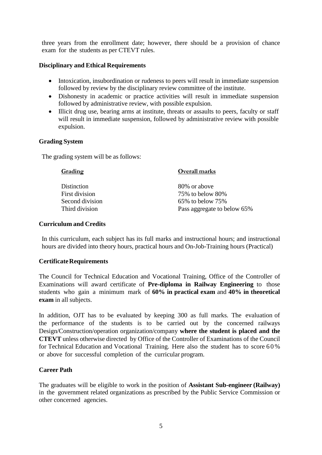three years from the enrollment date; however, there should be a provision of chance exam for the students as per CTEVT rules.

### <span id="page-7-0"></span>**Disciplinary and Ethical Requirements**

- Intoxication, insubordination or rudeness to peers will result in immediate suspension followed by review by the disciplinary review committee of the institute.
- Dishonesty in academic or practice activities will result in immediate suspension followed by administrative review, with possible expulsion.
- Illicit drug use, bearing arms at institute, threats or assaults to peers, faculty or staff will result in immediate suspension, followed by administrative review with possible expulsion.

### <span id="page-7-1"></span>**Grading System**

The grading system will be as follows:

| Grading         | Overall marks               |
|-----------------|-----------------------------|
| Distinction     | 80% or above                |
| First division  | 75% to below 80%            |
| Second division | $65\%$ to below $75\%$      |
| Third division  | Pass aggregate to below 65% |

### <span id="page-7-2"></span>**Curriculum and Credits**

In this curriculum, each subject has its full marks and instructional hours; and instructional hours are divided into theory hours, practical hours and On-Job-Training hours (Practical)

#### <span id="page-7-3"></span>**Certificate Requirements**

The Council for Technical Education and Vocational Training, Office of the Controller of Examinations will award certificate of **Pre-diploma in Railway Engineering** to those students who gain a minimum mark of **60% in practical exam** and **40% in theoretical exam** in all subjects.

In addition, OJT has to be evaluated by keeping 300 as full marks. The evaluation of the performance of the students is to be carried out by the concerned railways Design/Construction/operation organization/company **where the student is placed and the CTEVT** unless otherwise directed by Office of the Controller of Examinations of the Council for Technical Education and Vocational Training. Here also the student has to score  $60\%$ or above for successful completion of the curricular program.

### <span id="page-7-4"></span>**Career Path**

The graduates will be eligible to work in the position of **Assistant Sub-engineer (Railway)** in the government related organizations as prescribed by the Public Service Commission or other concerned agencies.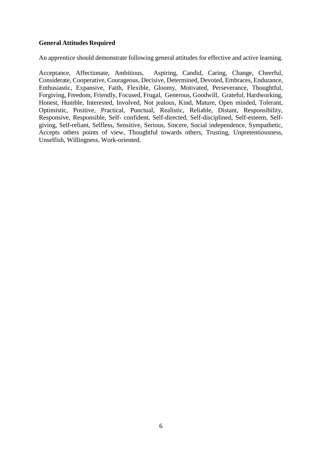### <span id="page-8-0"></span>**General Attitudes Required**

An apprentice should demonstrate following general attitudes for effective and active learning.

Acceptance, Affectionate, Ambitious, Aspiring, Candid, Caring, Change, Cheerful, Considerate, Cooperative, Courageous, Decisive, Determined, Devoted, Embraces, Endurance, Enthusiastic, Expansive, Faith, Flexible, Gloomy, Motivated, Perseverance, Thoughtful, Forgiving, Freedom, Friendly, Focused, Frugal, Generous, Goodwill, Grateful, Hardworking, Honest, Humble, Interested, Involved, Not jealous, Kind, Mature, Open minded, Tolerant, Optimistic, Positive, Practical, Punctual, Realistic, Reliable, Distant, Responsibility, Responsive, Responsible, Self- confident, Self-directed, Self-disciplined, Self-esteem, Selfgiving, Self-reliant, Selfless, Sensitive, Serious, Sincere, Social independence, Sympathetic, Accepts others points of view, Thoughtful towards others, Trusting, Unpretentiousness, Unselfish, Willingness, Work-oriented.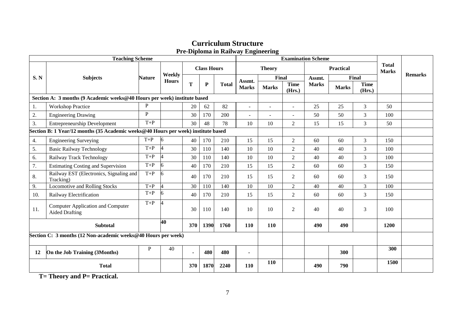### **Curriculum Structure Pre-Diploma in Railway Engineering**

| <b>Teaching Scheme</b> |                                                                                   |               |                        | <b>Examination Scheme</b> |                    |              |                |               |                       |                  |              |                       |                              |                |
|------------------------|-----------------------------------------------------------------------------------|---------------|------------------------|---------------------------|--------------------|--------------|----------------|---------------|-----------------------|------------------|--------------|-----------------------|------------------------------|----------------|
|                        |                                                                                   |               |                        |                           | <b>Class Hours</b> |              |                | <b>Theory</b> |                       | <b>Practical</b> |              |                       | <b>Total</b><br><b>Marks</b> |                |
| S. N                   | <b>Subjects</b>                                                                   | <b>Nature</b> | Weekly<br><b>Hours</b> |                           |                    |              | Assmt.         | Final         |                       | Assmt.           |              | Final                 |                              | <b>Remarks</b> |
|                        |                                                                                   |               |                        | T                         | ${\bf P}$          | <b>Total</b> | <b>Marks</b>   | <b>Marks</b>  | <b>Time</b><br>(Hrs.) | <b>Marks</b>     | <b>Marks</b> | <b>Time</b><br>(Hrs.) |                              |                |
|                        | Section A: 3 months (9 Academic weeks@40 Hours per week) institute based          |               |                        |                           |                    |              |                |               |                       |                  |              |                       |                              |                |
| 1.                     | <b>Workshop Practice</b>                                                          | P             |                        | 20                        | 62                 | 82           | $\blacksquare$ |               | $\sim$                | 25               | 25           | 3                     | 50                           |                |
| 2.                     | <b>Engineering Drawing</b>                                                        | P             |                        | 30                        | 170                | 200          |                | $\sim$        | $\sim$                | 50               | 50           | 3                     | 100                          |                |
| 3.                     | <b>Entrepreneurship Development</b>                                               | $T+P$         |                        | 30                        | 48                 | 78           | 10             | 10            | $\overline{2}$        | 15               | 15           | 3                     | 50                           |                |
|                        | Section B: 1 Year/12 months (35 Academic weeks@40 Hours per week) institute based |               |                        |                           |                    |              |                |               |                       |                  |              |                       |                              |                |
| $\overline{4}$ .       | <b>Engineering Surveying</b>                                                      | $T+P$         | 16                     | 40                        | 170                | 210          | 15             | 15            | $\overline{2}$        | 60               | 60           | 3                     | 150                          |                |
| 5.                     | <b>Basic Railway Technology</b>                                                   | $T+P$         | $\Delta$               | 30                        | 110                | 140          | 10             | 10            | $\overline{2}$        | 40               | 40           | 3                     | 100                          |                |
| 6.                     | Railway Track Technology                                                          | $T+P$         |                        | 30                        | 110                | 140          | 10             | 10            | $\overline{2}$        | 40               | 40           | 3                     | 100                          |                |
| 7.                     | <b>Estimating Costing and Supervision</b>                                         | $T+P$         | 6                      | 40                        | 170                | 210          | 15             | 15            | $\overline{2}$        | 60               | 60           | 3                     | 150                          |                |
| 8.                     | Railway EST (Electronics, Signaling and<br>Tracking)                              | $T+P$         |                        | 40                        | 170                | 210          | 15             | 15            | $\overline{2}$        | 60               | 60           | 3                     | 150                          |                |
| 9.                     | <b>Locomotive and Rolling Stocks</b>                                              | $T+P$         |                        | 30                        | 110                | 140          | 10             | 10            | $\overline{2}$        | 40               | 40           | 3                     | 100                          |                |
| 10.                    | Railway Electrification                                                           | $T+P$         | 6                      | 40                        | 170                | 210          | 15             | 15            | $\overline{2}$        | 60               | 60           | 3                     | 150                          |                |
| 11.                    | <b>Computer Application and Computer</b><br><b>Aided Drafting</b>                 | $T+P$         |                        | 30                        | 110                | 140          | 10             | 10            | 2                     | 40               | 40           | 3                     | 100                          |                |
|                        | <b>Subtotal</b>                                                                   |               | 40                     | 370                       | 1390               | 1760         | 110            | 110           |                       | 490              | 490          |                       | 1200                         |                |
|                        | Section C: 3 months (12 Non-academic weeks@40 Hours per week)                     |               |                        |                           |                    |              |                |               |                       |                  |              |                       |                              |                |
| 12                     | On the Job Training (3Months)                                                     | $\mathbf{P}$  | 40                     | $\blacksquare$            | 480                | 480          | $\blacksquare$ |               |                       |                  | 300          |                       | 300                          |                |
|                        | <b>Total</b>                                                                      |               |                        | 370                       | 1870               | 2240         | 110            | 110           |                       | 490              | 790          |                       | 1500                         |                |

<span id="page-9-0"></span>**T= Theory and P= Practical.**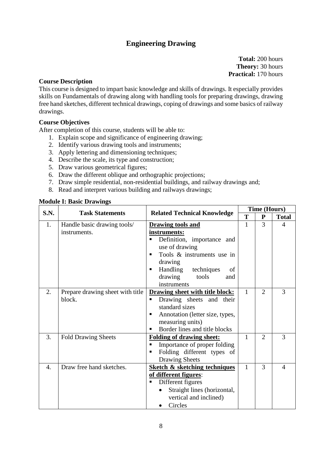### **Engineering Drawing**

**Total:** 200 hours **Theory:** 30 hours **Practical:** 170 hours

#### <span id="page-10-0"></span>**Course Description**

This course is designed to impart basic knowledge and skills of drawings. It especially provides skills on Fundamentals of drawing along with handling tools for preparing drawings, drawing free hand sketches, different technical drawings, coping of drawings and some basics of railway drawings.

### **Course Objectives**

After completion of this course, students will be able to:

- 1. Explain scope and significance of engineering drawing;
- 2. Identify various drawing tools and instruments;
- 3. Apply lettering and dimensioning techniques;
- 4. Describe the scale, its type and construction;
- 5. Draw various geometrical figures;
- 6. Draw the different oblique and orthographic projections;
- 7. Draw simple residential, non-residential buildings, and railway drawings and;
- 8. Read and interpret various building and railways drawings;

#### **Module I: Basic Drawings**

| <b>S.N.</b>      | <b>Task Statements</b>           |                                              | <b>Time (Hours)</b> |                |              |  |
|------------------|----------------------------------|----------------------------------------------|---------------------|----------------|--------------|--|
|                  |                                  | <b>Related Technical Knowledge</b>           | T                   | ${\bf P}$      | <b>Total</b> |  |
| 1.               | Handle basic drawing tools/      | <b>Drawing tools and</b>                     | $\mathbf{1}$        | 3              | 4            |  |
|                  | instruments.                     | instruments:                                 |                     |                |              |  |
|                  |                                  | Definition, importance and                   |                     |                |              |  |
|                  |                                  | use of drawing                               |                     |                |              |  |
|                  |                                  | Tools & instruments use in<br>$\blacksquare$ |                     |                |              |  |
|                  |                                  | drawing                                      |                     |                |              |  |
|                  |                                  | Handling<br>techniques<br>of<br>П            |                     |                |              |  |
|                  |                                  | drawing<br>tools<br>and                      |                     |                |              |  |
|                  |                                  | instruments                                  |                     |                |              |  |
| 2.               | Prepare drawing sheet with title | Drawing sheet with title block:              | $\mathbf{1}$        | $\overline{2}$ | 3            |  |
|                  | block.                           | Drawing sheets and their<br>п                |                     |                |              |  |
|                  |                                  | standard sizes                               |                     |                |              |  |
|                  |                                  | Annotation (letter size, types,<br>п         |                     |                |              |  |
|                  |                                  | measuring units)                             |                     |                |              |  |
|                  |                                  | Border lines and title blocks<br>П           |                     |                |              |  |
| 3.               | Fold Drawing Sheets              | <b>Folding of drawing sheet:</b>             | 1                   | $\overline{2}$ | 3            |  |
|                  |                                  | Importance of proper folding                 |                     |                |              |  |
|                  |                                  | Folding different types of<br>п              |                     |                |              |  |
|                  |                                  | <b>Drawing Sheets</b>                        |                     |                |              |  |
| $\overline{4}$ . | Draw free hand sketches.         | <b>Sketch &amp; sketching techniques</b>     | $\mathbf{1}$        | 3              | 4            |  |
|                  |                                  | of different figures:                        |                     |                |              |  |
|                  |                                  | Different figures<br>П                       |                     |                |              |  |
|                  |                                  | Straight lines (horizontal,                  |                     |                |              |  |
|                  |                                  | vertical and inclined)                       |                     |                |              |  |
|                  |                                  | Circles<br>$\bullet$                         |                     |                |              |  |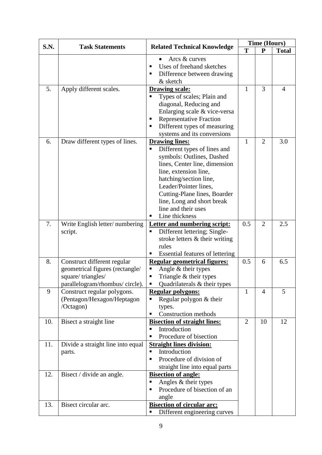| S.N. |                                                                                                                        |                                                                                                                                                                                                                                                                                                                  |                | <b>Time (Hours)</b> |                |
|------|------------------------------------------------------------------------------------------------------------------------|------------------------------------------------------------------------------------------------------------------------------------------------------------------------------------------------------------------------------------------------------------------------------------------------------------------|----------------|---------------------|----------------|
|      | <b>Task Statements</b>                                                                                                 | <b>Related Technical Knowledge</b>                                                                                                                                                                                                                                                                               | T              | ${\bf P}$           | <b>Total</b>   |
|      |                                                                                                                        | Arcs & curves<br>$\bullet$<br>Uses of freehand sketches<br>п<br>Difference between drawing<br>& sketch                                                                                                                                                                                                           |                |                     |                |
| 5.   | Apply different scales.                                                                                                | <b>Drawing scale:</b><br>Types of scales; Plain and<br>٠<br>diagonal, Reducing and<br>Enlarging scale & vice-versa<br><b>Representative Fraction</b><br>п<br>Different types of measuring<br>п<br>systems and its conversions                                                                                    | 1              | 3                   | $\overline{4}$ |
| 6.   | Draw different types of lines.                                                                                         | <b>Drawing lines:</b><br>Different types of lines and<br>П<br>symbols: Outlines, Dashed<br>lines, Center line, dimension<br>line, extension line,<br>hatching/section line,<br>Leader/Pointer lines,<br>Cutting-Plane lines, Boarder<br>line, Long and short break<br>line and their uses<br>Line thickness<br>٠ | $\mathbf{1}$   | $\overline{2}$      | 3.0            |
| 7.   | Write English letter/numbering<br>script.                                                                              | Letter and numbering script:<br>Different lettering; Single-<br>٠<br>stroke letters & their writing<br>rules<br>Essential features of lettering                                                                                                                                                                  | 0.5            | $\overline{2}$      | 2.5            |
| 8.   | Construct different regular<br>geometrical figures (rectangle/<br>square/triangles/<br>parallelogram/rhombus/ circle). | <b>Regular geometrical figures:</b><br>Angle & their types<br>Triangle $&$ their types<br>П<br>Quadrilaterals & their types<br>Е                                                                                                                                                                                 | 0.5            | 6                   | 6.5            |
| 9    | Construct regular polygons.<br>(Pentagon/Hexagon/Heptagon<br>/Octagon)                                                 | <b>Regular polygons:</b><br>Regular polygon & their<br>types.<br>Construction methods<br>П                                                                                                                                                                                                                       | $\mathbf{1}$   | $\overline{4}$      | 5              |
| 10.  | Bisect a straight line                                                                                                 | <b>Bisection of straight lines:</b><br>Introduction<br>$\blacksquare$<br>Procedure of bisection<br>п                                                                                                                                                                                                             | $\overline{2}$ | 10                  | 12             |
| 11.  | Divide a straight line into equal<br>parts.                                                                            | <b>Straight lines division:</b><br>Introduction<br>$\blacksquare$<br>Procedure of division of<br>п<br>straight line into equal parts                                                                                                                                                                             |                |                     |                |
| 12.  | Bisect / divide an angle.                                                                                              | <b>Bisection of angle:</b><br>Angles & their types<br>٠<br>Procedure of bisection of an<br>angle                                                                                                                                                                                                                 |                |                     |                |
| 13.  | Bisect circular arc.                                                                                                   | <b>Bisection of circular arc:</b><br>Different engineering curves                                                                                                                                                                                                                                                |                |                     |                |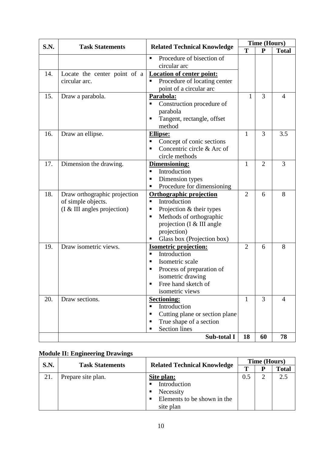| S.N. | <b>Task Statements</b>                              |                                                             | <b>Time (Hours)</b><br>T |                |                |  |
|------|-----------------------------------------------------|-------------------------------------------------------------|--------------------------|----------------|----------------|--|
|      | <b>Related Technical Knowledge</b>                  |                                                             |                          | ${\bf P}$      | <b>Total</b>   |  |
|      |                                                     | Procedure of bisection of<br>$\blacksquare$<br>circular arc |                          |                |                |  |
| 14.  | Locate the center point of a                        | <b>Location of center point:</b>                            |                          |                |                |  |
|      | circular arc.                                       | Procedure of locating center                                |                          |                |                |  |
|      |                                                     | point of a circular arc                                     |                          |                |                |  |
| 15.  | Draw a parabola.                                    | Parabola:                                                   | 1                        | 3              | 4              |  |
|      |                                                     | Construction procedure of<br>п                              |                          |                |                |  |
|      |                                                     | parabola                                                    |                          |                |                |  |
|      |                                                     | Tangent, rectangle, offset<br>п                             |                          |                |                |  |
|      |                                                     | method                                                      |                          |                |                |  |
| 16.  | Draw an ellipse.                                    | <b>Ellipse:</b>                                             | 1                        | 3              | 3.5            |  |
|      |                                                     | Concept of conic sections<br>п                              |                          |                |                |  |
|      |                                                     | Concentric circle & Arc of<br>п                             |                          |                |                |  |
|      |                                                     | circle methods                                              |                          |                |                |  |
| 17.  | Dimension the drawing.                              | Dimensioning:                                               | $\mathbf{1}$             | $\overline{2}$ | 3              |  |
|      |                                                     | Introduction<br>$\blacksquare$                              |                          |                |                |  |
|      |                                                     | Dimension types<br>п                                        |                          |                |                |  |
|      |                                                     | Procedure for dimensioning<br>٠                             |                          |                |                |  |
| 18.  | Draw orthographic projection                        | <b>Orthographic projection</b><br>Introduction<br>п         | $\overline{2}$           | 6              | 8              |  |
|      | of simple objects.<br>$(I & III$ angles projection) | Projection & their types<br>п                               |                          |                |                |  |
|      |                                                     | Methods of orthographic<br>п                                |                          |                |                |  |
|      |                                                     | projection ( $I \& III$ angle                               |                          |                |                |  |
|      |                                                     | projection)                                                 |                          |                |                |  |
|      |                                                     | Glass box (Projection box)                                  |                          |                |                |  |
| 19.  | Draw isometric views.                               | <b>Isometric projection:</b>                                | $\overline{2}$           | 6              | 8              |  |
|      |                                                     | Introduction<br>$\blacksquare$                              |                          |                |                |  |
|      |                                                     | Isometric scale<br>п                                        |                          |                |                |  |
|      |                                                     | Process of preparation of                                   |                          |                |                |  |
|      |                                                     | isometric drawing                                           |                          |                |                |  |
|      |                                                     | Free hand sketch of<br>٠                                    |                          |                |                |  |
|      |                                                     | isometric views                                             |                          |                |                |  |
| 20.  | Draw sections.                                      | <b>Sectioning:</b>                                          | $\mathbf{1}$             | 3              | $\overline{4}$ |  |
|      |                                                     | Introduction<br>$\blacksquare$                              |                          |                |                |  |
|      |                                                     | Cutting plane or section plane<br>п                         |                          |                |                |  |
|      |                                                     | True shape of a section<br>п                                |                          |                |                |  |
|      |                                                     | <b>Section lines</b><br>п                                   |                          |                |                |  |
|      |                                                     | Sub-total I                                                 | 18                       | 60             | 78             |  |

### **Module II: Engineering Drawings**

| <b>S.N.</b> | <b>Task Statements</b> | <b>Related Technical Knowledge</b> | <b>Time (Hours)</b> |   |              |  |  |
|-------------|------------------------|------------------------------------|---------------------|---|--------------|--|--|
|             |                        |                                    | т                   | D | <b>Total</b> |  |  |
| 21.         | Prepare site plan.     | Site plan:                         | 0.5                 |   | 2.5          |  |  |
|             |                        | Introduction                       |                     |   |              |  |  |
|             |                        | Necessity<br>п                     |                     |   |              |  |  |
|             |                        | Elements to be shown in the<br>п   |                     |   |              |  |  |
|             |                        | site plan                          |                     |   |              |  |  |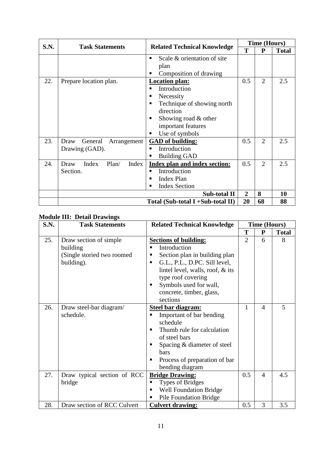| S.N. | <b>Task Statements</b>          |                                               | <b>Time (Hours)</b> |                |              |
|------|---------------------------------|-----------------------------------------------|---------------------|----------------|--------------|
|      |                                 | <b>Related Technical Knowledge</b>            | Т                   | ${\bf P}$      | <b>Total</b> |
|      |                                 | Scale & orientation of site<br>$\blacksquare$ |                     |                |              |
|      |                                 | plan                                          |                     |                |              |
|      |                                 | Composition of drawing                        |                     |                |              |
| 22.  | Prepare location plan.          | <b>Location plan:</b>                         | 0.5                 | $\overline{2}$ | 2.5          |
|      |                                 | Introduction<br>п                             |                     |                |              |
|      |                                 | Necessity<br>п                                |                     |                |              |
|      |                                 | Technique of showing north<br>п               |                     |                |              |
|      |                                 | direction                                     |                     |                |              |
|      |                                 | Showing road $&$ other<br>п                   |                     |                |              |
|      |                                 | important features                            |                     |                |              |
|      |                                 | Use of symbols<br>п                           |                     |                |              |
| 23.  | General<br>Draw<br>Arrangement  | <b>GAD</b> of building:                       | 0.5                 | $\overline{2}$ | 2.5          |
|      | Drawing (GAD).                  | Introduction                                  |                     |                |              |
|      |                                 | <b>Building GAD</b><br>Е                      |                     |                |              |
| 24.  | Index<br>Plan/<br>Index<br>Draw | Index plan and index section:                 | 0.5                 | $\overline{2}$ | 2.5          |
|      | Section.                        | Introduction<br>п                             |                     |                |              |
|      |                                 | <b>Index Plan</b><br>п                        |                     |                |              |
|      |                                 | <b>Index Section</b><br>п                     |                     |                |              |
|      |                                 | Sub-total II                                  | $\overline{2}$      | 8              | 10           |
|      |                                 | Total (Sub-total I + Sub-total II)            | 20                  | 68             | 88           |

### **Module III: Detail Drawings**

| S.N. | <b>Task Statements</b>                                                         | <b>Related Technical Knowledge</b>                                                                                                                                                                                                         |                | <b>Time (Hours)</b> |              |
|------|--------------------------------------------------------------------------------|--------------------------------------------------------------------------------------------------------------------------------------------------------------------------------------------------------------------------------------------|----------------|---------------------|--------------|
|      |                                                                                |                                                                                                                                                                                                                                            | T              | ${\bf P}$           | <b>Total</b> |
| 25.  | Draw section of simple<br>building<br>(Single storied two roomed<br>building). | <b>Sections of building:</b><br>Introduction<br>Section plan in building plan<br>G.L., P.L., D.PC. Sill level,<br>lintel level, walls, roof, & its<br>type roof covering<br>Symbols used for wall,<br>concrete, timber, glass,<br>sections | $\overline{2}$ | 6                   | 8            |
| 26.  | Draw steel-bar diagram/<br>schedule.                                           | <b>Steel bar diagram:</b><br>Important of bar bending<br>schedule<br>Thumb rule for calculation<br>of steel bars<br>Spacing & diameter of steel<br>bars<br>Process of preparation of bar<br>bending diagram                                | 1              | $\overline{4}$      | 5            |
| 27.  | Draw typical section of RCC<br>bridge                                          | <b>Bridge Drawing:</b><br><b>Types of Bridges</b><br><b>Well Foundation Bridge</b><br><b>Pile Foundation Bridge</b>                                                                                                                        | 0.5            | $\overline{4}$      | 4.5          |
| 28.  | Draw section of RCC Culvert                                                    | <b>Culvert drawing:</b>                                                                                                                                                                                                                    | 0.5            | 3                   | 3.5          |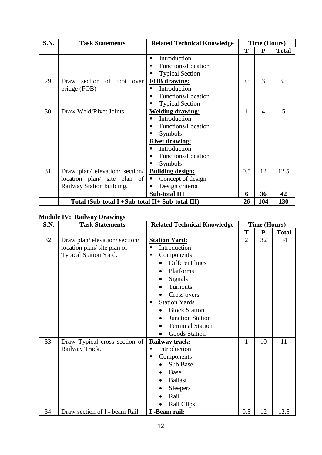| S.N. | <b>Task Statements</b>                          | <b>Related Technical Knowledge</b> |     | Time (Hours)   |              |
|------|-------------------------------------------------|------------------------------------|-----|----------------|--------------|
|      |                                                 |                                    | T   | ${\bf P}$      | <b>Total</b> |
|      |                                                 | Introduction<br>п                  |     |                |              |
|      |                                                 | Functions/Location<br>п            |     |                |              |
|      |                                                 | <b>Typical Section</b><br>п        |     |                |              |
| 29.  | section<br>of foot over<br>Draw                 | <b>FOB</b> drawing:                | 0.5 | 3              | 3.5          |
|      | bridge (FOB)                                    | Introduction<br>▪                  |     |                |              |
|      |                                                 | Functions/Location<br>п            |     |                |              |
|      |                                                 | <b>Typical Section</b><br>п        |     |                |              |
| 30.  | Draw Weld/Rivet Joints                          | <b>Welding drawing:</b>            | 1   | $\overline{4}$ | 5            |
|      |                                                 | Introduction<br>▪                  |     |                |              |
|      |                                                 | Functions/Location<br>п            |     |                |              |
|      |                                                 | Symbols<br>п                       |     |                |              |
|      |                                                 | <b>Rivet drawing:</b>              |     |                |              |
|      |                                                 | Introduction                       |     |                |              |
|      |                                                 | Functions/Location<br>п            |     |                |              |
|      |                                                 | Symbols<br>■                       |     |                |              |
| 31.  | Draw plan/ elevation/ section/                  | <b>Building design:</b>            | 0.5 | 12             | 12.5         |
|      | location plan/ site plan of                     | Concept of design<br>Е             |     |                |              |
|      | Railway Station building.                       | Design criteria<br>п               |     |                |              |
|      |                                                 | <b>Sub-total III</b>               | 6   | 36             | 42           |
|      | Total (Sub-total I+Sub-total II+ Sub-total III) |                                    | 26  | 104            | 130          |

### **Module IV: Railway Drawings**

| <b>S.N.</b> | <b>Task Statements</b>        | <b>Related Technical Knowledge</b>   | <b>Time (Hours)</b> |           |              |
|-------------|-------------------------------|--------------------------------------|---------------------|-----------|--------------|
|             |                               |                                      | T                   | ${\bf P}$ | <b>Total</b> |
| 32.         | Draw plan/elevation/section/  | <b>Station Yard:</b>                 | $\overline{2}$      | 32        | 34           |
|             | location plan/ site plan of   | Introduction<br>п                    |                     |           |              |
|             | Typical Station Yard.         | Components<br>п                      |                     |           |              |
|             |                               | Different lines                      |                     |           |              |
|             |                               | Platforms<br>$\bullet$               |                     |           |              |
|             |                               | <b>Signals</b>                       |                     |           |              |
|             |                               | Turnouts                             |                     |           |              |
|             |                               | Cross overs                          |                     |           |              |
|             |                               | <b>Station Yards</b><br>п            |                     |           |              |
|             |                               | <b>Block Station</b>                 |                     |           |              |
|             |                               | <b>Junction Station</b><br>$\bullet$ |                     |           |              |
|             |                               | <b>Terminal Station</b>              |                     |           |              |
|             |                               | Goods Station                        |                     |           |              |
| 33.         | Draw Typical cross section of | Railway track:                       | 1                   | 10        | 11           |
|             | Railway Track.                | Introduction<br>п                    |                     |           |              |
|             |                               | Components<br>п                      |                     |           |              |
|             |                               | <b>Sub Base</b>                      |                     |           |              |
|             |                               | Base                                 |                     |           |              |
|             |                               | <b>Ballast</b>                       |                     |           |              |
|             |                               | <b>Sleepers</b>                      |                     |           |              |
|             |                               | Rail                                 |                     |           |              |
|             |                               | Rail Clips                           |                     |           |              |
| 34.         | Draw section of I - beam Rail | I -Beam rail:                        | 0.5                 | 12        | 12.5         |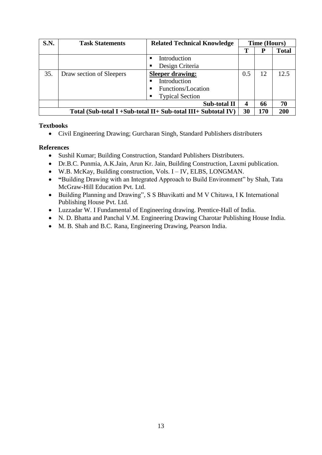| <b>S.N.</b> | <b>Task Statements</b>   | <b>Related Technical Knowledge</b>                               | <b>Time (Hours)</b> |     |              |
|-------------|--------------------------|------------------------------------------------------------------|---------------------|-----|--------------|
|             |                          |                                                                  | Т                   | Р   | <b>Total</b> |
|             |                          | Introduction                                                     |                     |     |              |
|             |                          | Design Criteria<br>п                                             |                     |     |              |
| 35.         | Draw section of Sleepers | <b>Sleeper drawing:</b>                                          | 0.5                 | 12  | 12.5         |
|             |                          | Introduction                                                     |                     |     |              |
|             |                          | Functions/Location                                               |                     |     |              |
|             |                          | <b>Typical Section</b><br>п                                      |                     |     |              |
|             |                          | <b>Sub-total II</b>                                              | 4                   | 66  | 70           |
|             |                          | Total (Sub-total I + Sub-total II + Sub-total III + Subtotal IV) | 30                  | 170 | 200          |

### **Textbooks**

• Civil Engineering Drawing; Gurcharan Singh, Standard Publishers distributers

#### **References**

- Sushil Kumar; Building Construction, Standard Publishers Distributers.
- Dr.B.C. Punmia, A.K.Jain, Arun Kr. Jain, Building Construction, Laxmi publication.
- W.B. McKay, Building construction, Vols. I IV, ELBS, LONGMAN.
- **"**Building Drawing with an Integrated Approach to Build Environment" by Shah, Tata McGraw-Hill Education Pvt. Ltd.
- Building Planning and Drawing", S S Bhavikatti and M V Chitawa, I K International Publishing House Pvt. Ltd.
- Luzzadar W. I Fundamental of Engineering drawing. Prentice-Hall of India.
- N. D. Bhatta and Panchal V.M. Engineering Drawing Charotar Publishing House India.
- M. B. Shah and B.C. Rana, Engineering Drawing, Pearson India.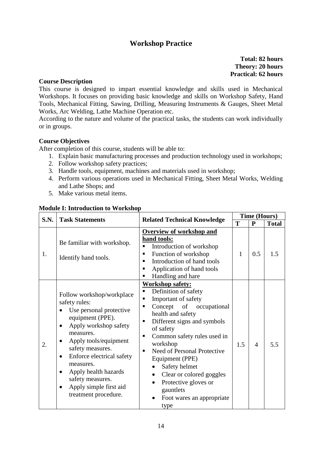### **Workshop Practice**

**Total: 82 hours Theory: 20 hours Practical: 62 hours**

### <span id="page-16-0"></span>**Course Description**

This course is designed to impart essential knowledge and skills used in Mechanical Workshops. It focuses on providing basic knowledge and skills on Workshop Safety, Hand Tools, Mechanical Fitting, Sawing, Drilling, Measuring Instruments & Gauges, Sheet Metal Works, Arc Welding, Lathe Machine Operation etc.

According to the nature and volume of the practical tasks, the students can work individually or in groups.

### **Course Objectives**

After completion of this course, students will be able to:

- 1. Explain basic manufacturing processes and production technology used in workshops;
- 2. Follow workshop safety practices;
- 3. Handle tools, equipment, machines and materials used in workshop;
- 4. Perform various operations used in Mechanical Fitting, Sheet Metal Works, Welding and Lathe Shops; and
- 5. Make various metal items.

#### **Module I: Introduction to Workshop**

| <b>S.N.</b> | <b>Task Statements</b>                                                                                                                                                                                                                                                                                                                                           |                                                                                                                                                                                                                                                                                                                                                                                                                                                        |     | <b>Time (Hours)</b> |              |
|-------------|------------------------------------------------------------------------------------------------------------------------------------------------------------------------------------------------------------------------------------------------------------------------------------------------------------------------------------------------------------------|--------------------------------------------------------------------------------------------------------------------------------------------------------------------------------------------------------------------------------------------------------------------------------------------------------------------------------------------------------------------------------------------------------------------------------------------------------|-----|---------------------|--------------|
|             |                                                                                                                                                                                                                                                                                                                                                                  | <b>Related Technical Knowledge</b>                                                                                                                                                                                                                                                                                                                                                                                                                     | T   | $\mathbf{P}$        | <b>Total</b> |
| 1.          | Be familiar with workshop.<br>Identify hand tools.                                                                                                                                                                                                                                                                                                               | <b>Overview of workshop and</b><br>hand tools:<br>Introduction of workshop<br>Function of workshop<br>п<br>Introduction of hand tools<br>٠<br>Application of hand tools<br>п<br>Handling and hare<br>п                                                                                                                                                                                                                                                 | 1   | 0.5                 | 1.5          |
| 2.          | Follow workshop/workplace<br>safety rules:<br>Use personal protective<br>equipment (PPE).<br>Apply workshop safety<br>$\bullet$<br>measures.<br>Apply tools/equipment<br>safety measures.<br>Enforce electrical safety<br>$\bullet$<br>measures.<br>Apply health hazards<br>$\bullet$<br>safety measures.<br>Apply simple first aid<br>٠<br>treatment procedure. | <b>Workshop safety:</b><br>Definition of safety<br>п<br>Important of safety<br>Concept of occupational<br>٠<br>health and safety<br>Different signs and symbols<br>п<br>of safety<br>Common safety rules used in<br>٠<br>workshop<br>Need of Personal Protective<br>٠<br>Equipment (PPE)<br>Safety helmet<br>$\bullet$<br>Clear or colored goggles<br>$\bullet$<br>Protective gloves or<br>$\bullet$<br>gauntlets<br>Foot wares an appropriate<br>type | 1.5 | 4                   | 5.5          |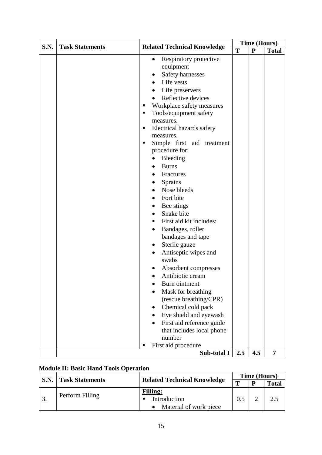| S.N. | <b>Task Statements</b> |                                                                                                                                                                                                                                                                                                                                                                                                                                                                                                                                                                                                                                                                                                                                                                                                                           | <b>Time (Hours)</b> |              |              |  |
|------|------------------------|---------------------------------------------------------------------------------------------------------------------------------------------------------------------------------------------------------------------------------------------------------------------------------------------------------------------------------------------------------------------------------------------------------------------------------------------------------------------------------------------------------------------------------------------------------------------------------------------------------------------------------------------------------------------------------------------------------------------------------------------------------------------------------------------------------------------------|---------------------|--------------|--------------|--|
|      |                        | <b>Related Technical Knowledge</b>                                                                                                                                                                                                                                                                                                                                                                                                                                                                                                                                                                                                                                                                                                                                                                                        |                     | $\mathbf{P}$ | <b>Total</b> |  |
|      |                        | Respiratory protective<br>$\bullet$<br>equipment<br>Safety harnesses<br>Life vests<br>Life preservers<br>Reflective devices<br>$\bullet$<br>Workplace safety measures<br>п<br>Tools/equipment safety<br>٠<br>measures.<br>Electrical hazards safety<br>٠<br>measures.<br>Simple first aid treatment<br>п<br>procedure for:<br>Bleeding<br><b>Burns</b><br>Fractures<br>Sprains<br>Nose bleeds<br>Fort bite<br>Bee stings<br>Snake bite<br>First aid kit includes:<br>Bandages, roller<br>bandages and tape<br>Sterile gauze<br>Antiseptic wipes and<br>swabs<br>Absorbent compresses<br>Antibiotic cream<br>Burn ointment<br>Mask for breathing<br>(rescue breathing/CPR)<br>Chemical cold pack<br>Eye shield and eyewash<br>First aid reference guide<br>that includes local phone<br>number<br>First aid procedure<br>■ | T                   |              |              |  |
|      |                        | Sub-total I                                                                                                                                                                                                                                                                                                                                                                                                                                                                                                                                                                                                                                                                                                                                                                                                               | 2.5                 | 4.5          | 7            |  |

### **Module II: Basic Hand Tools Operation**

| <b>S.N.</b> | <b>Task Statements</b> | <b>Related Technical Knowledge</b><br>m                                     |  | Time (Hours) |              |  |  |
|-------------|------------------------|-----------------------------------------------------------------------------|--|--------------|--------------|--|--|
|             |                        |                                                                             |  |              | <b>Total</b> |  |  |
|             | Perform Filling        | <b>Filling:</b><br>Introduction<br>$\blacksquare$<br>Material of work piece |  |              | 2.5          |  |  |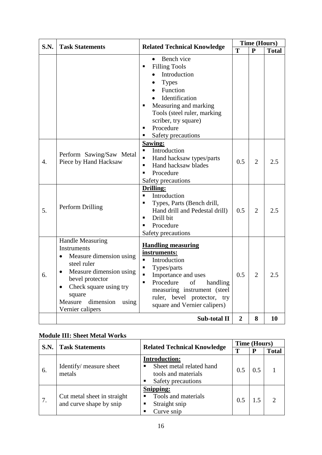| S.N.     | <b>Task Statements</b>                                                                                                                                                                                                  | <b>Related Technical Knowledge</b>                                                                                                                                                                                                                                                                 | <b>Time (Hours)</b> |                                  |              |
|----------|-------------------------------------------------------------------------------------------------------------------------------------------------------------------------------------------------------------------------|----------------------------------------------------------------------------------------------------------------------------------------------------------------------------------------------------------------------------------------------------------------------------------------------------|---------------------|----------------------------------|--------------|
|          |                                                                                                                                                                                                                         |                                                                                                                                                                                                                                                                                                    | T                   | ${\bf P}$                        | <b>Total</b> |
|          |                                                                                                                                                                                                                         | Bench vice<br>$\bullet$<br><b>Filling Tools</b><br>п<br>Introduction<br><b>Types</b><br>Function<br>Identification<br>Measuring and marking<br>Tools (steel ruler, marking<br>scriber, try square)<br>Procedure<br>п                                                                               |                     |                                  |              |
| 4.<br>5. | Perform Sawing/Saw Metal<br>Piece by Hand Hacksaw<br>Perform Drilling                                                                                                                                                   | Safety precautions<br>Sawing:<br>Introduction<br>$\blacksquare$<br>Hand hacksaw types/parts<br>$\blacksquare$<br>Hand hacksaw blades<br>Procedure<br>Safety precautions<br><b>Drilling:</b><br>Introduction<br>٠<br>Types, Parts (Bench drill,<br>Hand drill and Pedestal drill)<br>Drill bit<br>п | 0.5<br>0.5          | $\overline{2}$<br>$\overline{2}$ | 2.5<br>2.5   |
|          |                                                                                                                                                                                                                         | Procedure<br>п<br>Safety precautions                                                                                                                                                                                                                                                               |                     |                                  |              |
| 6.       | <b>Handle Measuring</b><br>Instruments<br>Measure dimension using<br>steel ruler<br>Measure dimension using<br>bevel protector<br>Check square using try<br>square<br>Measure<br>dimension<br>using<br>Vernier calipers | <b>Handling measuring</b><br>instruments:<br>Introduction<br>$\blacksquare$<br>Types/parts<br>п<br>$\blacksquare$<br>Importance and uses<br>Procedure<br>handling<br>of<br>measuring instrument (steel<br>ruler, bevel protector, try<br>square and Vernier calipers)                              | 0.5                 | $\overline{2}$                   | 2.5          |
|          |                                                                                                                                                                                                                         | Sub-total II                                                                                                                                                                                                                                                                                       | $\boldsymbol{2}$    | 8                                | 10           |

### **Module III: Sheet Metal Works**

| S.N. | <b>Task Statements</b>            | <b>Related Technical Knowledge</b> |     | <b>Time (Hours)</b> |              |  |
|------|-----------------------------------|------------------------------------|-----|---------------------|--------------|--|
|      |                                   |                                    |     | P                   | <b>Total</b> |  |
|      | Identify/ measure sheet<br>metals | <b>Introduction:</b>               |     |                     |              |  |
|      |                                   | Sheet metal related hand           | 0.5 | 0.5                 |              |  |
| 6.   |                                   | tools and materials                |     |                     |              |  |
|      |                                   | Safety precautions<br>٠            |     |                     |              |  |
|      | Cut metal sheet in straight       | <b>Snipping:</b>                   |     |                     |              |  |
| 7.   |                                   | Tools and materials                | 0.5 | 1.5                 | $\bigcirc$   |  |
|      | and curve shape by snip           | Straight snip                      |     |                     |              |  |
|      |                                   | Curve snip                         |     |                     |              |  |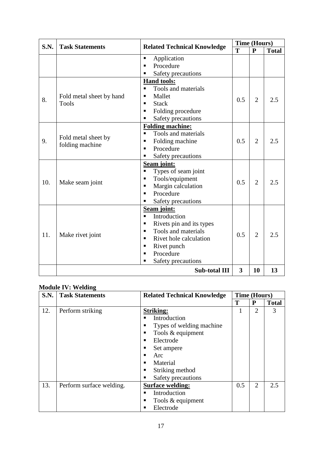| S.N. | <b>Task Statements</b>                 | <b>Related Technical Knowledge</b>    | <b>Time (Hours)</b> |                |              |
|------|----------------------------------------|---------------------------------------|---------------------|----------------|--------------|
|      |                                        |                                       | T                   | $\mathbf{P}$   | <b>Total</b> |
|      |                                        | Application<br>٠                      |                     |                |              |
|      |                                        | Procedure<br>٠                        |                     |                |              |
|      |                                        | Safety precautions<br>٠               |                     |                |              |
|      |                                        | <b>Hand tools:</b>                    |                     |                |              |
|      |                                        | Tools and materials<br>$\blacksquare$ |                     |                |              |
| 8.   | Fold metal sheet by hand               | Mallet<br>٠                           | 0.5                 | $\overline{2}$ | 2.5          |
|      | <b>Tools</b>                           | <b>Stack</b><br>٠                     |                     |                |              |
|      |                                        | Folding procedure<br>٠                |                     |                |              |
|      |                                        | Safety precautions                    |                     |                |              |
|      |                                        | <b>Folding machine:</b>               |                     |                |              |
|      | Fold metal sheet by<br>folding machine | Tools and materials<br>$\blacksquare$ |                     |                |              |
| 9.   |                                        | Folding machine<br>Ξ                  | 0.5                 | $\overline{2}$ | 2.5          |
|      |                                        | Procedure<br>٠                        |                     |                |              |
|      |                                        | Safety precautions<br>$\blacksquare$  |                     |                |              |
|      |                                        | <b>Seam joint:</b>                    |                     |                |              |
|      |                                        | Types of seam joint<br>٠              |                     |                |              |
| 10.  | Make seam joint                        | Tools/equipment<br>٠                  | 0.5                 | $\overline{2}$ | 2.5          |
|      |                                        | Margin calculation<br>П               |                     |                |              |
|      |                                        | Procedure<br>$\blacksquare$           |                     |                |              |
|      |                                        | Safety precautions                    |                     |                |              |
|      |                                        | Seam joint:                           |                     |                |              |
|      |                                        | Introduction<br>$\blacksquare$        |                     |                |              |
|      |                                        | Rivets pin and its types<br>٠         |                     |                |              |
| 11.  |                                        | Tools and materials<br>٠              | 0.5                 | $\overline{2}$ | 2.5          |
|      | Make rivet joint                       | Rivet hole calculation                |                     |                |              |
|      |                                        | Rivet punch<br>٠                      |                     |                |              |
|      |                                        | Procedure<br>٠                        |                     |                |              |
|      |                                        | Safety precautions<br>٠               |                     |                |              |
|      |                                        | <b>Sub-total III</b>                  | 3                   | 10             | 13           |

### **Module IV: Welding**

| <b>S.N.</b> | <b>Task Statements</b>   | <b>Related Technical Knowledge</b> |     | <b>Time (Hours)</b> |              |
|-------------|--------------------------|------------------------------------|-----|---------------------|--------------|
|             |                          |                                    | Т   | P                   | <b>Total</b> |
| 12.         | Perform striking         | <b>Striking:</b>                   |     | $\overline{2}$      | 3            |
|             |                          | Introduction                       |     |                     |              |
|             |                          | Types of welding machine<br>٠      |     |                     |              |
|             |                          | Tools & equipment<br>٠             |     |                     |              |
|             |                          | Electrode                          |     |                     |              |
|             |                          | Set ampere                         |     |                     |              |
|             |                          | Arc<br>٠                           |     |                     |              |
|             |                          | Material                           |     |                     |              |
|             |                          | Striking method                    |     |                     |              |
|             |                          | Safety precautions<br>٠            |     |                     |              |
| 13.         | Perform surface welding. | <b>Surface welding:</b>            | 0.5 | $\overline{2}$      | 2.5          |
|             |                          | Introduction                       |     |                     |              |
|             |                          | Tools & equipment                  |     |                     |              |
|             |                          | Electrode                          |     |                     |              |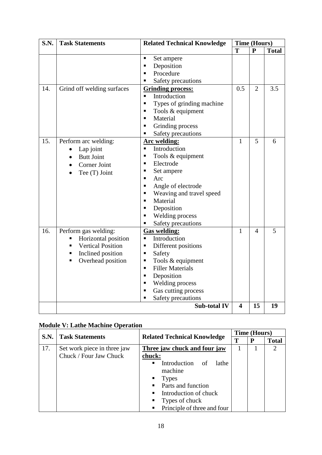| S.N. | <b>Task Statements</b>                                                                                                                   | <b>Related Technical Knowledge</b>                                                                                                                                                                                                                                                                                      |                         | <b>Time (Hours)</b> |              |  |
|------|------------------------------------------------------------------------------------------------------------------------------------------|-------------------------------------------------------------------------------------------------------------------------------------------------------------------------------------------------------------------------------------------------------------------------------------------------------------------------|-------------------------|---------------------|--------------|--|
|      |                                                                                                                                          |                                                                                                                                                                                                                                                                                                                         | T                       | ${\bf P}$           | <b>Total</b> |  |
|      |                                                                                                                                          | $\blacksquare$<br>Set ampere<br>Deposition<br>П<br>Procedure<br>п                                                                                                                                                                                                                                                       |                         |                     |              |  |
|      |                                                                                                                                          | Safety precautions<br>п                                                                                                                                                                                                                                                                                                 |                         |                     |              |  |
| 14.  | Grind off welding surfaces                                                                                                               | <b>Grinding process:</b><br>Introduction<br>$\blacksquare$<br>Types of grinding machine<br>٠<br>Tools & equipment<br>٠<br>Material<br>$\blacksquare$<br>Grinding process<br>٠<br>Safety precautions<br>٠                                                                                                                | 0.5                     | $\overline{2}$      | 3.5          |  |
| 15.  | Perform arc welding:<br>Lap joint<br><b>Butt Joint</b><br>Corner Joint<br>Tee (T) Joint                                                  | <b>Arc welding:</b><br>Introduction<br>$\blacksquare$<br>Tools & equipment<br>٠<br>Electrode<br>٠<br>Set ampere<br>$\blacksquare$<br>Arc<br>٠<br>Angle of electrode<br>п<br>Weaving and travel speed<br>п<br>Material<br>$\blacksquare$<br>Deposition<br>п<br>Welding process<br>٠<br>Safety precautions<br>Ξ           | 1                       | 5                   | 6            |  |
| 16.  | Perform gas welding:<br>Horizontal position<br><b>Vertical Position</b><br>Inclined position<br>٠<br>Overhead position<br>$\blacksquare$ | <b>Gas welding:</b><br>Introduction<br>٠<br>Different positions<br>٠<br>Safety<br>$\blacksquare$<br>Tools & equipment<br>$\blacksquare$<br><b>Filler Materials</b><br>$\blacksquare$<br>Deposition<br>$\blacksquare$<br><b>Welding process</b><br>$\blacksquare$<br>Gas cutting process<br>٠<br>Safety precautions<br>٠ | $\mathbf{1}$            | $\overline{4}$      | 5            |  |
|      |                                                                                                                                          | <b>Sub-total IV</b>                                                                                                                                                                                                                                                                                                     | $\overline{\mathbf{4}}$ | 15                  | 19           |  |

|  | <b>Module V: Lathe Machine Operation</b> |  |
|--|------------------------------------------|--|
|  |                                          |  |

|             |                                                       |                                                                                                                                                                                                                                      |  | <b>Time (Hours)</b> |              |
|-------------|-------------------------------------------------------|--------------------------------------------------------------------------------------------------------------------------------------------------------------------------------------------------------------------------------------|--|---------------------|--------------|
| <b>S.N.</b> | <b>Task Statements</b>                                | <b>Related Technical Knowledge</b>                                                                                                                                                                                                   |  | P                   | <b>Total</b> |
| 17.         | Set work piece in three jaw<br>Chuck / Four Jaw Chuck | Three jaw chuck and four jaw<br>chuck:<br>Introduction of<br>lathe<br>$\blacksquare$<br>machine<br><b>Types</b><br>٠<br>Parts and function<br>Introduction of chuck<br>$\mathbf{E}$<br>Types of chuck<br>Principle of three and four |  |                     |              |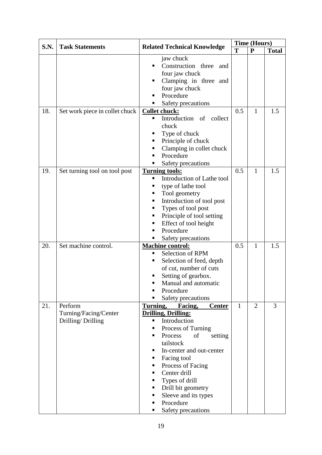| S.N. | <b>Task Statements</b>                                |                                                                                                                                                                                                                                                                                                                                                | <b>Time (Hours)</b> |                |              |
|------|-------------------------------------------------------|------------------------------------------------------------------------------------------------------------------------------------------------------------------------------------------------------------------------------------------------------------------------------------------------------------------------------------------------|---------------------|----------------|--------------|
|      |                                                       | <b>Related Technical Knowledge</b>                                                                                                                                                                                                                                                                                                             | T                   | ${\bf P}$      | <b>Total</b> |
|      |                                                       | jaw chuck<br>Construction three<br>and<br>four jaw chuck<br>Clamping in three and<br>four jaw chuck<br>Procedure<br>Safety precautions<br>٠                                                                                                                                                                                                    |                     |                |              |
| 18.  | Set work piece in collet chuck                        | <b>Collet chuck:</b><br>Introduction of collect<br>٠<br>chuck<br>Type of chuck<br>Principle of chuck<br>Clamping in collet chuck<br>Procedure<br>Safety precautions                                                                                                                                                                            | 0.5                 | $\mathbf{1}$   | 1.5          |
| 19.  | Set turning tool on tool post                         | <b>Turning tools:</b><br>Introduction of Lathe tool<br>٠<br>type of lathe tool<br>Tool geometry<br>Introduction of tool post<br>Types of tool post<br>Principle of tool setting<br>Effect of tool height<br>Procedure<br>Safety precautions                                                                                                    | 0.5                 | $\mathbf{1}$   | 1.5          |
| 20.  | Set machine control.                                  | <b>Machine control:</b><br>Selection of RPM<br>٠<br>Selection of feed, depth<br>п<br>of cut, number of cuts<br>Setting of gearbox.<br>Manual and automatic<br>Procedure<br>Safety precautions                                                                                                                                                  | 0.5                 | $\mathbf{1}$   | 1.5          |
| 21.  | Perform<br>Turning/Facing/Center<br>Drilling/Drilling | Turning,<br>Facing,<br><b>Center</b><br><b>Drilling, Drilling:</b><br>Introduction<br>٠<br>Process of Turning<br>Process<br>of<br>setting<br>tailstock<br>In-center and out-center<br>Facing tool<br>Process of Facing<br>Center drill<br>Types of drill<br>ш<br>Drill bit geometry<br>Sleeve and its types<br>Procedure<br>Safety precautions | $\mathbf{1}$        | $\overline{2}$ | 3            |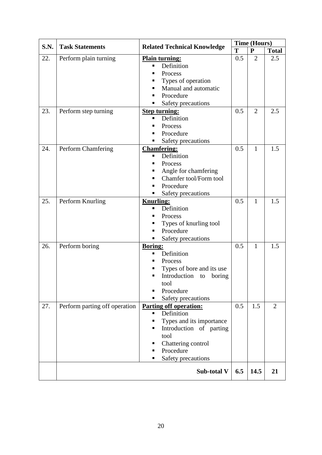| S.N. | <b>Task Statements</b>        | <b>Related Technical Knowledge</b> | <b>Time (Hours)</b> |                |                |
|------|-------------------------------|------------------------------------|---------------------|----------------|----------------|
|      |                               |                                    | T                   | ${\bf P}$      | <b>Total</b>   |
| 22.  | Perform plain turning         | <b>Plain turning:</b>              | 0.5                 | $\overline{2}$ | 2.5            |
|      |                               | Definition<br>٠                    |                     |                |                |
|      |                               | Process                            |                     |                |                |
|      |                               | Types of operation                 |                     |                |                |
|      |                               | Manual and automatic               |                     |                |                |
|      |                               | Procedure                          |                     |                |                |
|      |                               | Safety precautions                 |                     |                |                |
| 23.  | Perform step turning          | <b>Step turning:</b>               | 0.5                 | $\overline{2}$ | 2.5            |
|      |                               | Definition<br>٠                    |                     |                |                |
|      |                               | Process                            |                     |                |                |
|      |                               | Procedure                          |                     |                |                |
|      |                               | Safety precautions                 |                     |                |                |
| 24.  | Perform Chamfering            | <b>Chamfering:</b>                 | 0.5                 | $\mathbf{1}$   | 1.5            |
|      |                               | Definition<br>٠                    |                     |                |                |
|      |                               | Process                            |                     |                |                |
|      |                               | Angle for chamfering               |                     |                |                |
|      |                               | Chamfer tool/Form tool             |                     |                |                |
|      |                               | Procedure                          |                     |                |                |
|      |                               | Safety precautions                 |                     |                |                |
| 25.  | Perform Knurling              | <b>Knurling:</b>                   | 0.5                 | 1              | 1.5            |
|      |                               | Definition<br>٠                    |                     |                |                |
|      |                               | Process                            |                     |                |                |
|      |                               | Types of knurling tool             |                     |                |                |
|      |                               | Procedure                          |                     |                |                |
|      |                               | Safety precautions                 |                     |                |                |
| 26.  | Perform boring                | <b>Boring:</b>                     | 0.5                 | $\mathbf{1}$   | 1.5            |
|      |                               | Definition<br>п                    |                     |                |                |
|      |                               | Process                            |                     |                |                |
|      |                               | Types of bore and its use          |                     |                |                |
|      |                               | Introduction<br>to<br>boring       |                     |                |                |
|      |                               | tool                               |                     |                |                |
|      |                               | Procedure                          |                     |                |                |
|      |                               | Safety precautions                 |                     |                |                |
| 27.  | Perform parting off operation | <b>Parting off operation:</b>      | 0.5                 | 1.5            | $\overline{2}$ |
|      |                               | Definition<br>٠                    |                     |                |                |
|      |                               | Types and its importance           |                     |                |                |
|      |                               | Introduction of parting<br>ш       |                     |                |                |
|      |                               | tool                               |                     |                |                |
|      |                               | Chattering control                 |                     |                |                |
|      |                               | Procedure                          |                     |                |                |
|      |                               | Safety precautions                 |                     |                |                |
|      |                               |                                    |                     |                |                |
|      |                               | Sub-total V                        | 6.5                 | 14.5           | 21             |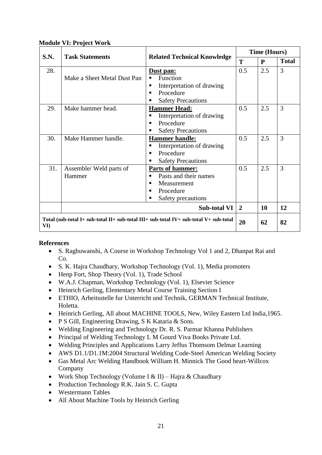### **Module VI: Project Work**

| S.N.       | <b>Task Statements</b>                           |                                                                                                                                            | <b>Time (Hours)</b> |              |        |
|------------|--------------------------------------------------|--------------------------------------------------------------------------------------------------------------------------------------------|---------------------|--------------|--------|
|            | <b>Related Technical Knowledge</b>               | T                                                                                                                                          | ${\bf P}$           | <b>Total</b> |        |
| 28.<br>29. | Make a Sheet Metal Dust Pan<br>Make hammer head. | Dust pan:<br>Function<br>$\blacksquare$<br>Interpretation of drawing<br>Procedure<br>п<br><b>Safety Precautions</b><br><b>Hammer Head:</b> | 0.5<br>0.5          | 2.5<br>2.5   | 3<br>3 |
|            |                                                  | Interpretation of drawing<br>Procedure<br><b>Safety Precautions</b>                                                                        |                     |              |        |
| 30.        | Make Hammer handle.                              | <b>Hammer handle:</b><br>Interpretation of drawing<br>Procedure<br><b>Safety Precautions</b>                                               | 0.5                 | 2.5          | 3      |
| 31.        | Assemble/Weld parts of<br>Hammer                 | <b>Parts of hammer:</b><br>Pasts and their names<br>п<br>Measurement<br>Procedure<br>Safety precautions                                    | 0.5                 | 2.5          | 3      |
|            |                                                  | <b>Sub-total VI</b>                                                                                                                        | $\overline{2}$      | 10           | 12     |
| VI)        |                                                  | Total (sub-total I+ sub-total II+ sub-total III+ sub-total IV+ sub-total V+ sub-total                                                      | 20                  | 62           | 82     |

### **References**

- S. Raghuwanshi, A Course in Workshop Technology Vol 1 and 2, Dhanpat Rai and Co.
- S. K. Hajra Chaudhary, Workshop Technology (Vol. 1), Media promoters
- Henp Fort, Shop Theory (Vol. 1), Trade School
- W.A.J. Chapman, Workshop Technology (Vol. 1), Elsevier Science
- Heinrich Gerling, Elementary Metal Course Training Section I
- ETHIO, Arbeitsstelle fur Unterricht und Technik, GERMAN Technical Institute, Holetta.
- Heinrich Gerling, All about MACHINE TOOLS, New, Wiley Eastern Ltd India,1965.
- P S Gill, Engineering Drawing, S K Kataria & Sons.
- Welding Engineering and Technology Dr. R. S. Parmar Khanna Publishers
- Principal of Welding Technology L M Gourd Viva Books Private Ltd.
- Welding Principles and Applications Larry Jeffus Thomsom Delmar Learning
- AWS D1.1/D1.1M:2004 Structural Welding Code-Steel American Welding Society
- Gas Metal Arc Welding Handbook William H. Minnick The Good heart-Willcox Company
- Work Shop Technology (Volume I & II) Hajra & Chaudhary
- Production Technology R.K. Jain S.C. Gupta
- Westermann Tables
- All About Machine Tools by Heinrich Gerling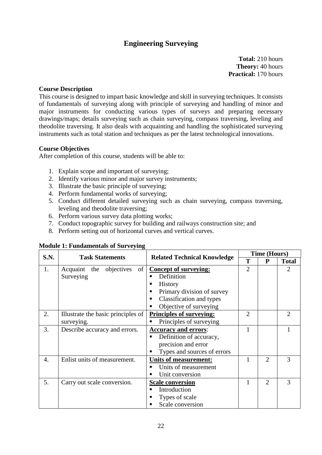### **Engineering Surveying**

**Total:** 210 hours **Theory:** 40 hours **Practical:** 170 hours

#### <span id="page-24-0"></span>**Course Description**

This course is designed to impart basic knowledge and skill in surveying techniques. It consists of fundamentals of surveying along with principle of surveying and handling of minor and major instruments for conducting various types of surveys and preparing necessary drawings/maps; details surveying such as chain surveying, compass traversing, leveling and theodolite traversing. It also deals with acquainting and handling the sophisticated surveying instruments such as total station and techniques as per the latest technological innovations.

#### **Course Objectives**

After completion of this course, students will be able to:

- 1. Explain scope and important of surveying;
- 2. Identify various minor and major survey instruments;
- 3. Illustrate the basic principle of surveying;
- 4. Perform fundamental works of surveying;
- 5. Conduct different detailed surveying such as chain surveying, compass traversing, leveling and theodolite traversing;
- 6. Perform various survey data plotting works;
- 7. Conduct topographic survey for building and railways construction site; and
- 8. Perform setting out of horizontal curves and vertical curves.

| S.N. | <b>Task Statements</b>             |                                    | <b>Time (Hours)</b> |                |                             |
|------|------------------------------------|------------------------------------|---------------------|----------------|-----------------------------|
|      |                                    | <b>Related Technical Knowledge</b> | T                   | ${\bf P}$      | <b>Total</b>                |
| 1.   | of<br>Acquaint the<br>objectives   | <b>Concept of surveying:</b>       | $\overline{2}$      |                |                             |
|      | Surveying                          | Definition<br>٠                    |                     |                |                             |
|      |                                    | <b>History</b><br>٠                |                     |                |                             |
|      |                                    | Primary division of survey<br>٠    |                     |                |                             |
|      |                                    | Classification and types<br>٠      |                     |                |                             |
|      |                                    | Objective of surveying<br>٠        |                     |                |                             |
| 2.   | Illustrate the basic principles of | Principles of surveying:           | $\overline{2}$      |                | $\mathcal{D}_{\mathcal{L}}$ |
|      | surveying.                         | Principles of surveying            |                     |                |                             |
| 3.   | Describe accuracy and errors.      | <b>Accuracy and errors:</b>        | 1                   |                |                             |
|      |                                    | Definition of accuracy,<br>٠       |                     |                |                             |
|      |                                    | precision and error                |                     |                |                             |
|      |                                    | Types and sources of errors        |                     |                |                             |
| 4.   | Enlist units of measurement.       | Units of measurement:              |                     | $\mathfrak{2}$ | 3                           |
|      |                                    | Units of measurement               |                     |                |                             |
|      |                                    | Unit conversion                    |                     |                |                             |
| 5.   | Carry out scale conversion.        | <b>Scale conversion</b>            | $\mathbf{1}$        | $\mathfrak{2}$ | 3                           |
|      |                                    | Introduction                       |                     |                |                             |
|      |                                    | Types of scale                     |                     |                |                             |
|      |                                    | Scale conversion                   |                     |                |                             |

**Module 1: Fundamentals of Surveying**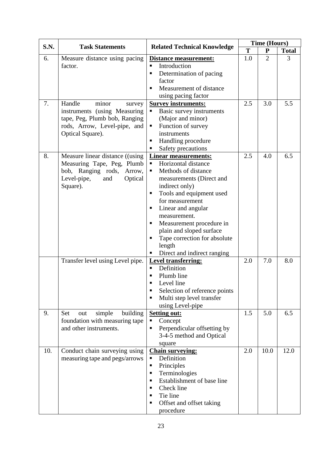|      | <b>Task Statements</b>                                                                                                                         | <b>Related Technical Knowledge</b>                                                                                                                                                                                                                                                                                                                                                                                 | <b>Time (Hours)</b> |                |              |
|------|------------------------------------------------------------------------------------------------------------------------------------------------|--------------------------------------------------------------------------------------------------------------------------------------------------------------------------------------------------------------------------------------------------------------------------------------------------------------------------------------------------------------------------------------------------------------------|---------------------|----------------|--------------|
| S.N. |                                                                                                                                                |                                                                                                                                                                                                                                                                                                                                                                                                                    | T                   | ${\bf P}$      | <b>Total</b> |
| 6.   | Measure distance using pacing<br>factor.                                                                                                       | Distance measurement:<br>Introduction<br>٠<br>Determination of pacing<br>٠<br>factor<br>Measurement of distance<br>using pacing factor                                                                                                                                                                                                                                                                             | 1.0                 | $\overline{2}$ | 3            |
| 7.   | Handle<br>minor<br>survey<br>instruments (using Measuring<br>tape, Peg, Plumb bob, Ranging<br>rods, Arrow, Level-pipe, and<br>Optical Square). | <b>Survey instruments:</b><br>Basic survey instruments<br>(Major and minor)<br>Function of survey<br>instruments<br>Handling procedure<br>$\blacksquare$<br>Safety precautions                                                                                                                                                                                                                                     | 2.5                 | 3.0            | 5.5          |
| 8.   | Measure linear distance ((using<br>Measuring Tape, Peg, Plumb<br>bob, Ranging rods, Arrow,<br>Level-pipe,<br>Optical<br>and<br>Square).        | <b>Linear measurements:</b><br>Horizontal distance<br>٠<br>Methods of distance<br>$\blacksquare$<br>measurements (Direct and<br>indirect only)<br>Tools and equipment used<br>$\blacksquare$<br>for measurement<br>Linear and angular<br>٠<br>measurement.<br>Measurement procedure in<br>٠<br>plain and sloped surface<br>Tape correction for absolute<br>$\blacksquare$<br>length<br>Direct and indirect ranging | 2.5                 | 4.0            | 6.5          |
| 9.   | Transfer level using Level pipe.<br>building<br>simple<br>Set<br>out<br>foundation with measuring tape<br>and other instruments.               | <b>Level transferring:</b><br>Definition<br>$\blacksquare$<br>Plumb line<br>п<br>п<br>Level line<br>Selection of reference points<br>Multi step level transfer<br>٠<br>using Level-pipe<br><b>Setting out:</b><br>Concept<br>п<br>Perpendicular offsetting by<br>٠                                                                                                                                                 | 2.0<br>1.5          | 7.0<br>5.0     | 8.0<br>6.5   |
|      |                                                                                                                                                | 3-4-5 method and Optical<br>square                                                                                                                                                                                                                                                                                                                                                                                 |                     |                |              |
| 10.  | Conduct chain surveying using<br>measuring tape and pegs/arrows                                                                                | <b>Chain surveying:</b><br>Definition<br>Principles<br>٠<br>Terminologies<br>٠<br>Establishment of base line<br>٠<br>Check line<br>٠<br>Tie line<br>٠<br>Offset and offset taking<br>п<br>procedure                                                                                                                                                                                                                | 2.0                 | 10.0           | 12.0         |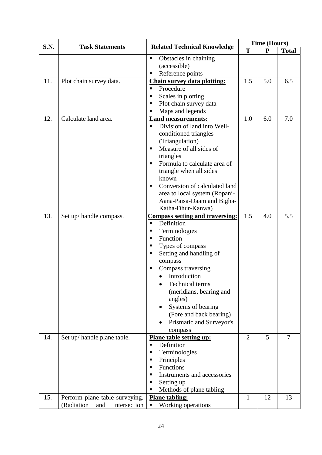| S.N. | <b>Task Statements</b>            | <b>Related Technical Knowledge</b>                                                                                                   | <b>Time (Hours)</b> |           |                |
|------|-----------------------------------|--------------------------------------------------------------------------------------------------------------------------------------|---------------------|-----------|----------------|
|      |                                   |                                                                                                                                      | T                   | ${\bf P}$ | <b>Total</b>   |
|      |                                   | Obstacles in chaining<br>٠                                                                                                           |                     |           |                |
|      |                                   | (accessible)                                                                                                                         |                     |           |                |
|      |                                   | Reference points<br>п                                                                                                                |                     |           |                |
| 11.  | Plot chain survey data.           | Chain survey data plotting:                                                                                                          | 1.5                 | 5.0       | 6.5            |
|      |                                   | Procedure<br>$\blacksquare$                                                                                                          |                     |           |                |
|      |                                   | Scales in plotting<br>٠                                                                                                              |                     |           |                |
|      |                                   | Plot chain survey data<br>٠                                                                                                          |                     |           |                |
| 12.  | Calculate land area.              | Maps and legends                                                                                                                     | 1.0                 |           | 7.0            |
|      |                                   | <b>Land measurements:</b><br>Division of land into Well-<br>conditioned triangles<br>(Triangulation)<br>Measure of all sides of<br>٠ |                     | 6.0       |                |
|      |                                   | triangles<br>Formula to calculate area of<br>٠<br>triangle when all sides<br>known                                                   |                     |           |                |
|      |                                   | Conversion of calculated land<br>٠<br>area to local system (Ropani-<br>Aana-Paisa-Daam and Bigha-                                    |                     |           |                |
|      |                                   | Katha-Dhur-Kanwa)                                                                                                                    |                     |           |                |
| 13.  | Set up/ handle compass.           | <b>Compass setting and traversing:</b>                                                                                               | 1.5                 | 4.0       | 5.5            |
|      |                                   | Definition<br>$\blacksquare$                                                                                                         |                     |           |                |
|      |                                   | Terminologies<br>п                                                                                                                   |                     |           |                |
|      |                                   | Function<br>٠                                                                                                                        |                     |           |                |
|      |                                   | Types of compass<br>п                                                                                                                |                     |           |                |
|      |                                   | Setting and handling of<br>٠                                                                                                         |                     |           |                |
|      |                                   | compass                                                                                                                              |                     |           |                |
|      |                                   | Compass traversing<br>п                                                                                                              |                     |           |                |
|      |                                   | Introduction                                                                                                                         |                     |           |                |
|      |                                   | <b>Technical terms</b>                                                                                                               |                     |           |                |
|      |                                   | (meridians, bearing and                                                                                                              |                     |           |                |
|      |                                   | angles)                                                                                                                              |                     |           |                |
|      |                                   | Systems of bearing                                                                                                                   |                     |           |                |
|      |                                   | (Fore and back bearing)                                                                                                              |                     |           |                |
|      |                                   | Prismatic and Surveyor's                                                                                                             |                     |           |                |
|      |                                   | compass                                                                                                                              |                     |           |                |
| 14.  | Set up/ handle plane table.       | Plane table setting up:<br>$\blacksquare$                                                                                            | $\overline{2}$      | 5         | $\overline{7}$ |
|      |                                   | Definition<br>Terminologies<br>٠                                                                                                     |                     |           |                |
|      |                                   | Principles<br>п                                                                                                                      |                     |           |                |
|      |                                   | Functions<br>п                                                                                                                       |                     |           |                |
|      |                                   | Instruments and accessories<br>п                                                                                                     |                     |           |                |
|      |                                   | Setting up<br>п                                                                                                                      |                     |           |                |
|      |                                   | Methods of plane tabling<br>п                                                                                                        |                     |           |                |
| 15.  | Perform plane table surveying.    | <b>Plane tabling:</b>                                                                                                                | $\mathbf{1}$        | 12        | 13             |
|      | (Radiation<br>and<br>Intersection | Working operations                                                                                                                   |                     |           |                |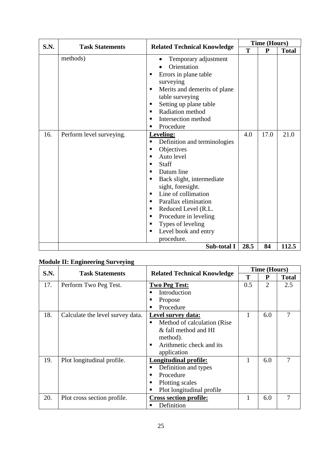| S.N. | <b>Task Statements</b><br><b>Related Technical Knowledge</b> | <b>Time (Hours)</b>                                                                                                                                                                                                                                                                                                                                                  |      |           |              |
|------|--------------------------------------------------------------|----------------------------------------------------------------------------------------------------------------------------------------------------------------------------------------------------------------------------------------------------------------------------------------------------------------------------------------------------------------------|------|-----------|--------------|
|      |                                                              |                                                                                                                                                                                                                                                                                                                                                                      | T    | ${\bf P}$ | <b>Total</b> |
|      | methods)                                                     | Temporary adjustment<br>Orientation<br>Errors in plane table<br>п<br>surveying<br>Merits and demerits of plane<br>٠<br>table surveying<br>Setting up plane table<br>п<br>Radiation method<br>٠<br>Intersection method<br>٠<br>Procedure<br>п                                                                                                                         |      |           |              |
| 16.  | Perform level surveying.                                     | Leveling:<br>Definition and terminologies<br>п<br>Objectives<br>п<br>Auto level<br>п<br>Staff<br>٠<br>Datum line<br>п<br>Back slight, intermediate<br>п<br>sight, foresight.<br>Line of collimation<br>٠<br>Parallax elimination<br>٠<br>Reduced Level (R.L.<br>٠<br>Procedure in leveling<br>٠<br>Types of leveling<br>п<br>Level book and entry<br>٠<br>procedure. | 4.0  | 17.0      | 21.0         |
|      |                                                              | Sub-total I                                                                                                                                                                                                                                                                                                                                                          | 28.5 | 84        | 112.5        |

### **Module II: Engineering Surveying**

|      |                                  |                                    | <b>Time (Hours)</b> |                |              |
|------|----------------------------------|------------------------------------|---------------------|----------------|--------------|
| S.N. | <b>Task Statements</b>           | <b>Related Technical Knowledge</b> | T                   | P              | <b>Total</b> |
| 17.  | Perform Two Peg Test.            | <b>Two Peg Test:</b>               | 0.5                 | $\overline{2}$ | 2.5          |
|      |                                  | Introduction<br>п                  |                     |                |              |
|      |                                  | Propose                            |                     |                |              |
|      |                                  | Procedure<br>٠                     |                     |                |              |
| 18.  | Calculate the level survey data. | Level survey data:                 | 1                   | 6.0            | 7            |
|      |                                  | Method of calculation (Rise)<br>٠  |                     |                |              |
|      |                                  | & fall method and HI               |                     |                |              |
|      |                                  | method).                           |                     |                |              |
|      |                                  | Arithmetic check and its           |                     |                |              |
|      |                                  | application                        |                     |                |              |
| 19.  | Plot longitudinal profile.       | <b>Longitudinal profile:</b>       | 1                   | 6.0            | 7            |
|      |                                  | Definition and types               |                     |                |              |
|      |                                  | Procedure<br>п                     |                     |                |              |
|      |                                  | Plotting scales                    |                     |                |              |
|      |                                  | Plot longitudinal profile          |                     |                |              |
| 20.  | Plot cross section profile.      | <b>Cross section profile:</b>      |                     | 6.0            | 7            |
|      |                                  | Definition                         |                     |                |              |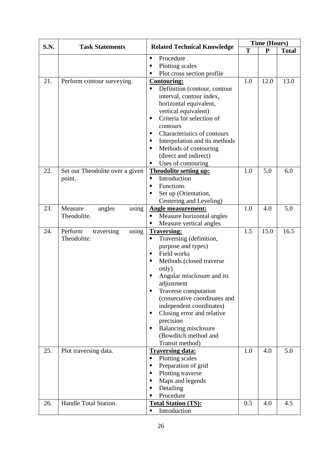|             | <b>Task Statements</b>             | <b>Related Technical Knowledge</b>                     | <b>Time (Hours)</b> |           |              |
|-------------|------------------------------------|--------------------------------------------------------|---------------------|-----------|--------------|
| <b>S.N.</b> |                                    |                                                        | T                   | ${\bf P}$ | <b>Total</b> |
|             |                                    | Procedure<br>$\blacksquare$                            |                     |           |              |
|             |                                    | Plotting scales<br>٠                                   |                     |           |              |
|             |                                    | Plot cross section profile                             |                     |           |              |
| 21.         | Perform contour surveying.         | <b>Contouring:</b>                                     | 1.0                 | 12.0      | 13.0         |
|             |                                    | Definition (contour, contour<br>п                      |                     |           |              |
|             |                                    | interval, contour index,                               |                     |           |              |
|             |                                    | horizontal equivalent,                                 |                     |           |              |
|             |                                    | vertical equivalent)<br>Criteria for selection of<br>٠ |                     |           |              |
|             |                                    | contours                                               |                     |           |              |
|             |                                    | Characteristics of contours<br>٠                       |                     |           |              |
|             |                                    | Interpolation and its methods<br>п                     |                     |           |              |
|             |                                    | Methods of contouring<br>п                             |                     |           |              |
|             |                                    | (direct and indirect)                                  |                     |           |              |
|             |                                    | Uses of contouring                                     |                     |           |              |
| 22.         | Set out Theodolite over a given    | <b>Theodolite setting up:</b>                          | 1.0                 | 5.0       | 6.0          |
|             | point.                             | Introduction<br>П                                      |                     |           |              |
|             |                                    | Functions<br>٠                                         |                     |           |              |
|             |                                    | Set up (Orientation,<br>٠                              |                     |           |              |
|             |                                    | Centering and Leveling)                                |                     |           |              |
| 23.         | Measure<br>angles<br>using         | <b>Angle measurement:</b>                              | 1.0                 | 4.0       | 5.0          |
|             | Theodolite.                        | Measure horizontal angles<br>٠                         |                     |           |              |
| 24.         | Perform                            | Measure vertical angles                                | 1.5                 | 15.0      | 16.5         |
|             | using<br>traversing<br>Theodolite. | <b>Traversing:</b><br>Traversing (definition,<br>Ξ     |                     |           |              |
|             |                                    | purpose and types)                                     |                     |           |              |
|             |                                    | Field works<br>٠                                       |                     |           |              |
|             |                                    | Methods (closed traverse<br>٠                          |                     |           |              |
|             |                                    | only)                                                  |                     |           |              |
|             |                                    | Angular misclosure and its                             |                     |           |              |
|             |                                    | adjustment                                             |                     |           |              |
|             |                                    | Traverse computation                                   |                     |           |              |
|             |                                    | (consecutive coordinates and                           |                     |           |              |
|             |                                    | independent coordinates)                               |                     |           |              |
|             |                                    | Closing error and relative<br>п                        |                     |           |              |
|             |                                    | precision                                              |                     |           |              |
|             |                                    | Balancing misclosure<br>٠<br>(Bowditch method and      |                     |           |              |
|             |                                    | Transit method)                                        |                     |           |              |
| 25.         | Plot traversing data.              | <b>Traversing data:</b>                                | 1.0                 | 4.0       | 5.0          |
|             |                                    | Plotting scales<br>٠                                   |                     |           |              |
|             |                                    | Preparation of grid<br>п                               |                     |           |              |
|             |                                    | Plotting traverse<br>п                                 |                     |           |              |
|             |                                    | Maps and legends<br>п                                  |                     |           |              |
|             |                                    | Detailing<br>٠                                         |                     |           |              |
|             |                                    | Procedure<br>п                                         |                     |           |              |
| 26.         | Handle Total Station.              | <b>Total Station (TS):</b>                             | 0.5                 | 4.0       | 4.5          |
|             |                                    | Introduction                                           |                     |           |              |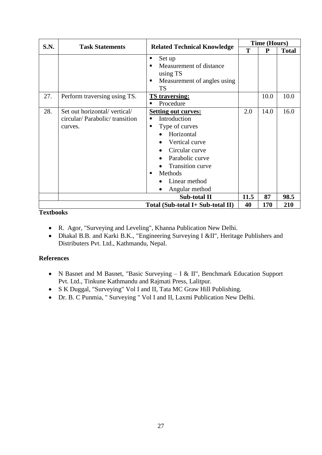| S.N. | <b>Task Statements</b>                                                    |                                                                                                                                                                                                                 | <b>Time (Hours)</b> |           |              |
|------|---------------------------------------------------------------------------|-----------------------------------------------------------------------------------------------------------------------------------------------------------------------------------------------------------------|---------------------|-----------|--------------|
|      |                                                                           | <b>Related Technical Knowledge</b>                                                                                                                                                                              | T                   | ${\bf P}$ | <b>Total</b> |
|      |                                                                           | Set up<br>п<br>Measurement of distance<br>using TS<br>Measurement of angles using<br>п<br><b>TS</b>                                                                                                             |                     |           |              |
| 27.  | Perform traversing using TS.                                              | <b>TS</b> traversing:<br>Procedure                                                                                                                                                                              |                     | 10.0      | 10.0         |
| 28.  | Set out horizontal/ vertical/<br>circular/Parabolic/transition<br>curves. | <b>Setting out curves:</b><br>Introduction<br>Type of curves<br>п<br>Horizontal<br>Vertical curve<br>Circular curve<br>Parabolic curve<br><b>Transition curve</b><br>Methods<br>Linear method<br>Angular method | 2.0                 | 14.0      | 16.0         |
|      |                                                                           | Sub-total II                                                                                                                                                                                                    | 11.5                | 87        | 98.5         |
|      |                                                                           | Total (Sub-total I+ Sub-total II)                                                                                                                                                                               | 40                  | 170       | 210          |

### **Textbooks**

- R. Agor, "Surveying and Leveling", Khanna Publication New Delhi.
- Dhakal B.B. and Karki B.K., "Engineering Surveying I &II", Heritage Publishers and Distributers Pvt. Ltd., Kathmandu, Nepal.

### **References**

- N Basnet and M Basnet, "Basic Surveying I & II", Benchmark Education Support Pvt. Ltd., Tinkune Kathmandu and Rajmati Press, Lalitpur.
- S K Duggal, "Surveying" Vol I and II, Tata MC Graw Hill Publishing.
- Dr. B. C Punmia, " Surveying " Vol I and II, Laxmi Publication New Delhi.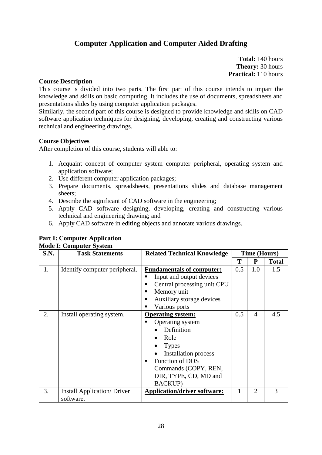### <span id="page-30-0"></span>**Computer Application and Computer Aided Drafting**

**Total:** 140 hours **Theory:** 30 hours **Practical:** 110 hours

#### **Course Description**

This course is divided into two parts. The first part of this course intends to impart the knowledge and skills on basic computing. It includes the use of documents, spreadsheets and presentations slides by using computer application packages.

Similarly, the second part of this course is designed to provide knowledge and skills on CAD software application techniques for designing, developing, creating and constructing various technical and engineering drawings.

### **Course Objectives**

After completion of this course, students will able to:

- 1. Acquaint concept of computer system computer peripheral, operating system and application software;
- 2. Use different computer application packages;
- 3. Prepare documents, spreadsheets, presentations slides and database management sheets;
- 4. Describe the significant of CAD software in the engineering;
- 5. Apply CAD software designing, developing, creating and constructing various technical and engineering drawing; and
- 6. Apply CAD software in editing objects and annotate various drawings.

| S.N. | <b>Task Statements</b>             | <b>Related Technical Knowledge</b>  |     | <b>Time (Hours)</b> |              |  |
|------|------------------------------------|-------------------------------------|-----|---------------------|--------------|--|
|      |                                    |                                     | T   | ${\bf P}$           | <b>Total</b> |  |
| 1.   | Identify computer peripheral.      | <b>Fundamentals of computer:</b>    | 0.5 | 1.0                 | 1.5          |  |
|      |                                    | Input and output devices            |     |                     |              |  |
|      |                                    | Central processing unit CPU<br>п    |     |                     |              |  |
|      |                                    | Memory unit<br>٠                    |     |                     |              |  |
|      |                                    | Auxiliary storage devices<br>٠      |     |                     |              |  |
|      |                                    | Various ports                       |     |                     |              |  |
| 2.   | Install operating system.          | <b>Operating system:</b>            | 0.5 | $\overline{4}$      | 4.5          |  |
|      |                                    | Operating system                    |     |                     |              |  |
|      |                                    | Definition                          |     |                     |              |  |
|      |                                    | Role                                |     |                     |              |  |
|      |                                    | <b>Types</b>                        |     |                     |              |  |
|      |                                    | <b>Installation process</b>         |     |                     |              |  |
|      |                                    | <b>Function of DOS</b>              |     |                     |              |  |
|      |                                    | Commands (COPY, REN,                |     |                     |              |  |
|      |                                    | DIR, TYPE, CD, MD and               |     |                     |              |  |
|      |                                    | <b>BACKUP</b> )                     |     |                     |              |  |
| 3.   | <b>Install Application/ Driver</b> | <b>Application/driver software:</b> | 1   | $\overline{2}$      | 3            |  |
|      | software.                          |                                     |     |                     |              |  |

#### **Part I: Computer Application Mode I: Computer System**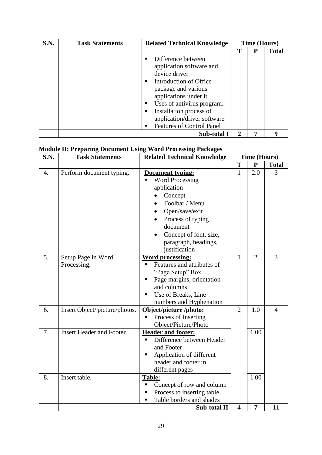| <b>S.N.</b> | <b>Task Statements</b> | <b>Related Technical Knowledge</b>                                                                                                                                                                                                                                         | <b>Time (Hours)</b> |   |              |
|-------------|------------------------|----------------------------------------------------------------------------------------------------------------------------------------------------------------------------------------------------------------------------------------------------------------------------|---------------------|---|--------------|
|             |                        |                                                                                                                                                                                                                                                                            | Т                   | P | <b>Total</b> |
|             |                        | Difference between<br>application software and<br>device driver<br>Introduction of Office<br>package and various<br>applications under it<br>Uses of antivirus program.<br>Installation process of<br>application/driver software<br><b>Features of Control Panel</b><br>■ |                     |   |              |
|             |                        | Sub-total I                                                                                                                                                                                                                                                                | 2                   | 7 |              |

### **Module II: Preparing Document Using Word Processing Packages**

| S.N. | <b>Task Statements</b>            | <b>Related Technical Knowledge</b>                                                                                                                                                                                        | <b>Time (Hours)</b>     |                |                |
|------|-----------------------------------|---------------------------------------------------------------------------------------------------------------------------------------------------------------------------------------------------------------------------|-------------------------|----------------|----------------|
|      |                                   |                                                                                                                                                                                                                           | T                       | ${\bf P}$      | <b>Total</b>   |
| 4.   | Perform document typing.          | Document typing:<br><b>Word Processing</b><br>application<br>Concept<br>Toolbar / Menu<br>Open/save/exit<br>$\bullet$<br>Process of typing<br>document<br>Concept of font, size,<br>paragraph, headings,<br>justification | $\mathbf{1}$            | 2.0            | 3              |
| 5.   | Setup Page in Word<br>Processing. | <b>Word processing:</b><br>Features and attributes of<br>"Page Setup" Box.<br>Page margins, orientation<br>٠<br>and columns<br>Use of Breaks, Line<br>٠<br>numbers and Hyphenation                                        | $\mathbf{1}$            | $\overline{2}$ | 3              |
| 6.   | Insert Object/picture/photos.     | Object/picture/photo:<br>Process of Inserting<br>$\blacksquare$<br>Object/Picture/Photo                                                                                                                                   | $\overline{2}$          | 1.0            | $\overline{4}$ |
| 7.   | <b>Insert Header and Footer.</b>  | <b>Header and footer:</b><br>Difference between Header<br>and Footer<br>Application of different<br>٠<br>header and footer in<br>different pages                                                                          |                         | 1.00           |                |
| 8.   | Insert table.                     | <b>Table:</b><br>Concept of row and column<br>π<br>Process to inserting table<br>Table borders and shades<br>٠                                                                                                            |                         | 1.00           |                |
|      |                                   | Sub-total II                                                                                                                                                                                                              | $\overline{\mathbf{4}}$ | 7              | 11             |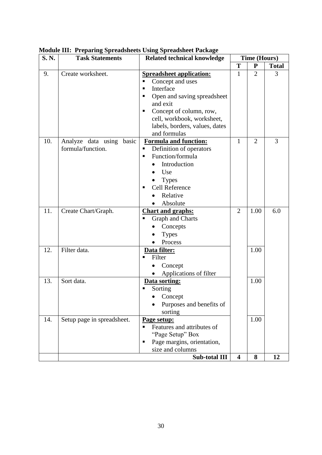| S. N. | <b>Task Statements</b>                        | <b>Related technical knowledge</b>                                                                                                                                                                                                         | <b>Time (Hours)</b>     |                |              |
|-------|-----------------------------------------------|--------------------------------------------------------------------------------------------------------------------------------------------------------------------------------------------------------------------------------------------|-------------------------|----------------|--------------|
|       |                                               |                                                                                                                                                                                                                                            | T                       | ${\bf P}$      | <b>Total</b> |
| 9.    | Create worksheet.                             | <b>Spreadsheet application:</b><br>Concept and uses<br>п<br>Interface<br>п<br>Open and saving spreadsheet<br>п<br>and exit<br>Concept of column, row,<br>п<br>cell, workbook, worksheet,<br>labels, borders, values, dates<br>and formulas | 1                       | $\overline{2}$ | 3            |
| 10.   | Analyze data using basic<br>formula/function. | <b>Formula and function:</b><br>Definition of operators<br>٠<br>Function/formula<br>п<br>Introduction<br>Use<br><b>Types</b><br>Cell Reference<br>Relative<br>Absolute                                                                     | $\mathbf{1}$            | $\overline{2}$ | 3            |
| 11.   | Create Chart/Graph.                           | <b>Chart and graphs:</b><br><b>Graph and Charts</b><br>Concepts<br><b>Types</b><br>Process                                                                                                                                                 | $\overline{2}$          | 1.00           | 6.0          |
| 12.   | Filter data.                                  | Data filter:<br>Filter<br>Concept<br>$\bullet$<br>Applications of filter                                                                                                                                                                   |                         | 1.00           |              |
| 13.   | Sort data.                                    | Data sorting:<br>Sorting<br>Concept<br>Purposes and benefits of<br>sorting                                                                                                                                                                 |                         | 1.00           |              |
| 14.   | Setup page in spreadsheet.                    | Page setup:<br>Features and attributes of<br>п<br>"Page Setup" Box<br>Page margins, orientation,<br>size and columns<br><b>Sub-total III</b>                                                                                               | $\overline{\mathbf{4}}$ | 1.00<br>8      | 12           |

**Module III: Preparing Spreadsheets Using Spreadsheet Package**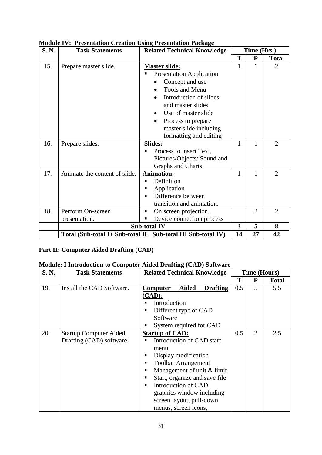| S.N. | <b>Task Statements</b>                                        | <b>Related Technical Knowledge</b> | Time (Hrs.)             |                |                |
|------|---------------------------------------------------------------|------------------------------------|-------------------------|----------------|----------------|
|      |                                                               |                                    | T                       | ${\bf P}$      | <b>Total</b>   |
| 15.  | Prepare master slide.                                         | <b>Master slide:</b>               | 1                       | 1              | 2              |
|      |                                                               | <b>Presentation Application</b>    |                         |                |                |
|      |                                                               | Concept and use                    |                         |                |                |
|      |                                                               | Tools and Menu                     |                         |                |                |
|      |                                                               | Introduction of slides             |                         |                |                |
|      |                                                               | and master slides                  |                         |                |                |
|      |                                                               | Use of master slide                |                         |                |                |
|      |                                                               | Process to prepare                 |                         |                |                |
|      |                                                               | master slide including             |                         |                |                |
|      |                                                               | formatting and editing             |                         |                |                |
| 16.  | Prepare slides.                                               | <b>Slides:</b>                     | 1                       | $\mathbf{1}$   | $\overline{2}$ |
|      |                                                               | Process to insert Text,            |                         |                |                |
|      |                                                               | Pictures/Objects/ Sound and        |                         |                |                |
|      |                                                               | Graphs and Charts                  |                         |                |                |
| 17.  | Animate the content of slide.                                 | <b>Animation:</b>                  | 1                       | 1              | $\overline{2}$ |
|      |                                                               | Definition<br>٠                    |                         |                |                |
|      |                                                               | Application                        |                         |                |                |
|      |                                                               | Difference between<br>п            |                         |                |                |
|      |                                                               | transition and animation.          |                         |                |                |
| 18.  | Perform On-screen                                             | On screen projection.<br>п         |                         | $\overline{2}$ | $\overline{2}$ |
|      | presentation.                                                 | Device connection process          |                         |                |                |
|      |                                                               | <b>Sub-total IV</b>                | $\overline{\mathbf{3}}$ | 5              | 8              |
|      | Total (Sub-total I+ Sub-total II+ Sub-total III Sub-total IV) |                                    |                         |                | 42             |

### **Module IV: Presentation Creation Using Presentation Package**

### **Part II: Computer Aided Drafting (CAD)**

### **Module: I Introduction to Computer Aided Drafting (CAD) Software**

| S.N. | <b>Task Statements</b>        | <b>Related Technical Knowledge</b>          |     | <b>Time (Hours)</b> |              |
|------|-------------------------------|---------------------------------------------|-----|---------------------|--------------|
|      |                               |                                             | T   | ${\bf P}$           | <b>Total</b> |
| 19.  | Install the CAD Software.     | <b>Aided</b><br><b>Drafting</b><br>Computer | 0.5 | 5                   | 5.5          |
|      |                               | $(CAD)$ :                                   |     |                     |              |
|      |                               | Introduction                                |     |                     |              |
|      |                               | Different type of CAD                       |     |                     |              |
|      |                               | Software                                    |     |                     |              |
|      |                               | System required for CAD<br>п                |     |                     |              |
| 20.  | <b>Startup Computer Aided</b> | <b>Startup of CAD:</b>                      | 0.5 | $\overline{2}$      | 2.5          |
|      | Drafting (CAD) software.      | Introduction of CAD start                   |     |                     |              |
|      |                               | menu                                        |     |                     |              |
|      |                               | Display modification                        |     |                     |              |
|      |                               | <b>Toolbar Arrangement</b>                  |     |                     |              |
|      |                               | Management of unit & limit                  |     |                     |              |
|      |                               | Start, organize and save file               |     |                     |              |
|      |                               | Introduction of CAD                         |     |                     |              |
|      |                               | graphics window including                   |     |                     |              |
|      |                               | screen layout, pull-down                    |     |                     |              |
|      |                               | menus, screen icons,                        |     |                     |              |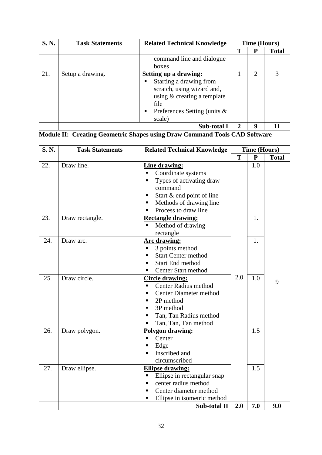| S.N. | <b>Task Statements</b> | <b>Related Technical Knowledge</b>                                                                                                                                                  | <b>Time (Hours)</b>   |               |              |
|------|------------------------|-------------------------------------------------------------------------------------------------------------------------------------------------------------------------------------|-----------------------|---------------|--------------|
|      |                        |                                                                                                                                                                                     | Т                     | P             | <b>Total</b> |
|      |                        | command line and dialogue                                                                                                                                                           |                       |               |              |
|      |                        | boxes                                                                                                                                                                               |                       |               |              |
| 21.  | Setup a drawing.       | <b>Setting up a drawing:</b><br>Starting a drawing from<br>п<br>scratch, using wizard and,<br>using & creating a template<br>file<br>Preferences Setting (units $\&$<br>٠<br>scale) |                       | $\mathcal{D}$ |              |
|      |                        | Sub-total 1                                                                                                                                                                         | $\mathcal{D}_{\cdot}$ | o             |              |

|  |  | <b>Module II: Creating Geometric Shapes using Draw Command Tools CAD Software</b> |  |
|--|--|-----------------------------------------------------------------------------------|--|
|  |  |                                                                                   |  |

| S.N. | <b>Task Statements</b> | <b>Related Technical Knowledge</b>                                                                                                                                                                       |     |              | <b>Time (Hours)</b> |  |
|------|------------------------|----------------------------------------------------------------------------------------------------------------------------------------------------------------------------------------------------------|-----|--------------|---------------------|--|
|      |                        |                                                                                                                                                                                                          | T   | $\mathbf{P}$ | <b>Total</b>        |  |
| 22.  | Draw line.             | <b>Line drawing:</b><br>Coordinate systems<br>Types of activating draw<br>command<br>Start & end point of line<br>٠<br>Methods of drawing line<br>٠<br>Process to draw line<br>Ξ                         |     | 1.0          |                     |  |
| 23.  | Draw rectangle.        | <b>Rectangle drawing:</b><br>Method of drawing<br>rectangle                                                                                                                                              |     | 1.           |                     |  |
| 24.  | Draw arc.              | <b>Arc drawing:</b><br>3 points method<br>П<br><b>Start Center method</b><br><b>Start End method</b><br>Center Start method<br>п                                                                         |     | 1.           |                     |  |
| 25.  | Draw circle.           | <b>Circle drawing:</b><br><b>Center Radius method</b><br>$\blacksquare$<br><b>Center Diameter method</b><br>٠<br>2P method<br>П<br>3P method<br>٠<br>Tan, Tan Radius method<br>П<br>Tan, Tan, Tan method | 2.0 | 1.0          | 9                   |  |
| 26.  | Draw polygon.          | Polygon drawing:<br>Center<br>п<br>Edge<br>٠<br>Inscribed and<br>$\blacksquare$<br>circumscribed                                                                                                         |     | 1.5          |                     |  |
| 27.  | Draw ellipse.          | <b>Ellipse drawing:</b><br>Ellipse in rectangular snap<br>П<br>center radius method<br>п<br>Center diameter method<br>٠<br>Ellipse in isometric method<br>п                                              |     | 1.5          |                     |  |
|      |                        | Sub-total II                                                                                                                                                                                             | 2.0 | 7.0          | 9.0                 |  |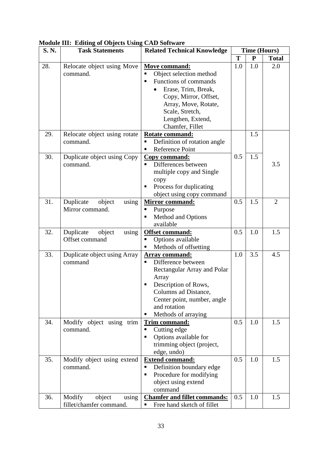| S. N. | $m$ $m$ , $m$ $m$ $n$ $m$ $m$ $m$ $m$ $m$ $m$ $m$ $m$<br><b>Task Statements</b> | <b>Related Technical Knowledge</b>  |     | <b>Time (Hours)</b> |                |  |
|-------|---------------------------------------------------------------------------------|-------------------------------------|-----|---------------------|----------------|--|
|       |                                                                                 |                                     |     | ${\bf P}$           | <b>Total</b>   |  |
| 28.   | Relocate object using Move                                                      | <b>Move command:</b>                | 1.0 | 1.0                 | 2.0            |  |
|       | command.                                                                        | Object selection method             |     |                     |                |  |
|       |                                                                                 | Functions of commands               |     |                     |                |  |
|       |                                                                                 | Erase, Trim, Break,                 |     |                     |                |  |
|       |                                                                                 | Copy, Mirror, Offset,               |     |                     |                |  |
|       |                                                                                 | Array, Move, Rotate,                |     |                     |                |  |
|       |                                                                                 | Scale, Stretch,                     |     |                     |                |  |
|       |                                                                                 | Lengthen, Extend,                   |     |                     |                |  |
|       |                                                                                 | Chamfer, Fillet                     |     |                     |                |  |
| 29.   | Relocate object using rotate                                                    | Rotate command:                     |     | 1.5                 |                |  |
|       | command.                                                                        | Definition of rotation angle        |     |                     |                |  |
|       |                                                                                 | <b>Reference Point</b><br>٠         |     |                     |                |  |
| 30.   | Duplicate object using Copy                                                     | Copy command:                       | 0.5 | 1.5                 |                |  |
|       | command.                                                                        | Differences between                 |     |                     | 3.5            |  |
|       |                                                                                 | multiple copy and Single            |     |                     |                |  |
|       |                                                                                 | copy                                |     |                     |                |  |
|       |                                                                                 | Process for duplicating             |     |                     |                |  |
|       |                                                                                 | object using copy command           |     |                     |                |  |
| 31.   | Duplicate<br>object<br>using                                                    | <b>Mirror command:</b>              | 0.5 | 1.5                 | $\overline{2}$ |  |
|       | Mirror command.                                                                 | Purpose                             |     |                     |                |  |
|       |                                                                                 | Method and Options                  |     |                     |                |  |
|       |                                                                                 | available                           |     |                     |                |  |
| 32.   | Duplicate<br>object<br>using                                                    | <b>Offset command:</b>              | 0.5 | 1.0                 | 1.5            |  |
|       | Offset command                                                                  | Options available                   |     |                     |                |  |
|       |                                                                                 | Methods of offsetting               |     |                     |                |  |
| 33.   | Duplicate object using Array                                                    | <b>Array command:</b>               | 1.0 | 3.5                 | 4.5            |  |
|       | command                                                                         | Difference between                  |     |                     |                |  |
|       |                                                                                 | Rectangular Array and Polar         |     |                     |                |  |
|       |                                                                                 | Array                               |     |                     |                |  |
|       |                                                                                 | Description of Rows,                |     |                     |                |  |
|       |                                                                                 | Columns ad Distance,                |     |                     |                |  |
|       |                                                                                 | Center point, number, angle         |     |                     |                |  |
|       |                                                                                 | and rotation                        |     |                     |                |  |
|       |                                                                                 | Methods of arraying                 |     |                     |                |  |
| 34.   | Modify object using trim                                                        | <b>Trim command:</b>                | 0.5 | 1.0                 | 1.5            |  |
|       | command.                                                                        | Cutting edge<br>П                   |     |                     |                |  |
|       |                                                                                 | Options available for<br>п          |     |                     |                |  |
|       |                                                                                 | trimming object (project,           |     |                     |                |  |
|       |                                                                                 | edge, undo)                         |     |                     |                |  |
| 35.   | Modify object using extend                                                      | Extend command:                     | 0.5 | 1.0                 | 1.5            |  |
|       | command.                                                                        | Definition boundary edge<br>п       |     |                     |                |  |
|       |                                                                                 | Procedure for modifying<br>п        |     |                     |                |  |
|       |                                                                                 | object using extend                 |     |                     |                |  |
|       |                                                                                 | command                             |     |                     |                |  |
| 36.   | Modify<br>object<br>using                                                       | <b>Chamfer and fillet commands:</b> | 0.5 | 1.0                 | 1.5            |  |
|       | fillet/chamfer command.                                                         | Free hand sketch of fillet          |     |                     |                |  |

### **Module III: Editing of Objects Using CAD Software**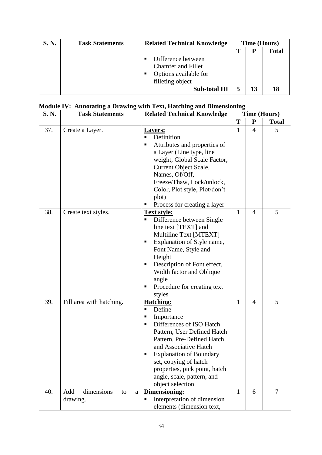| S. N. | <b>Task Statements</b> | <b>Related Technical Knowledge</b> | <b>Time (Hours)</b> |    |              |
|-------|------------------------|------------------------------------|---------------------|----|--------------|
|       |                        |                                    |                     |    | <b>Total</b> |
|       |                        | Difference between<br>п            |                     |    |              |
|       |                        | <b>Chamfer and Fillet</b>          |                     |    |              |
|       |                        | Options available for<br>п         |                     |    |              |
|       |                        | filleting object                   |                     |    |              |
|       |                        | <b>Sub-total III</b>               |                     | 13 | 18           |

# **Module IV: Annotating a Drawing with Text, Hatching and Dimensioning**

| S.N. | <b>Task Statements</b>                              | <b>Related Technical Knowledge</b>                                                                                                                                                                                                                                                                                      |              |                | <b>Time (Hours)</b> |
|------|-----------------------------------------------------|-------------------------------------------------------------------------------------------------------------------------------------------------------------------------------------------------------------------------------------------------------------------------------------------------------------------------|--------------|----------------|---------------------|
|      |                                                     |                                                                                                                                                                                                                                                                                                                         | T            | ${\bf P}$      | <b>Total</b>        |
| 37.  | Create a Layer.                                     | <b>Layers:</b><br>Definition<br>Attributes and properties of<br>٠<br>a Layer (Line type, line<br>weight, Global Scale Factor,<br>Current Object Scale,<br>Names, Of/Off,<br>Freeze/Thaw, Lock/unlock,<br>Color, Plot style, Plot/don't<br>plot)<br>Process for creating a layer                                         | 1            | $\overline{4}$ | 5                   |
| 38.  | Create text styles.                                 | <b>Text style:</b><br>Difference between Single<br>line text [TEXT] and<br>Multiline Text [MTEXT]<br>Explanation of Style name,<br>٠<br>Font Name, Style and<br>Height<br>Description of Font effect,<br>ш<br>Width factor and Oblique<br>angle<br>Procedure for creating text<br>٠<br>styles                           | $\mathbf{1}$ | $\overline{4}$ | 5                   |
| 39.  | Fill area with hatching.                            | <b>Hatching:</b><br>Define<br>٠<br>Importance<br>п<br>Differences of ISO Hatch<br>٠<br>Pattern, User Defined Hatch<br>Pattern, Pre-Defined Hatch<br>and Associative Hatch<br><b>Explanation of Boundary</b><br>set, copying of hatch<br>properties, pick point, hatch<br>angle, scale, pattern, and<br>object selection | $\mathbf{1}$ | $\overline{4}$ | 5                   |
| 40.  | dimensions<br>Add<br>to<br>$\mathbf{a}$<br>drawing. | Dimensioning:<br>Interpretation of dimension<br>elements (dimension text,                                                                                                                                                                                                                                               | $\mathbf{1}$ | 6              | 7                   |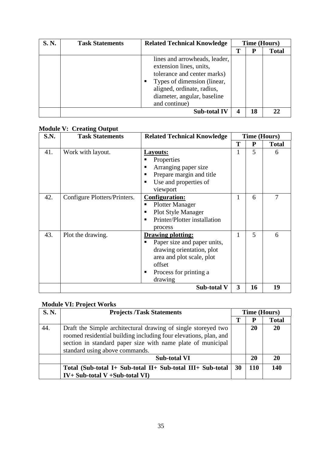| S. N. | <b>Task Statements</b> | <b>Related Technical Knowledge</b>                                                                                                                                                       | <b>Time (Hours)</b> |    |              |
|-------|------------------------|------------------------------------------------------------------------------------------------------------------------------------------------------------------------------------------|---------------------|----|--------------|
|       |                        |                                                                                                                                                                                          |                     | P  | <b>Total</b> |
|       |                        | lines and arrowheads, leader,<br>extension lines, units,<br>tolerance and center marks)<br>Types of dimension (linear,<br>п<br>aligned, ordinate, radius,<br>diameter, angular, baseline |                     |    |              |
|       |                        | and continue)                                                                                                                                                                            |                     |    |              |
|       |                        | <b>Sub-total IV</b>                                                                                                                                                                      |                     | 18 | 22           |

## **Module V: Creating Output**

| S.N. | <b>Task Statements</b>       | <b>Related Technical Knowledge</b>                                                                                                                                    |   | <b>Time (Hours)</b> |              |
|------|------------------------------|-----------------------------------------------------------------------------------------------------------------------------------------------------------------------|---|---------------------|--------------|
|      |                              |                                                                                                                                                                       | T | P                   | <b>Total</b> |
| 41.  | Work with layout.            | <b>Layouts:</b><br>Properties<br>Arranging paper size<br>п                                                                                                            |   | 5                   | 6            |
|      |                              | Prepare margin and title<br>Use and properties of<br>п<br>viewport                                                                                                    |   |                     |              |
| 42.  | Configure Plotters/Printers. | <b>Configuration:</b><br><b>Plotter Manager</b><br>п<br><b>Plot Style Manager</b><br>п<br>Printer/Plotter installation<br>п<br>process                                |   | 6                   | 7            |
| 43.  | Plot the drawing.            | <b>Drawing plotting:</b><br>Paper size and paper units,<br>drawing orientation, plot<br>area and plot scale, plot<br>offset<br>Process for printing a<br>п<br>drawing |   | 5                   | 6            |
|      |                              | <b>Sub-total V</b>                                                                                                                                                    | 3 | 16                  | 19           |

### **Module VI: Project Works**

| <b>S. N.</b> | <b>Projects /Task Statements</b>                                                                                                                                                                                                   | <b>Time (Hours)</b> |     |              |
|--------------|------------------------------------------------------------------------------------------------------------------------------------------------------------------------------------------------------------------------------------|---------------------|-----|--------------|
|              |                                                                                                                                                                                                                                    |                     | P   | <b>Total</b> |
| 44.          | Draft the Simple architectural drawing of single storeyed two<br>roomed residential building including four elevations, plan, and<br>section in standard paper size with name plate of municipal<br>standard using above commands. |                     | 20  | <b>20</b>    |
|              | <b>Sub-total VI</b>                                                                                                                                                                                                                |                     | 20  | 20           |
|              | Total (Sub-total I+ Sub-total II+ Sub-total III+ Sub-total<br>$IV+ Sub-total V + Sub-total VI$                                                                                                                                     | 30                  | 110 | <b>140</b>   |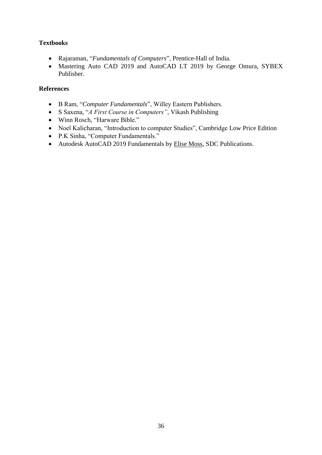### **Textbooks**

- Rajaraman, "*Fundamentals of Computers*", Prentice-Hall of India.
- Mastering Auto CAD 2019 and AutoCAD LT 2019 by George Omura, SYBEX Publisher.

- B Ram, "*Computer Fundamentals*", Willey Eastern Publishers.
- S Saxena, "*A First Course in Computers"*, Vikash Publishing
- Winn Rosch, "Harware Bible."
- Noel Kalicharan, "Introduction to computer Studies", Cambridge Low Price Edition
- P.K Sinha, "Computer Fundamentals."
- Autodesk AutoCAD 2019 Fundamentals by [Elise Moss,](https://www.amazon.com/s/ref=dp_byline_sr_book_1?ie=UTF8&field-author=Elise+Moss&text=Elise+Moss&sort=relevancerank&search-alias=books) SDC Publications.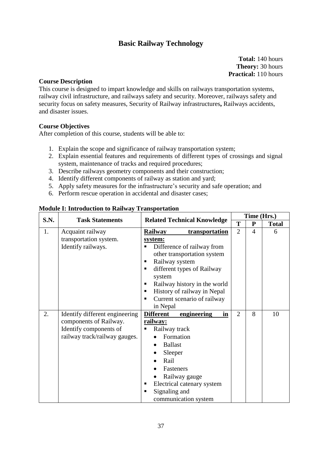## **Basic Railway Technology**

**Total:** 140 hours **Theory:** 30 hours **Practical:** 110 hours

#### **Course Description**

This course is designed to impart knowledge and skills on railways transportation systems, railway civil infrastructure, and railways safety and security. Moreover, railways safety and security focus on safety measures, Security of Railway infrastructures**,** Railways accidents, and disaster issues.

#### **Course Objectives**

After completion of this course, students will be able to:

- 1. Explain the scope and significance of railway transportation system;
- 2. Explain essential features and requirements of different types of crossings and signal system, maintenance of tracks and required procedures;
- 3. Describe railways geometry components and their construction;
- 4. Identify different components of railway as station and yard;
- 5. Apply safety measures for the infrastructure's security and safe operation; and
- 6. Perform rescue operation in accidental and disaster cases;

| S.N. |                                                                                                                     | <b>Related Technical Knowledge</b>                                                                                                                                                                                                                                                                    | Time (Hrs.)    |           |              |
|------|---------------------------------------------------------------------------------------------------------------------|-------------------------------------------------------------------------------------------------------------------------------------------------------------------------------------------------------------------------------------------------------------------------------------------------------|----------------|-----------|--------------|
|      | <b>Task Statements</b>                                                                                              |                                                                                                                                                                                                                                                                                                       | T              | ${\bf P}$ | <b>Total</b> |
| 1.   | Acquaint railway<br>transportation system.<br>Identify railways.                                                    | <b>Railway</b><br>transportation<br>system:<br>Difference of railway from<br>other transportation system<br>Railway system<br>п<br>different types of Railway<br>п<br>system<br>Railway history in the world<br>п<br>History of railway in Nepal<br>п<br>Current scenario of railway<br>п<br>in Nepal | $\overline{2}$ | 4         | 6            |
| 2.   | Identify different engineering<br>components of Railway.<br>Identify components of<br>railway track/railway gauges. | <b>Different</b><br>engineering<br>in<br>railway:<br>Railway track<br>Formation<br><b>Ballast</b><br>Sleeper<br>Rail<br>Fasteners<br>Railway gauge<br>Electrical catenary system<br>п<br>Signaling and<br>٠<br>communication system                                                                   | $\overline{2}$ | 8         | 10           |

### **Module I: Introduction to Railway Transportation**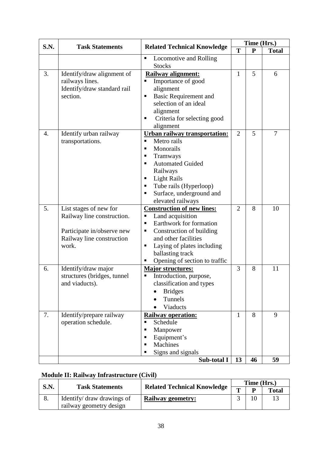| S.N. | <b>Task Statements</b>                  | <b>Related Technical Knowledge</b>                         | Time (Hrs.)    |              |                |
|------|-----------------------------------------|------------------------------------------------------------|----------------|--------------|----------------|
|      |                                         |                                                            | T              | $\mathbf{P}$ | <b>Total</b>   |
|      |                                         | Locomotive and Rolling<br>П                                |                |              |                |
|      |                                         | <b>Stocks</b>                                              |                |              |                |
| 3.   | Identify/draw alignment of              | Railway alignment:                                         | 1              | 5            | 6              |
|      | railways lines.                         | Importance of good                                         |                |              |                |
|      | Identify/draw standard rail<br>section. | alignment<br><b>Basic Requirement and</b><br>п             |                |              |                |
|      |                                         | selection of an ideal                                      |                |              |                |
|      |                                         | alignment                                                  |                |              |                |
|      |                                         | Criteria for selecting good<br>٠                           |                |              |                |
|      |                                         | alignment                                                  |                |              |                |
| 4.   | Identify urban railway                  | Urban railway transportation:                              | $\overline{2}$ | 5            | $\overline{7}$ |
|      | transportations.                        | Metro rails<br>Ξ                                           |                |              |                |
|      |                                         | Monorails<br>п                                             |                |              |                |
|      |                                         | Tramways<br>п                                              |                |              |                |
|      |                                         | <b>Automated Guided</b><br>$\blacksquare$                  |                |              |                |
|      |                                         | Railways                                                   |                |              |                |
|      |                                         | <b>Light Rails</b><br>п                                    |                |              |                |
|      |                                         | Tube rails (Hyperloop)<br>٠                                |                |              |                |
|      |                                         | Surface, underground and<br>П                              |                |              |                |
| 5.   | List stages of new for                  | elevated railways                                          | $\overline{2}$ | 8            | 10             |
|      | Railway line construction.              | <b>Construction of new lines:</b><br>Land acquisition<br>П |                |              |                |
|      |                                         | Earthwork for formation<br>п                               |                |              |                |
|      | Participate in/observe new              | Construction of building<br>П                              |                |              |                |
|      | Railway line construction               | and other facilities                                       |                |              |                |
|      | work.                                   | Laying of plates including<br>٠                            |                |              |                |
|      |                                         | ballasting track                                           |                |              |                |
|      |                                         | Opening of section to traffic                              |                |              |                |
| 6.   | Identify/draw major                     | <b>Major structures:</b>                                   | 3              | 8            | 11             |
|      | structures (bridges, tunnel             | Introduction, purpose,                                     |                |              |                |
|      | and viaducts).                          | classification and types                                   |                |              |                |
|      |                                         | <b>Bridges</b>                                             |                |              |                |
|      |                                         | Tunnels                                                    |                |              |                |
|      |                                         | Viaducts                                                   |                |              |                |
| 7.   | Identify/prepare railway                | <b>Railway operation:</b>                                  | 1              | 8            | 9              |
|      | operation schedule.                     | Schedule<br>П<br>П                                         |                |              |                |
|      |                                         | Manpower<br>Equipment's<br>П                               |                |              |                |
|      |                                         | Machines<br>■                                              |                |              |                |
|      |                                         | Signs and signals<br>٠                                     |                |              |                |
|      |                                         | Sub-total I                                                | 13             | 46           | 59             |

## **Module II: Railway Infrastructure (Civil)**

| <b>S.N.</b> | <b>Task Statements</b>     | <b>Related Technical Knowledge</b> | Time (Hrs.) |   |              |  |
|-------------|----------------------------|------------------------------------|-------------|---|--------------|--|
|             |                            |                                    | m           | D | <b>Total</b> |  |
| ð.          | Identify/ draw drawings of | <b>Railway geometry:</b>           |             |   |              |  |
|             | railway geometry design    |                                    |             |   |              |  |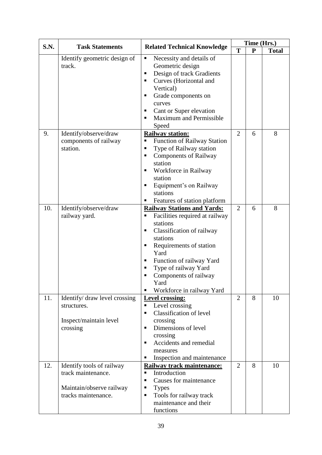| <b>S.N.</b> | <b>Task Statements</b>                                                                             | <b>Related Technical Knowledge</b>                                                                                                                                                                                                                                                                                |                | Time (Hrs.) |              |
|-------------|----------------------------------------------------------------------------------------------------|-------------------------------------------------------------------------------------------------------------------------------------------------------------------------------------------------------------------------------------------------------------------------------------------------------------------|----------------|-------------|--------------|
|             |                                                                                                    |                                                                                                                                                                                                                                                                                                                   | T              | ${\bf P}$   | <b>Total</b> |
|             | Identify geometric design of<br>track.                                                             | Necessity and details of<br>П<br>Geometric design<br>Design of track Gradients<br>٠<br>Curves (Horizontal and<br>٠<br>Vertical)<br>Grade components on<br>п<br>curves<br>Cant or Super elevation<br>п<br><b>Maximum and Permissible</b><br>п<br>Speed                                                             |                |             |              |
| 9.          | Identify/observe/draw<br>components of railway<br>station.                                         | <b>Railway station:</b><br><b>Function of Railway Station</b><br>٠<br>Type of Railway station<br>٠<br><b>Components of Railway</b><br>٠<br>station<br>Workforce in Railway<br>٠<br>station<br>Equipment's on Railway<br>п<br>stations<br>Features of station platform<br>п                                        | $\overline{2}$ | 6           | 8            |
| 10.         | Identify/observe/draw<br>railway yard.                                                             | <b>Railway Stations and Yards:</b><br>п<br>Facilities required at railway<br>stations<br>Classification of railway<br>п<br>stations<br>Requirements of station<br>п<br>Yard<br>Function of railway Yard<br>п<br>Type of railway Yard<br>п<br>Components of railway<br>п<br>Yard<br>Workforce in railway Yard<br>٠ | $\overline{2}$ | 6           | 8            |
| 11.         | Identify/ draw level crossing<br>structures.<br>Inspect/maintain level<br>crossing                 | <b>Level crossing:</b><br>Level crossing<br>٠<br><b>Classification of level</b><br>п<br>crossing<br>Dimensions of level<br>п<br>crossing<br>Accidents and remedial<br>٠<br>measures<br>Inspection and maintenance                                                                                                 | $\overline{2}$ | 8           | 10           |
| 12.         | Identify tools of railway<br>track maintenance.<br>Maintain/observe railway<br>tracks maintenance. | Railway track maintenance:<br>Introduction<br>٠<br>Causes for maintenance<br>٠<br><b>Types</b><br>٠<br>Tools for railway track<br>٠<br>maintenance and their<br>functions                                                                                                                                         | $\overline{2}$ | 8           | 10           |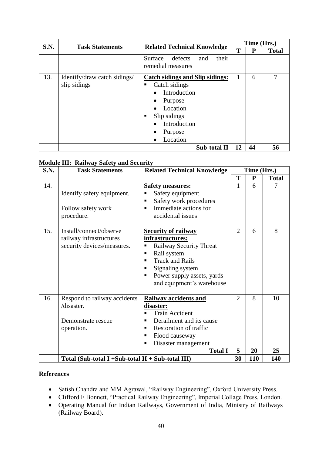| <b>S.N.</b><br><b>Task Statements</b> |                                              |                                                                                                                                                                      |    | Time (Hrs.) |              |
|---------------------------------------|----------------------------------------------|----------------------------------------------------------------------------------------------------------------------------------------------------------------------|----|-------------|--------------|
|                                       |                                              | <b>Related Technical Knowledge</b>                                                                                                                                   | T  | P           | <b>Total</b> |
|                                       |                                              | defects<br>Surface<br>their<br>and<br>remedial measures                                                                                                              |    |             |              |
| 13.                                   | Identify/draw catch sidings/<br>slip sidings | <b>Catch sidings and Slip sidings:</b><br>Catch sidings<br>Introduction<br>Purpose<br>٠<br>Location<br>Slip sidings<br>п<br>Introduction<br>Purpose<br>Location<br>٠ | 1  | 6           | 7            |
|                                       |                                              | <b>Sub-total II</b>                                                                                                                                                  | 12 | 44          | 56           |

### **Module III: Railway Safety and Security**

| <b>S.N.</b> | <b>Task Statements</b>                                                           | <b>Related Technical Knowledge</b>                                                                                                                                                                               | Time (Hrs.)    |           |              |
|-------------|----------------------------------------------------------------------------------|------------------------------------------------------------------------------------------------------------------------------------------------------------------------------------------------------------------|----------------|-----------|--------------|
|             |                                                                                  |                                                                                                                                                                                                                  | T              | ${\bf P}$ | <b>Total</b> |
| 14.         | Identify safety equipment.<br>Follow safety work<br>procedure.                   | <b>Safety measures:</b><br>Safety equipment<br>Safety work procedures<br>п<br>Immediate actions for<br>accidental issues                                                                                         | 1              | 6         | 7            |
| 15.         | Install/connect/observe<br>railway infrastructures<br>security devices/measures. | <b>Security of railway</b><br>infrastructures:<br>Railway Security Threat<br>Rail system<br>п<br><b>Track and Rails</b><br>Signaling system<br>٠<br>Power supply assets, yards<br>٠<br>and equipment's warehouse | $\overline{2}$ | 6         | 8            |
| 16.         | Respond to railway accidents<br>/disaster.<br>Demonstrate rescue<br>operation.   | <b>Railway accidents and</b><br>disaster:<br><b>Train Accident</b><br>п<br>Derailment and its cause<br>٠<br><b>Restoration of traffic</b><br>Flood causeway<br>п<br>Disaster management                          | $\overline{2}$ | 8         | 10           |
|             |                                                                                  | <b>Total I</b>                                                                                                                                                                                                   | 5              | 20        | 25           |
|             | Total (Sub-total I + Sub-total II + Sub-total III)                               |                                                                                                                                                                                                                  | 30             | 110       | 140          |

- Satish Chandra and MM Agrawal, "Railway Engineering", Oxford University Press.
- Clifford F Bonnett, "Practical Railway Engineering", Imperial Collage Press, London.
- Operating Manual for Indian Railways, Government of India, Ministry of Railways (Railway Board).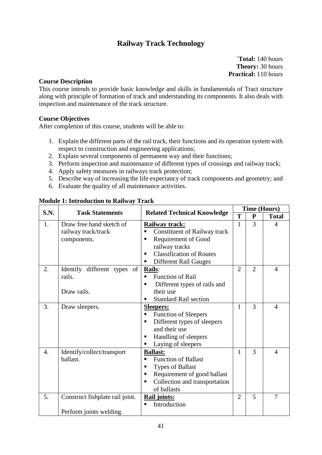## **Railway Track Technology**

`**Total:** 140 hours **Theory:** 30 hours **Practical:** 110 hours

### **Course Description**

This course intends to provide basic knowledge and skills in fundamentals of Tract structure along with principle of formation of track and understanding its components. It also deals with inspection and maintenance of the track structure.

### **Course Objectives**

After completion of this course, students will be able to:

- 1. Explain the different parts of the rail track, their functions and its operation system with respect to construction and engineering applications;
- 2. Explain several components of permanent way and their functions;
- 3. Perform inspection and maintenance of different types of crossings and railway track;
- 4. Apply safety measures in railways track protection;
- 5. Describe way of increasing the life expectancy of track components and geometry; and
- 6. Evaluate the quality of all maintenance activities.

| S.N. |                                 |                                     |                | <b>Time (Hours)</b> |                |  |
|------|---------------------------------|-------------------------------------|----------------|---------------------|----------------|--|
|      | <b>Task Statements</b>          | <b>Related Technical Knowledge</b>  | T              | ${\bf P}$           | <b>Total</b>   |  |
| 1.   | Draw free hand sketch of        | Railway track:                      | 1              | 3                   | 4              |  |
|      | railway track/track             | <b>Constituent of Railway track</b> |                |                     |                |  |
|      | components.                     | Requirement of Good                 |                |                     |                |  |
|      |                                 | railway tracks                      |                |                     |                |  |
|      |                                 | <b>Classification of Routes</b>     |                |                     |                |  |
|      |                                 | <b>Different Rail Gauges</b>        |                |                     |                |  |
| 2.   | Identify different types of     | <b>Rails:</b>                       | $\overline{2}$ | $\overline{2}$      | $\overline{4}$ |  |
|      | rails.                          | <b>Function of Rail</b><br>٠        |                |                     |                |  |
|      |                                 | Different types of rails and<br>п   |                |                     |                |  |
|      | Draw rails.                     | their use                           |                |                     |                |  |
|      |                                 | <b>Standard Rail section</b>        |                |                     |                |  |
| 3.   | Draw sleepers.                  | <b>Sleepers:</b>                    | 1              | 3                   | $\overline{4}$ |  |
|      |                                 | <b>Function of Sleepers</b>         |                |                     |                |  |
|      |                                 | Different types of sleepers         |                |                     |                |  |
|      |                                 | and their use                       |                |                     |                |  |
|      |                                 | Handling of sleepers<br>п           |                |                     |                |  |
|      |                                 | Laying of sleepers                  |                |                     |                |  |
| 4.   | Identify/collect/transport      | <b>Ballast:</b>                     | 1              | 3                   | $\overline{4}$ |  |
|      | ballast.                        | <b>Function of Ballast</b>          |                |                     |                |  |
|      |                                 | <b>Types of Ballast</b><br>п        |                |                     |                |  |
|      |                                 | Requirement of good ballast         |                |                     |                |  |
|      |                                 | Collection and transportation<br>п  |                |                     |                |  |
|      |                                 | of ballasts                         |                |                     |                |  |
| 5.   | Construct fishplate rail joint. | <b>Rail joints:</b>                 | $\overline{2}$ | 5                   | $\overline{7}$ |  |
|      |                                 | Introduction                        |                |                     |                |  |
|      | Perform joints welding.         |                                     |                |                     |                |  |

### **Module 1: Introduction to Railway Track**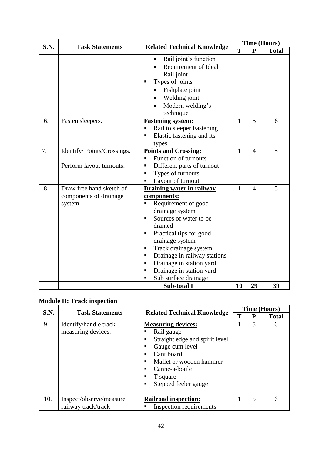| S.N. | <b>Task Statements</b>                                        | <b>Related Technical Knowledge</b>                                                                                                                                                                                                                                                                                                                       | <b>Time (Hours)</b> |                |              |
|------|---------------------------------------------------------------|----------------------------------------------------------------------------------------------------------------------------------------------------------------------------------------------------------------------------------------------------------------------------------------------------------------------------------------------------------|---------------------|----------------|--------------|
|      |                                                               |                                                                                                                                                                                                                                                                                                                                                          | T                   | $\mathbf{P}$   | <b>Total</b> |
|      |                                                               | Rail joint's function<br>$\bullet$<br>Requirement of Ideal<br>Rail joint<br>Types of joints<br>Fishplate joint<br>Welding joint<br>Modern welding's<br>technique                                                                                                                                                                                         |                     |                |              |
| 6.   | Fasten sleepers.                                              | <b>Fastening system:</b><br>Rail to sleeper Fastening<br>Elastic fastening and its<br>types                                                                                                                                                                                                                                                              | $\mathbf{1}$        | 5              | 6            |
| 7.   | Identify/Points/Crossings.<br>Perform layout turnouts.        | <b>Points and Crossing:</b><br>Function of turnouts<br>$\blacksquare$<br>Different parts of turnout<br>П<br>Types of turnouts<br>П<br>Layout of turnout                                                                                                                                                                                                  | 1                   | $\overline{4}$ | 5            |
| 8.   | Draw free hand sketch of<br>components of drainage<br>system. | <b>Draining water in railway</b><br>components:<br>Requirement of good<br>drainage system<br>Sources of water to be<br>٠<br>drained<br>Practical tips for good<br>п<br>drainage system<br>Track drainage system<br>٠<br>Drainage in railway stations<br>П<br>Drainage in station yard<br>٠<br>Drainage in station yard<br>п<br>Sub surface drainage<br>■ | $\mathbf{1}$        | $\overline{4}$ | 5            |
|      |                                                               | <b>Sub-total I</b>                                                                                                                                                                                                                                                                                                                                       | 10                  | 29             | 39           |

# **Module II: Track inspection**

| <b>S.N.</b> | <b>Task Statements</b>                       |                                                                                                                                                                                            |   | <b>Time (Hours)</b> |              |
|-------------|----------------------------------------------|--------------------------------------------------------------------------------------------------------------------------------------------------------------------------------------------|---|---------------------|--------------|
|             |                                              | <b>Related Technical Knowledge</b>                                                                                                                                                         | Т | P                   | <b>Total</b> |
| 9.          | Identify/handle track-<br>measuring devices. | <b>Measuring devices:</b><br>Rail gauge<br>Straight edge and spirit level<br>Gauge cum level<br>Cant board<br>Mallet or wooden hammer<br>Canne-a-boule<br>T square<br>Stepped feeler gauge |   | 5                   | 6            |
| 10.         | Inspect/observe/measure                      | <b>Railroad inspection:</b>                                                                                                                                                                |   | 5                   | 6            |
|             | railway track/track                          | Inspection requirements                                                                                                                                                                    |   |                     |              |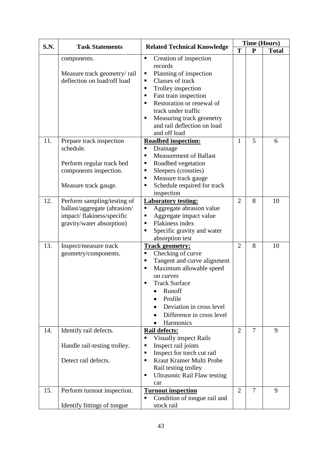| S.N. | <b>Task Statements</b>                                                                                                | <b>Related Technical Knowledge</b>                                                                                                                                                                                                                                                               | <b>Time (Hours)</b> |                |              |
|------|-----------------------------------------------------------------------------------------------------------------------|--------------------------------------------------------------------------------------------------------------------------------------------------------------------------------------------------------------------------------------------------------------------------------------------------|---------------------|----------------|--------------|
|      |                                                                                                                       |                                                                                                                                                                                                                                                                                                  | T                   | ${\bf P}$      | <b>Total</b> |
|      | components.<br>Measure track geometry/rail<br>deflection on load/off load                                             | Creation of inspection<br>п<br>records<br>Planning of inspection<br>Ξ<br>Classes of track<br>٠<br>Trolley inspection<br>٠<br>Fast train inspection<br>٠<br>Restoration or renewal of<br>٠<br>track under traffic<br>Measuring track geometry<br>٠<br>and rail deflection on load<br>and off load |                     |                |              |
| 11.  | Prepare track inspection<br>schedule.<br>Perform regular track bed<br>components inspection.<br>Measure track gauge.  | <b>Roadbed inspection:</b><br>Drainage<br>Ξ<br><b>Measurement of Ballast</b><br>٠<br>Roadbed vegetation<br>٠<br>Sleepers (crossties)<br>п<br>Measure track gauge<br>٠<br>Schedule required for track<br>٠<br>inspection                                                                          | 1                   | 5              | 6            |
| 12.  | Perform sampling/testing of<br>ballast/aggregate (abrasion/<br>impact/flakiness/specific<br>gravity/water absorption) | <b>Laboratory testing:</b><br>Aggregate abrasion value<br>٠<br>Aggregate impact value<br>٠<br><b>Flakiness index</b><br>٠<br>Specific gravity and water<br>absorption test                                                                                                                       | $\overline{2}$      | 8              | 10           |
| 13.  | Inspect/measure track<br>geometry/components.                                                                         | <b>Track geometry:</b><br>Checking of curve<br>П<br>Tangent and curve alignment<br>٠<br>Maximum allowable speed<br>٠<br>on curves<br><b>Track Surface</b><br>Runoff<br>Profile<br>Deviation in cross level<br>Difference in cross level<br>Harmonics                                             | $\overline{2}$      | 8              | 10           |
| 14.  | Identify rail defects.<br>Handle rail-testing trolley.<br>Detect rail defects.                                        | <b>Rail defects:</b><br><b>Visually inspect Rails</b><br>Inspect rail joints<br>٠<br>Inspect for torch cut rail<br>٠<br>Kraut Kramer Multi Probe<br>٠<br>Rail testing trolley<br><b>Ultrasonic Rail Flaw testing</b><br>٠<br>car                                                                 | $\overline{2}$      | $\overline{7}$ | 9            |
| 15.  | Perform turnout inspection.<br>Identify fittings of tongue                                                            | <b>Turnout inspection</b><br>Condition of tongue rail and<br>П<br>stock rail                                                                                                                                                                                                                     | $\overline{2}$      | $\overline{7}$ | 9            |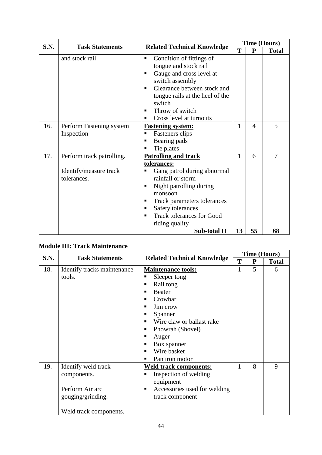| <b>S.N.</b> |                                       | <b>Task Statements</b><br><b>Related Technical Knowledge</b>                                                                                                                                                                              | <b>Time (Hours)</b> |                |                |
|-------------|---------------------------------------|-------------------------------------------------------------------------------------------------------------------------------------------------------------------------------------------------------------------------------------------|---------------------|----------------|----------------|
|             |                                       |                                                                                                                                                                                                                                           | T                   | ${\bf P}$      | <b>Total</b>   |
|             | and stock rail.                       | Condition of fittings of<br>п<br>tongue and stock rail<br>Gauge and cross level at<br>п<br>switch assembly<br>Clearance between stock and<br>tongue rails at the heel of the<br>switch<br>Throw of switch<br>▪<br>Cross level at turnouts |                     |                |                |
| 16.         | Perform Fastening system              | <b>Fastening system:</b>                                                                                                                                                                                                                  | 1                   | $\overline{4}$ | 5              |
|             | Inspection                            | Fasteners clips<br>п<br>Bearing pads<br>Tie plates                                                                                                                                                                                        |                     |                |                |
| 17.         | Perform track patrolling.             | <b>Patrolling and track</b><br>tolerances:                                                                                                                                                                                                | 1                   | 6              | $\overline{7}$ |
|             | Identify/measure track<br>tolerances. | Gang patrol during abnormal<br>rainfall or storm<br>Night patrolling during<br>п<br>monsoon<br>Track parameters tolerances<br>п<br>Safety tolerances<br>٠<br><b>Track tolerances for Good</b><br>riding quality                           |                     |                |                |
|             |                                       | Sub-total II                                                                                                                                                                                                                              | 13                  | 55             | 68             |

### **Module III: Track Maintenance**

|             |                             | <b>Related Technical Knowledge</b> | <b>Time (Hours)</b> |           |              |
|-------------|-----------------------------|------------------------------------|---------------------|-----------|--------------|
| <b>S.N.</b> | <b>Task Statements</b>      |                                    | T                   | ${\bf P}$ | <b>Total</b> |
| 18.         | Identify tracks maintenance | <b>Maintenance tools:</b>          | 1                   | 5         | 6            |
|             | tools.                      | Sleeper tong<br>п                  |                     |           |              |
|             |                             | Rail tong                          |                     |           |              |
|             |                             | <b>Beater</b>                      |                     |           |              |
|             |                             | Crowbar<br>п                       |                     |           |              |
|             |                             | Jim crow<br>٠                      |                     |           |              |
|             |                             | Spanner                            |                     |           |              |
|             |                             | Wire claw or ballast rake<br>٠     |                     |           |              |
|             |                             | Phowrah (Shovel)<br>п              |                     |           |              |
|             |                             | Auger<br>п                         |                     |           |              |
|             |                             | Box spanner<br>п                   |                     |           |              |
|             |                             | Wire basket                        |                     |           |              |
|             |                             | Pan iron motor                     |                     |           |              |
| 19.         | Identify weld track         | Weld track components:             |                     | 8         | 9            |
|             | components.                 | Inspection of welding              |                     |           |              |
|             |                             | equipment                          |                     |           |              |
|             | Perform Air arc             | Accessories used for welding       |                     |           |              |
|             | gouging/grinding.           | track component                    |                     |           |              |
|             |                             |                                    |                     |           |              |
|             | Weld track components.      |                                    |                     |           |              |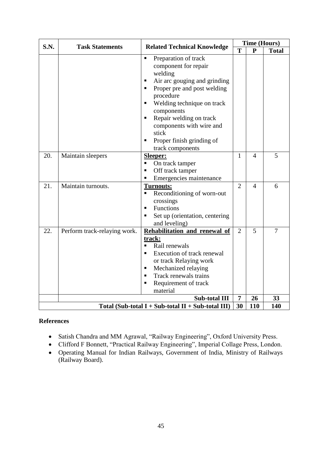| S.N. | <b>Task Statements</b>                             | <b>Related Technical Knowledge</b>                                                                                                                                                                                                                                                                                        | <b>Time (Hours)</b> |                |                |
|------|----------------------------------------------------|---------------------------------------------------------------------------------------------------------------------------------------------------------------------------------------------------------------------------------------------------------------------------------------------------------------------------|---------------------|----------------|----------------|
|      |                                                    |                                                                                                                                                                                                                                                                                                                           | T                   | ${\bf P}$      | <b>Total</b>   |
|      |                                                    | Preparation of track<br>٠<br>component for repair<br>welding<br>Air arc gouging and grinding<br>٠<br>Proper pre and post welding<br>٠<br>procedure<br>Welding technique on track<br>٠<br>components<br>Repair welding on track<br>п<br>components with wire and<br>stick<br>Proper finish grinding of<br>track components |                     |                |                |
| 20.  | Maintain sleepers                                  | <b>Sleeper:</b><br>On track tamper<br>П<br>Off track tamper<br>п<br>Emergencies maintenance                                                                                                                                                                                                                               | 1                   | $\overline{4}$ | 5              |
| 21.  | Maintain turnouts.                                 | <b>Turnouts:</b><br>Reconditioning of worn-out<br>٠<br>crossings<br>Functions<br>٠<br>Set up (orientation, centering<br>and leveling)                                                                                                                                                                                     | $\overline{2}$      | $\overline{4}$ | 6              |
| 22.  | Perform track-relaying work.                       | Rehabilitation and renewal of<br>track:<br>Rail renewals<br>$\blacksquare$<br>Execution of track renewal<br>or track Relaying work<br>Mechanized relaying<br>٠<br>Track renewals trains<br>Requirement of track<br>п<br>material                                                                                          | $\overline{2}$      | 5              | $\overline{7}$ |
|      |                                                    | <b>Sub-total III</b>                                                                                                                                                                                                                                                                                                      | 7<br>30             | 26<br>110      | 33             |
|      | Total (Sub-total I + Sub-total II + Sub-total III) |                                                                                                                                                                                                                                                                                                                           |                     |                | 140            |

- Satish Chandra and MM Agrawal, "Railway Engineering", Oxford University Press.
- Clifford F Bonnett, "Practical Railway Engineering", Imperial Collage Press, London.
- Operating Manual for Indian Railways, Government of India, Ministry of Railways (Railway Board).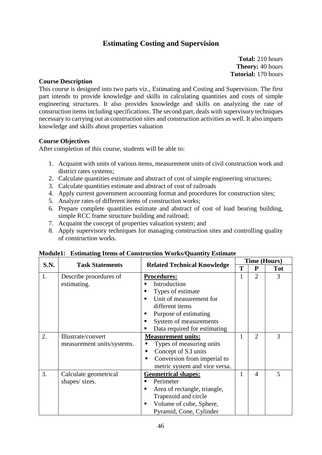## **Estimating Costing and Supervision**

**Total:** 210 hours **Theory:** 40 hours **Tutorial:** 170 hours

#### **Course Description**

This course is designed into two parts viz., Estimating and Costing and Supervision. The first part intends to provide knowledge and skills in calculating quantities and costs of simple engineering structures. It also provides knowledge and skills on analyzing the rate of construction items including specifications. The second part, deals with supervisory techniques necessary to carrying out at construction sites and construction activities as well. It also imparts knowledge and skills about properties valuation

### **Course Objectives**

After completion of this course, students will be able to:

- 1. Acquaint with units of various items, measurement units of civil construction work and district rates systems;
- 2. Calculate quantities estimate and abstract of cost of simple engineering structures;
- 3. Calculate quantities estimate and abstract of cost of railroads
- 4. Apply current government accounting format and procedures for construction sites;
- 5. Analyze rates of different items of construction works;
- 6. Prepare complete quantities estimate and abstract of cost of load bearing building, simple RCC frame structure building and railroad;
- 7. Acquaint the concept of properties valuation system; and
- 8. Apply supervisory techniques for managing construction sites and controlling quality of construction works.

|             |                            | <b>Related Technical Knowledge</b>        | <b>Time (Hours)</b> |                |            |
|-------------|----------------------------|-------------------------------------------|---------------------|----------------|------------|
| <b>S.N.</b> | <b>Task Statements</b>     |                                           | T                   | ${\bf P}$      | <b>Tot</b> |
| 1.          | Describe procedures of     | <b>Procedures:</b>                        |                     | $\overline{2}$ | 3          |
|             | estimating.                | Introduction                              |                     |                |            |
|             |                            | Types of estimate<br>п                    |                     |                |            |
|             |                            | Unit of measurement for<br>$\blacksquare$ |                     |                |            |
|             |                            | different items                           |                     |                |            |
|             |                            | Purpose of estimating<br>п                |                     |                |            |
|             |                            | System of measurements<br>п               |                     |                |            |
|             |                            | Data required for estimating<br>п         |                     |                |            |
| 2.          | Illustrate/convert         | <b>Measurement units:</b>                 | 1                   | $\mathfrak{2}$ | 3          |
|             | measurement units/systems. | Types of measuring units                  |                     |                |            |
|             |                            | Concept of S.I units                      |                     |                |            |
|             |                            | Conversion from imperial to               |                     |                |            |
|             |                            | metric system and vice versa.             |                     |                |            |
| 3.          | Calculate geometrical      | <b>Geometrical shapes:</b>                | 1                   | 4              | 5          |
|             | shapes/sizes.              | Perimeter                                 |                     |                |            |
|             |                            | Area of rectangle, triangle,<br>п         |                     |                |            |
|             |                            | Trapezoid and circle                      |                     |                |            |
|             |                            | Volume of cube, Sphere,<br>п              |                     |                |            |
|             |                            | Pyramid, Cone, Cylinder                   |                     |                |            |

**Module1: Estimating Items of Construction Works/Quantity Estimate**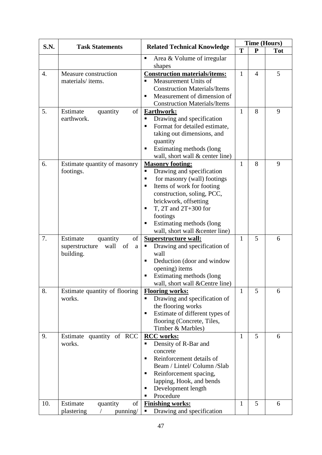| <b>S.N.</b> | <b>Task Statements</b>                                                       |                                                                                                                                                                                                                                                                                                                     | Time (Hours) |                |            |
|-------------|------------------------------------------------------------------------------|---------------------------------------------------------------------------------------------------------------------------------------------------------------------------------------------------------------------------------------------------------------------------------------------------------------------|--------------|----------------|------------|
|             |                                                                              | <b>Related Technical Knowledge</b>                                                                                                                                                                                                                                                                                  | T            | ${\bf P}$      | <b>Tot</b> |
|             |                                                                              | Area & Volume of irregular<br>П<br>shapes                                                                                                                                                                                                                                                                           |              |                |            |
| 4.          | Measure construction<br>materials/items.                                     | <b>Construction materials/items:</b><br>Measurement Units of<br><b>Construction Materials/Items</b><br>Measurement of dimension of<br>$\blacksquare$<br><b>Construction Materials/Items</b>                                                                                                                         | $\mathbf{1}$ | $\overline{4}$ | 5          |
| 5.          | Estimate<br>of<br>quantity<br>earthwork.                                     | <b>Earthwork:</b><br>Drawing and specification<br>٠<br>Format for detailed estimate,<br>п<br>taking out dimensions, and<br>quantity<br>Estimating methods (long<br>Е<br>wall, short wall & center line)                                                                                                             | 1            | 8              | 9          |
| 6.          | Estimate quantity of masonry<br>footings.                                    | <b>Masonry footing:</b><br>Drawing and specification<br>٠<br>for masonry (wall) footings<br>٠<br>Items of work for footing<br>$\blacksquare$<br>construction, soling, PCC,<br>brickwork, offsetting<br>T, $2T$ and $2T+300$ for<br>٠<br>footings<br>Estimating methods (long<br>П<br>wall, short wall &center line) | 1            | 8              | 9          |
| 7.          | of<br>Estimate<br>quantity<br>wall<br>of<br>superstructure<br>a<br>building. | <b>Superstructure wall:</b><br>Drawing and specification of<br>п<br>wall<br>Deduction (door and window<br>٠<br>opening) items<br>Estimating methods (long<br>wall, short wall & Centre line)                                                                                                                        | $\mathbf{1}$ | 5              | 6          |
| 8.          | Estimate quantity of flooring<br>works.                                      | <b>Flooring works:</b><br>Drawing and specification of<br>the flooring works<br>Estimate of different types of<br>П<br>flooring (Concrete, Tiles,<br>Timber & Marbles)                                                                                                                                              | $\mathbf{1}$ | 5              | 6          |
| 9.          | Estimate quantity of RCC<br>works.                                           | <b>RCC</b> works:<br>Density of R-Bar and<br>п<br>concrete<br>Reinforcement details of<br>٠<br>Beam / Lintel/ Column /Slab<br>Reinforcement spacing,<br>п<br>lapping, Hook, and bends<br>Development length<br>п<br>Procedure                                                                                       | 1            | 5              | 6          |
| 10.         | Estimate<br>quantity<br>of<br>plastering<br>punning/<br>$\sqrt{2}$           | <b>Finishing works:</b><br>Drawing and specification<br>п                                                                                                                                                                                                                                                           | 1            | 5              | 6          |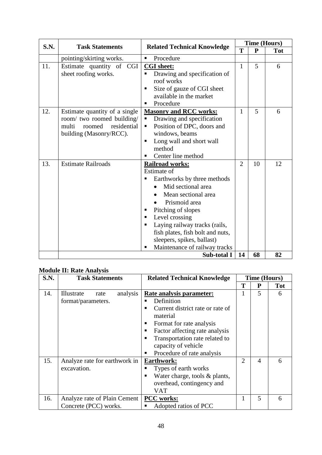| S.N. | <b>Task Statements</b>                                                                                                   | <b>Related Technical Knowledge</b>                                                                                                                                                                                                                                                                                                 | <b>Time (Hours)</b> |              |            |
|------|--------------------------------------------------------------------------------------------------------------------------|------------------------------------------------------------------------------------------------------------------------------------------------------------------------------------------------------------------------------------------------------------------------------------------------------------------------------------|---------------------|--------------|------------|
|      |                                                                                                                          |                                                                                                                                                                                                                                                                                                                                    | T                   | $\mathbf{P}$ | <b>Tot</b> |
|      | pointing/skirting works.                                                                                                 | Procedure<br>$\blacksquare$                                                                                                                                                                                                                                                                                                        |                     |              |            |
| 11.  | Estimate quantity of CGI<br>sheet roofing works.                                                                         | <b>CGI</b> sheet:<br>Drawing and specification of<br>$\blacksquare$<br>roof works<br>Size of gauze of CGI sheet<br>п<br>available in the market<br>Procedure<br>п                                                                                                                                                                  | $\mathbf{1}$        | 5            | 6          |
| 12.  | Estimate quantity of a single<br>room/ two roomed building/<br>roomed<br>residential<br>multi<br>building (Masonry/RCC). | <b>Masonry and RCC works:</b><br>Drawing and specification<br>П<br>Position of DPC, doors and<br>٠<br>windows, beams<br>Long wall and short wall<br>٠<br>method<br>Center line method<br>п                                                                                                                                         | 1                   | 5            | 6          |
| 13.  | <b>Estimate Railroads</b>                                                                                                | <b>Railroad works:</b><br>Estimate of<br>Earthworks by three methods<br>п<br>Mid sectional area<br>Mean sectional area<br>Prismoid area<br>Pitching of slopes<br>п<br>Level crossing<br>٠<br>Laying railway tracks (rails,<br>fish plates, fish bolt and nuts,<br>sleepers, spikes, ballast)<br>Maintenance of railway tracks<br>п | $\overline{2}$      | 10           | 12         |
|      |                                                                                                                          | Sub-total I                                                                                                                                                                                                                                                                                                                        | 14                  | 68           | 82         |

## **Module II: Rate Analysis**

| <b>S.N.</b> | <b>Task Statements</b>                                | <b>Related Technical Knowledge</b>                                                                                                                                                                                                                              |                | <b>Time (Hours)</b> |            |
|-------------|-------------------------------------------------------|-----------------------------------------------------------------------------------------------------------------------------------------------------------------------------------------------------------------------------------------------------------------|----------------|---------------------|------------|
|             |                                                       |                                                                                                                                                                                                                                                                 | Т              | P                   | <b>Tot</b> |
| 14.         | analysis<br>Illustrate<br>rate<br>format/parameters.  | Rate analysis parameter:<br>Definition<br>Current district rate or rate of<br>▪<br>material<br>Format for rate analysis<br>Factor affecting rate analysis<br>п<br>Transportation rate related to<br>п<br>capacity of vehicle<br>Procedure of rate analysis<br>п |                | 5                   | 6          |
| 15.         | Analyze rate for earthwork in<br>excavation.          | <b>Earthwork:</b><br>Types of earth works<br>Water charge, tools & plants,<br>п<br>overhead, contingency and<br>VAT                                                                                                                                             | $\overline{2}$ | $\overline{A}$      | 6          |
| 16.         | Analyze rate of Plain Cement<br>Concrete (PCC) works. | <b>PCC</b> works:<br>Adopted ratios of PCC<br>п                                                                                                                                                                                                                 |                | 5                   | 6          |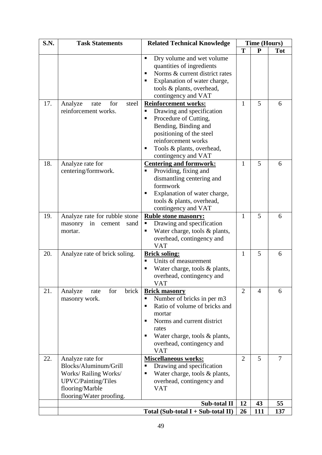| <b>S.N.</b> | <b>Task Statements</b>                                                                                                                   | <b>Related Technical Knowledge</b>                                                                                                                                                                                                   |                | <b>Time (Hours)</b> |                |
|-------------|------------------------------------------------------------------------------------------------------------------------------------------|--------------------------------------------------------------------------------------------------------------------------------------------------------------------------------------------------------------------------------------|----------------|---------------------|----------------|
|             |                                                                                                                                          |                                                                                                                                                                                                                                      | T              | $\mathbf{P}$        | <b>Tot</b>     |
| 17.         | Analyze<br>for<br>steel<br>rate                                                                                                          | Dry volume and wet volume<br>п<br>quantities of ingredients<br>Norms & current district rates<br>п<br>Explanation of water charge,<br>tools & plants, overhead,<br>contingency and VAT<br>Reinforcement works:                       | 1              | 5                   | 6              |
|             | reinforcement works.                                                                                                                     | Drawing and specification<br>П<br>Procedure of Cutting,<br>٠<br>Bending, Binding and<br>positioning of the steel<br>reinforcement works<br>Tools & plants, overhead,<br>п<br>contingency and VAT                                     |                |                     |                |
| 18.         | Analyze rate for<br>centering/formwork.                                                                                                  | <b>Centering and formwork:</b><br>Providing, fixing and<br>dismantling centering and<br>formwork<br>Explanation of water charge,<br>п<br>tools & plants, overhead,<br>contingency and VAT                                            | $\mathbf{1}$   | 5                   | 6              |
| 19.         | Analyze rate for rubble stone<br>masonry<br>in<br>cement<br>sand<br>mortar.                                                              | <b>Ruble stone masonry:</b><br>Drawing and specification<br>Е<br>Water charge, tools $&$ plants,<br>Ξ<br>overhead, contingency and<br><b>VAT</b>                                                                                     | 1              | 5                   | 6              |
| 20.         | Analyze rate of brick soling.                                                                                                            | <b>Brick soling:</b><br>Units of measurement<br>٠<br>Water charge, tools & plants,<br>overhead, contingency and<br><b>VAT</b>                                                                                                        | 1              | 5                   | 6              |
| 21.         | brick<br>for<br>Analyze<br>rate<br>masonry work.                                                                                         | <b>Brick masonry</b><br>Number of bricks in per m3<br>٠<br>Ratio of volume of bricks and<br>П<br>mortar<br>Norms and current district<br>п<br>rates<br>Water charge, tools & plants,<br>П<br>overhead, contingency and<br><b>VAT</b> | $\overline{2}$ | $\overline{4}$      | 6              |
| 22.         | Analyze rate for<br>Blocks/Aluminum/Grill<br>Works/ Railing Works/<br>UPVC/Painting/Tiles<br>flooring/Marble<br>flooring/Water proofing. | <b>Miscellaneous works:</b><br>Drawing and specification<br>п<br>Water charge, tools & plants,<br>$\blacksquare$<br>overhead, contingency and<br><b>VAT</b>                                                                          | $\overline{2}$ | 5                   | $\overline{7}$ |
|             |                                                                                                                                          | Sub-total II                                                                                                                                                                                                                         | 12             | 43                  | 55             |
|             |                                                                                                                                          | Total (Sub-total $I + Sub$ -total II)                                                                                                                                                                                                | 26             | 111                 | 137            |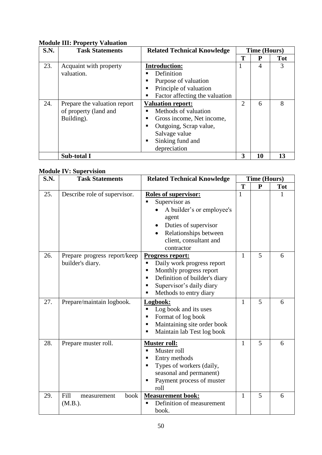## **Module III: Property Valuation**

| S.N. | <b>Task Statements</b>       | <b>Related Technical Knowledge</b> | <b>Time (Hours)</b> |    |            |
|------|------------------------------|------------------------------------|---------------------|----|------------|
|      |                              |                                    | Т                   | P  | <b>Tot</b> |
| 23.  | Acquaint with property       | <b>Introduction:</b>               |                     | 4  |            |
|      | valuation.                   | Definition                         |                     |    |            |
|      |                              | Purpose of valuation               |                     |    |            |
|      |                              | Principle of valuation<br>п        |                     |    |            |
|      |                              | Factor affecting the valuation     |                     |    |            |
| 24.  | Prepare the valuation report | <b>Valuation report:</b>           | $\overline{2}$      | 6  | 8          |
|      | of property (land and        | Methods of valuation               |                     |    |            |
|      | Building).                   | Gross income, Net income,<br>п     |                     |    |            |
|      |                              | Outgoing, Scrap value,<br>п        |                     |    |            |
|      |                              | Salvage value                      |                     |    |            |
|      |                              | Sinking fund and                   |                     |    |            |
|      |                              | depreciation                       |                     |    |            |
|      | Sub-total I                  |                                    | 3                   | 10 | 13         |

### **Module IV: Supervision**

| S.N. | <b>Task Statements</b>                           | <b>Related Technical Knowledge</b>                                                                                                                                                          | <b>Time (Hours)</b> |              |            |
|------|--------------------------------------------------|---------------------------------------------------------------------------------------------------------------------------------------------------------------------------------------------|---------------------|--------------|------------|
|      |                                                  |                                                                                                                                                                                             | T                   | $\mathbf{P}$ | <b>Tot</b> |
| 25.  | Describe role of supervisor.                     | <b>Roles of supervisor:</b><br>Supervisor as<br>A builder's or employee's<br>agent<br>Duties of supervisor<br>Relationships between<br>client, consultant and<br>contractor                 | 1                   |              |            |
| 26.  | Prepare progress report/keep<br>builder's diary. | <b>Progress report:</b><br>Daily work progress report<br>п<br>Monthly progress report<br>Е<br>Definition of builder's diary<br>п<br>Supervisor's daily diary<br>п<br>Methods to entry diary | 1                   | 5            | 6          |
| 27.  | Prepare/maintain logbook.                        | Logbook:<br>Log book and its uses<br>Format of log book<br>$\blacksquare$<br>Maintaining site order book<br>Maintain lab Test log book                                                      | 1                   | 5            | 6          |
| 28.  | Prepare muster roll.                             | <b>Muster roll:</b><br>Muster roll<br>Entry methods<br>Types of workers (daily,<br>п<br>seasonal and permanent)<br>Payment process of muster<br>roll                                        | 1                   | 5            | 6          |
| 29.  | Fill<br>book<br>measurement<br>(M.B.).           | <b>Measurement book:</b><br>Definition of measurement<br>book.                                                                                                                              | 1                   | 5            | 6          |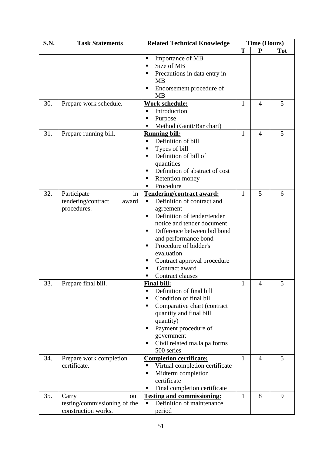| S.N. | <b>Task Statements</b>                                              | <b>Related Technical Knowledge</b>                                                                                                                                                                                                                                                                                                                           |              | Time (Hours)   |            |
|------|---------------------------------------------------------------------|--------------------------------------------------------------------------------------------------------------------------------------------------------------------------------------------------------------------------------------------------------------------------------------------------------------------------------------------------------------|--------------|----------------|------------|
|      |                                                                     |                                                                                                                                                                                                                                                                                                                                                              | T            | ${\bf P}$      | <b>Tot</b> |
|      |                                                                     | Importance of MB<br>Е<br>Size of MB<br>п<br>Precautions in data entry in<br>п<br><b>MB</b><br>Endorsement procedure of<br>п<br><b>MB</b>                                                                                                                                                                                                                     |              |                |            |
| 30.  | Prepare work schedule.                                              | <b>Work schedule:</b><br>Introduction<br>Purpose<br>п<br>Method (Gantt/Bar chart)                                                                                                                                                                                                                                                                            | $\mathbf{1}$ | $\overline{4}$ | 5          |
| 31.  | Prepare running bill.                                               | <b>Running bill:</b><br>Definition of bill<br>$\blacksquare$<br>Types of bill<br>Е<br>Definition of bill of<br>quantities<br>Definition of abstract of cost<br>п<br>Retention money<br>п<br>Procedure                                                                                                                                                        | $\mathbf{1}$ | $\overline{4}$ | 5          |
| 32.  | Participate<br>in<br>tendering/contract<br>award<br>procedures.     | Tendering/contract award:<br>Definition of contract and<br>$\blacksquare$<br>agreement<br>Definition of tender/tender<br>п<br>notice and tender document<br>Difference between bid bond<br>п<br>and performance bond<br>Procedure of bidder's<br>$\blacksquare$<br>evaluation<br>Contract approval procedure<br>п<br>Contract award<br>п<br>Contract clauses | $\mathbf{1}$ | 5              | 6          |
| 33.  | Prepare final bill.                                                 | <b>Final bill:</b><br>Definition of final bill<br>п<br>Condition of final bill<br>п<br>Comparative chart (contract<br>quantity and final bill<br>quantity)<br>Payment procedure of<br>government<br>Civil related ma.la.pa forms<br>п<br>500 series                                                                                                          | $\bf{l}$     | 4              | 5          |
| 34.  | Prepare work completion<br>certificate.                             | <b>Completion certificate:</b><br>Virtual completion certificate<br>٠<br>Midterm completion<br>П<br>certificate<br>Final completion certificate                                                                                                                                                                                                              | $\mathbf{1}$ | $\overline{4}$ | 5          |
| 35.  | Carry<br>out<br>testing/commissioning of the<br>construction works. | <b>Testing and commissioning:</b><br>Definition of maintenance<br>$\blacksquare$<br>period                                                                                                                                                                                                                                                                   | 1            | 8              | 9          |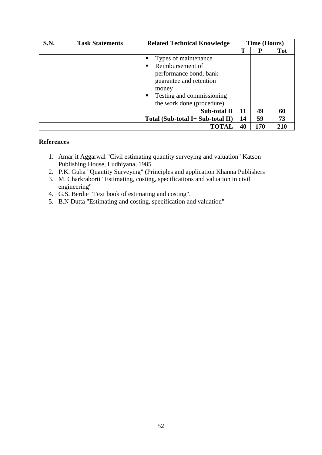| <b>S.N.</b> | <b>Task Statements</b> | <b>Related Technical Knowledge</b>                                                                                                                                              |    | <b>Time (Hours)</b> |            |
|-------------|------------------------|---------------------------------------------------------------------------------------------------------------------------------------------------------------------------------|----|---------------------|------------|
|             |                        |                                                                                                                                                                                 | Т  | P                   | <b>Tot</b> |
|             |                        | Types of maintenance<br>Е<br>Reimbursement of<br>п<br>performance bond, bank<br>guarantee and retention<br>money<br>Testing and commissioning<br>п<br>the work done (procedure) |    |                     |            |
|             |                        | <b>Sub-total II</b>                                                                                                                                                             | 11 | 49                  | 60         |
|             |                        | Total (Sub-total I+ Sub-total II)                                                                                                                                               | 14 | 59                  | 73         |
|             |                        | <b>TOTAL</b>                                                                                                                                                                    | 40 | 170                 | 210        |

- 1. Amarjit Aggarwal "Civil estimating quantity surveying and valuation" Katson Publishing House, Ludhiyana, 1985
- 2. P.K. Guha "Quantity Surveying" (Principles and application Khanna Publishers
- 3. M. Charkraborti "Estimating, costing, specifications and valuation in civil engineering"
- 4. G.S. Berdie "Text book of estimating and costing".
- 5. B.N Dutta "Estimating and costing, specification and valuation"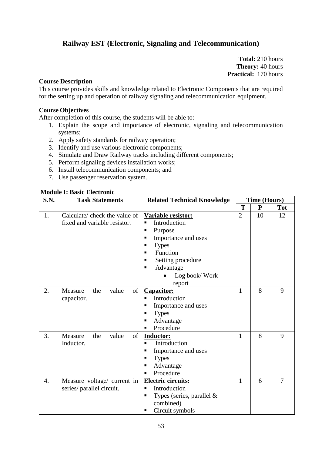## **Railway EST (Electronic, Signaling and Telecommunication)**

**Total:** 210 hours **Theory:** 40 hours **Practical:** 170 hours

### **Course Description**

This course provides skills and knowledge related to Electronic Components that are required for the setting up and operation of railway signaling and telecommunication equipment.

#### **Course Objectives**

After completion of this course, the students will be able to:

- 1. Explain the scope and importance of electronic, signaling and telecommunication systems;
- 2. Apply safety standards for railway operation;
- 3. Identify and use various electronic components;
- 4. Simulate and Draw Railway tracks including different components;
- 5. Perform signaling devices installation works;
- 6. Install telecommunication components; and
- 7. Use passenger reservation system.

#### **Module I: Basic Electronic**

| S.N.             | <b>Task Statements</b>                                        | <b>Related Technical Knowledge</b>                                                                                                                                                      |                | <b>Time (Hours)</b> |            |
|------------------|---------------------------------------------------------------|-----------------------------------------------------------------------------------------------------------------------------------------------------------------------------------------|----------------|---------------------|------------|
|                  |                                                               |                                                                                                                                                                                         | T              | ${\bf P}$           | <b>Tot</b> |
| 1.               | Calculate/ check the value of<br>fixed and variable resistor. | Variable resistor:<br>Introduction<br>×,<br>Purpose<br>п<br>Importance and uses<br>п<br><b>Types</b><br>Function<br>▪<br>Setting procedure<br>Advantage<br>п<br>Log book/Work<br>report | $\overline{2}$ | 10                  | 12         |
| 2.               | of<br>Measure<br>the<br>value<br>capacitor.                   | Capacitor:<br>Introduction<br>٠<br>Importance and uses<br>п<br><b>Types</b><br>Advantage<br>Procedure                                                                                   | 1              | 8                   | 9          |
| 3.               | of<br>Measure<br>the<br>value<br>Inductor.                    | Inductor:<br>Introduction<br>٠<br>Importance and uses<br><b>Types</b><br>п<br>Advantage<br>Procedure                                                                                    | 1              | 8                   | 9          |
| $\overline{4}$ . | Measure voltage/ current in<br>series/ parallel circuit.      | <b>Electric circuits:</b><br>Introduction<br>п<br>Types (series, parallel $&$<br>П<br>combined)<br>Circuit symbols<br>п                                                                 | 1              | 6                   | 7          |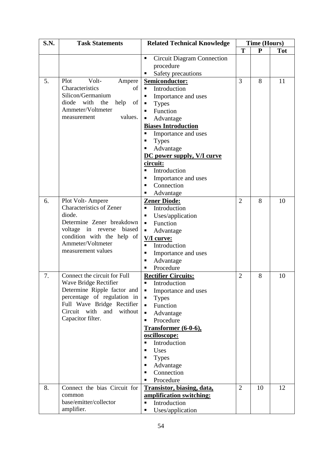| S.N. | <b>Task Statements</b>                                       | <b>Related Technical Knowledge</b> |                | <b>Time (Hours)</b> |            |
|------|--------------------------------------------------------------|------------------------------------|----------------|---------------------|------------|
|      |                                                              |                                    | T              | ${\bf P}$           | <b>Tot</b> |
|      |                                                              | <b>Circuit Diagram Connection</b>  |                |                     |            |
|      |                                                              | procedure                          |                |                     |            |
|      |                                                              | Safety precautions<br>Ξ            |                |                     |            |
| 5.   | Volt-<br>Plot<br>Ampere                                      | Semiconductor:                     | 3              | 8                   | 11         |
|      | <sub>of</sub><br>Characteristics                             | Introduction<br>٠                  |                |                     |            |
|      | Silicon/Germanium                                            | Importance and uses<br>П           |                |                     |            |
|      | diode with the<br>help<br>of                                 | <b>Types</b><br>п                  |                |                     |            |
|      | Ammeter/Voltmeter                                            | Function<br>п                      |                |                     |            |
|      | values.<br>measurement                                       | Advantage<br>٠                     |                |                     |            |
|      |                                                              | <b>Biases Introduction</b>         |                |                     |            |
|      |                                                              | Importance and uses<br>Ξ           |                |                     |            |
|      |                                                              | <b>Types</b>                       |                |                     |            |
|      |                                                              | Advantage                          |                |                     |            |
|      |                                                              | <b>DC</b> power supply, V/I curve  |                |                     |            |
|      |                                                              | <u>circuit:</u>                    |                |                     |            |
|      |                                                              | Introduction<br>٠                  |                |                     |            |
|      |                                                              | Importance and uses                |                |                     |            |
|      |                                                              | Connection                         |                |                     |            |
|      |                                                              | Advantage                          |                |                     |            |
| 6.   | Plot Volt-Ampere                                             | <b>Zener Diode:</b>                | $\overline{2}$ | 8                   | 10         |
|      | <b>Characteristics of Zener</b>                              | Introduction<br>п                  |                |                     |            |
|      | diode.                                                       | Uses/application<br>٠              |                |                     |            |
|      | Determine Zener breakdown                                    | Function<br>П                      |                |                     |            |
|      | voltage in reverse biased                                    | П<br>Advantage                     |                |                     |            |
|      | condition with the help of                                   | V/I curve:                         |                |                     |            |
|      | Ammeter/Voltmeter<br>measurement values                      | Introduction<br>٠                  |                |                     |            |
|      |                                                              | Importance and uses<br>п           |                |                     |            |
|      |                                                              | Advantage<br>п                     |                |                     |            |
|      |                                                              | Procedure<br>п                     |                |                     |            |
| 7.   | Connect the circuit for Full                                 | <b>Rectifier Circuits:</b>         | $\overline{2}$ | 8                   | 10         |
|      | Wave Bridge Rectifier                                        | Introduction<br>٠                  |                |                     |            |
|      | Determine Ripple factor and                                  | Importance and uses<br>П           |                |                     |            |
|      | percentage of regulation in                                  | <b>Types</b><br>Ξ                  |                |                     |            |
|      | Full Wave Bridge Rectifier<br>Circuit with<br>and<br>without | Function<br>$\blacksquare$         |                |                     |            |
|      | Capacitor filter.                                            | $\blacksquare$<br>Advantage        |                |                     |            |
|      |                                                              | Procedure<br>٠                     |                |                     |            |
|      |                                                              | Transformer (6-0-6),               |                |                     |            |
|      |                                                              | oscilloscope:<br>Introduction<br>٠ |                |                     |            |
|      |                                                              |                                    |                |                     |            |
|      |                                                              | Uses<br>п                          |                |                     |            |
|      |                                                              | <b>Types</b><br>п                  |                |                     |            |
|      |                                                              | Advantage<br>Connection<br>п       |                |                     |            |
|      |                                                              | Procedure                          |                |                     |            |
| 8.   | Connect the bias Circuit for                                 | <b>Transistor, biasing, data,</b>  | $\overline{2}$ | 10                  | 12         |
|      | common                                                       | amplification switching:           |                |                     |            |
|      | base/emitter/collector                                       | Introduction<br>П                  |                |                     |            |
|      | amplifier.                                                   | Uses/application<br>٠              |                |                     |            |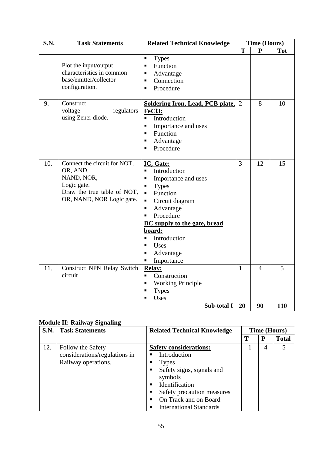| <b>S.N.</b> | <b>Task Statements</b>                                                                                                            | <b>Related Technical Knowledge</b>                                                                                                                                                                                                                                                                      |              |           | <b>Time (Hours)</b> |  |
|-------------|-----------------------------------------------------------------------------------------------------------------------------------|---------------------------------------------------------------------------------------------------------------------------------------------------------------------------------------------------------------------------------------------------------------------------------------------------------|--------------|-----------|---------------------|--|
|             |                                                                                                                                   |                                                                                                                                                                                                                                                                                                         | T            | ${\bf P}$ | <b>Tot</b>          |  |
|             | Plot the input/output<br>characteristics in common<br>base/emitter/collector<br>configuration.                                    | п<br><b>Types</b><br>Function<br>П<br>Advantage<br>П<br>Connection<br>Π<br>Procedure<br>$\blacksquare$                                                                                                                                                                                                  |              |           |                     |  |
| 9.          | Construct<br>voltage<br>regulators<br>using Zener diode.                                                                          | <b>Soldering Iron, Lead, PCB plate,</b><br><b>FeCl3:</b><br>Introduction<br>п<br>Importance and uses<br>Ξ<br>Function<br>٠<br>Advantage<br>Π<br>Procedure                                                                                                                                               | 2            | 8         | 10                  |  |
| 10.         | Connect the circuit for NOT,<br>OR, AND,<br>NAND, NOR,<br>Logic gate.<br>Draw the true table of NOT,<br>OR, NAND, NOR Logic gate. | IC, Gate:<br>Introduction<br>$\blacksquare$<br>Importance and uses<br>٠<br><b>Types</b><br>٠<br>Function<br>$\blacksquare$<br>Circuit diagram<br>Ξ<br>Advantage<br>П<br>Procedure<br>П<br>DC supply to the gate, bread<br>board:<br>Introduction<br>п<br>Uses<br>٠<br>Advantage<br>п<br>Importance<br>п | 3            | 12        | 15                  |  |
| 11.         | Construct NPN Relay Switch<br>circuit                                                                                             | <b>Relay:</b><br>Construction<br>П<br><b>Working Principle</b><br>П<br><b>Types</b><br>Uses                                                                                                                                                                                                             | $\mathbf{1}$ | 4         | 5                   |  |
|             |                                                                                                                                   | Sub-total I                                                                                                                                                                                                                                                                                             | 20           | 90        | 110                 |  |

### **Module II: Railway Signaling**

| S.N. | <b>Task Statements</b>        | <b>Related Technical Knowledge</b> | <b>Time (Hours)</b> |   |              |
|------|-------------------------------|------------------------------------|---------------------|---|--------------|
|      |                               |                                    | Т                   | P | <b>Total</b> |
| 12.  | Follow the Safety             | <b>Safety considerations:</b>      |                     | 4 | 5            |
|      | considerations/regulations in | Introduction                       |                     |   |              |
|      | Railway operations.           | <b>Types</b>                       |                     |   |              |
|      |                               | Safety signs, signals and          |                     |   |              |
|      |                               | symbols                            |                     |   |              |
|      |                               | Identification<br>п                |                     |   |              |
|      |                               | Safety precaution measures         |                     |   |              |
|      |                               | On Track and on Board              |                     |   |              |
|      |                               | <b>International Standards</b>     |                     |   |              |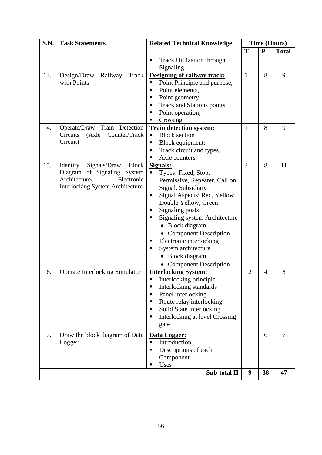| <b>S.N.</b> | <b>Task Statements</b>                                                                                                                            | <b>Related Technical Knowledge</b>                                                                                                                                                                                                                                                                                                                                            |                | <b>Time (Hours)</b> |              |
|-------------|---------------------------------------------------------------------------------------------------------------------------------------------------|-------------------------------------------------------------------------------------------------------------------------------------------------------------------------------------------------------------------------------------------------------------------------------------------------------------------------------------------------------------------------------|----------------|---------------------|--------------|
|             |                                                                                                                                                   |                                                                                                                                                                                                                                                                                                                                                                               | T              | ${\bf P}$           | <b>Total</b> |
|             |                                                                                                                                                   | <b>Track Utilization through</b><br>٠<br>Signaling                                                                                                                                                                                                                                                                                                                            |                |                     |              |
| 13.         | Design/Draw<br>Railway<br>Track<br>with Points                                                                                                    | Designing of railway track:<br>Point Principle and purpose,<br>Ξ<br>Point elements,<br>п<br>Point geometry,<br>п<br><b>Track and Stations points</b><br>٠<br>Point operation,<br>Crossing                                                                                                                                                                                     | 1              | 8                   | 9            |
| 14.         | Operate/Draw Train Detection<br>Counter/Track<br>Circuits<br>(Axle)<br>Circuit)                                                                   | <b>Train detection system:</b><br><b>Block section</b><br>Ξ<br>Block equipment:<br>п<br>Track circuit and types,<br>п<br>Axle counters<br>٠                                                                                                                                                                                                                                   | 1              | 8                   | 9            |
| 15.         | Identify<br>Signals/Draw<br><b>Block</b><br>Diagram of Signaling System<br>Architecture/<br>Electronic<br><b>Interlocking System Architecture</b> | Signals:<br>Types: Fixed, Stop,<br>Ξ<br>Permissive, Repeater, Call on<br>Signal, Subsidiary<br>Signal Aspects: Red, Yellow,<br>٠<br>Double Yellow, Green<br>Signaling posts<br><b>Signaling system Architecture</b><br>• Block diagram,<br>• Component Description<br>Electronic interlocking<br>п<br>System architecture<br>• Block diagram,<br><b>Component Description</b> | 3              | 8                   | 11           |
| 16.         | <b>Operate Interlocking Simulator</b>                                                                                                             | <b>Interlocking System:</b><br>$\blacksquare$<br>Interlocking principle<br>Interlocking standards<br>п<br>Panel interlocking<br>п<br>Route relay interlocking<br>п<br>Solid State interlocking<br>п<br>Interlocking at level Crossing<br>п<br>gate                                                                                                                            | $\overline{2}$ | 4                   | 8            |
| 17.         | Draw the block diagram of Data<br>Logger                                                                                                          | Data Logger:<br>Introduction<br>$\blacksquare$<br>Descriptions of each<br>п<br>Component<br>Uses<br>п                                                                                                                                                                                                                                                                         | $\mathbf{1}$   | 6                   | $\tau$       |
|             |                                                                                                                                                   | Sub-total II                                                                                                                                                                                                                                                                                                                                                                  | 9              | 38                  | 47           |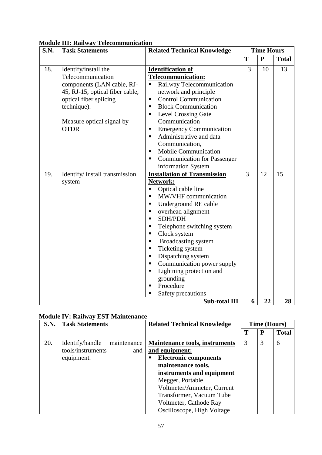| <b>S.N.</b> | Module III. Kanway Telecommunication<br><b>Task Statements</b>                                                                                                                                  | <b>Related Technical Knowledge</b>                                                                                                                                                                                                                                                                                                                                                                                                                                                                               |                | <b>Time Hours</b> |              |
|-------------|-------------------------------------------------------------------------------------------------------------------------------------------------------------------------------------------------|------------------------------------------------------------------------------------------------------------------------------------------------------------------------------------------------------------------------------------------------------------------------------------------------------------------------------------------------------------------------------------------------------------------------------------------------------------------------------------------------------------------|----------------|-------------------|--------------|
|             |                                                                                                                                                                                                 |                                                                                                                                                                                                                                                                                                                                                                                                                                                                                                                  | T              | $\mathbf{P}$      | <b>Total</b> |
| 18.         | Identify/install the<br>Telecommunication<br>components (LAN cable, RJ-<br>45, RJ-15, optical fiber cable,<br>optical fiber splicing<br>technique).<br>Measure optical signal by<br><b>OTDR</b> | <b>Identification of</b><br><b>Telecommunication:</b><br>Railway Telecommunication<br>Ξ<br>network and principle<br><b>Control Communication</b><br>٠<br><b>Block Communication</b><br>$\blacksquare$<br><b>Level Crossing Gate</b><br>П<br>Communication<br><b>Emergency Communication</b><br>٠<br>Administrative and data<br>٠<br>Communication,<br>Mobile Communication<br>٠<br><b>Communication for Passenger</b><br>٠<br>information System                                                                 | 3              | 10                | 13           |
| 19.         | Identify/install transmission<br>system                                                                                                                                                         | <b>Installation of Transmission</b><br>Network:<br>Optical cable line<br>Ξ<br>MW/VHF communication<br>$\blacksquare$<br>Underground RE cable<br>٠<br>overhead alignment<br>Ξ<br><b>SDH/PDH</b><br>$\blacksquare$<br>Telephone switching system<br>П<br>Clock system<br>٠<br>Broadcasting system<br>٠<br>Ticketing system<br>٠<br>Dispatching system<br>٠<br>Communication power supply<br>٠<br>Lightning protection and<br>$\blacksquare$<br>grounding<br>Procedure<br>$\blacksquare$<br>Safety precautions<br>٠ | $\overline{3}$ | 12                | 15           |
|             |                                                                                                                                                                                                 | <b>Sub-total III</b>                                                                                                                                                                                                                                                                                                                                                                                                                                                                                             | 6              | 22                | 28           |

## **Module III: Railway Telecommunication**

## **Module IV: Railway EST Maintenance**

| S.N. | <b>Task Statements</b>         | <b>Related Technical Knowledge</b>    | <b>Time (Hours)</b> |   |              |
|------|--------------------------------|---------------------------------------|---------------------|---|--------------|
|      |                                |                                       |                     | P | <b>Total</b> |
| 20.  | Identify/handle<br>maintenance | <b>Maintenance tools, instruments</b> | 3                   | 3 | 6            |
|      | tools/instruments<br>and       | and equipment:                        |                     |   |              |
|      | equipment.                     | <b>Electronic components</b>          |                     |   |              |
|      |                                | maintenance tools,                    |                     |   |              |
|      |                                | instruments and equipment             |                     |   |              |
|      |                                | Megger, Portable                      |                     |   |              |
|      |                                | Voltmeter/Ammeter, Current            |                     |   |              |
|      |                                | Transformer, Vacuum Tube              |                     |   |              |
|      |                                | Voltmeter, Cathode Ray                |                     |   |              |
|      |                                | Oscilloscope, High Voltage            |                     |   |              |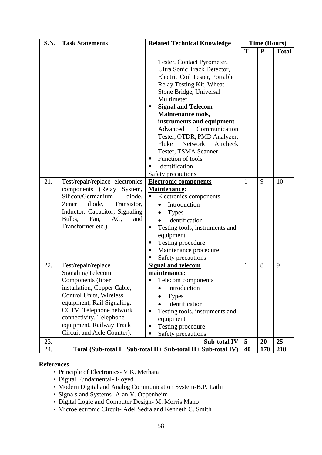| S.N. | <b>Task Statements</b>                                                                                                                                                                                                                         | <b>Related Technical Knowledge</b>                                                                                                                                                                                                                                                                                                                                                                                                          |              | <b>Time (Hours)</b> |              |
|------|------------------------------------------------------------------------------------------------------------------------------------------------------------------------------------------------------------------------------------------------|---------------------------------------------------------------------------------------------------------------------------------------------------------------------------------------------------------------------------------------------------------------------------------------------------------------------------------------------------------------------------------------------------------------------------------------------|--------------|---------------------|--------------|
|      |                                                                                                                                                                                                                                                |                                                                                                                                                                                                                                                                                                                                                                                                                                             | T            | ${\bf P}$           | <b>Total</b> |
|      |                                                                                                                                                                                                                                                | Tester, Contact Pyrometer,<br>Ultra Sonic Track Detector,<br>Electric Coil Tester, Portable<br>Relay Testing Kit, Wheat<br>Stone Bridge, Universal<br>Multimeter<br><b>Signal and Telecom</b><br>п<br><b>Maintenance tools,</b><br>instruments and equipment<br>Advanced<br>Communication<br>Tester, OTDR, PMD Analyzer,<br>Fluke<br>Network Aircheck<br>Tester, TSMA Scanner<br>Function of tools<br>$\blacksquare$<br>Identification<br>٠ |              |                     |              |
| 21.  | Test/repair/replace electronics                                                                                                                                                                                                                | Safety precautions<br><b>Electronic components</b>                                                                                                                                                                                                                                                                                                                                                                                          | 1            | 9                   | 10           |
|      | components (Relay System,<br>Silicon/Germanium<br>diode.<br>Transistor,<br>diode,<br>Zener<br>Inductor, Capacitor, Signaling<br>Bulbs,<br>Fan,<br>AC.<br>and<br>Transformer etc.).                                                             | <b>Maintenance:</b><br>Electronics components<br>٠<br>Introduction<br><b>Types</b><br>Identification<br>Testing tools, instruments and<br>٠<br>equipment<br>Testing procedure<br>П<br>Maintenance procedure<br>Ξ<br>Safety precautions<br>Ξ                                                                                                                                                                                                 |              |                     |              |
| 22.  | Test/repair/replace                                                                                                                                                                                                                            | <b>Signal and telecom</b>                                                                                                                                                                                                                                                                                                                                                                                                                   | $\mathbf{1}$ | 8                   | 9            |
|      | Signaling/Telecom<br>Components (fiber<br>installation, Copper Cable,<br>Control Units, Wireless<br>equipment, Rail Signaling,<br>CCTV, Telephone network<br>connectivity, Telephone<br>equipment, Railway Track<br>Circuit and Axle Counter). | maintenance:<br>Telecom components<br>Introduction<br><b>Types</b><br>Identification<br>Testing tools, instruments and<br>$\blacksquare$<br>equipment<br>Testing procedure<br>Ξ<br>Safety precautions<br>п                                                                                                                                                                                                                                  |              |                     |              |
| 23.  |                                                                                                                                                                                                                                                | <b>Sub-total IV</b>                                                                                                                                                                                                                                                                                                                                                                                                                         | 5            | 20                  | 25           |
| 24.  |                                                                                                                                                                                                                                                | Total (Sub-total I+ Sub-total II+ Sub-total II+ Sub-total IV)                                                                                                                                                                                                                                                                                                                                                                               | 40           | 170                 | 210          |

- Principle of Electronics- V.K. Methata
- Digital Fundamental- Floyed
- Modern Digital and Analog Communication System-B.P. Lathi
- Signals and Systems- Alan V. Oppenheim
- Digital Logic and Computer Design- M. Morris Mano
- Microelectronic Circuit- Adel Sedra and Kenneth C. Smith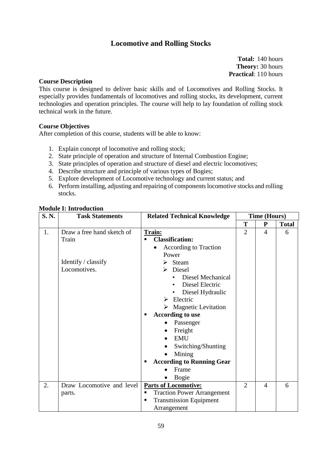## **Locomotive and Rolling Stocks**

**Total:** 140 hours **Theory:** 30 hours **Practical**: 110 hours

### **Course Description**

This course is designed to deliver basic skills and of Locomotives and Rolling Stocks. It especially provides fundamentals of locomotives and rolling stocks, its development, current technologies and operation principles. The course will help to lay foundation of rolling stock technical work in the future.

#### **Course Objectives**

After completion of this course, students will be able to know:

- 1. Explain concept of locomotive and rolling stock;
- 2. State principle of operation and structure of Internal Combustion Engine;
- 3. State principles of operation and structure of diesel and electric locomotives;
- 4. Describe structure and principle of various types of Bogies;
- 5. Explore development of Locomotive technology and current status; and
- 6. Perform installing, adjusting and repairing of components locomotive stocks and rolling stocks.

| S.N. | <b>Task Statements</b>     | <b>Related Technical Knowledge</b>       | <b>Time (Hours)</b> |                |              |
|------|----------------------------|------------------------------------------|---------------------|----------------|--------------|
|      |                            |                                          | T                   | ${\bf P}$      | <b>Total</b> |
| 1.   | Draw a free hand sketch of | Train:                                   | $\overline{2}$      | $\overline{4}$ | 6            |
|      | Train                      | <b>Classification:</b><br>$\blacksquare$ |                     |                |              |
|      |                            | According to Traction<br>$\bullet$       |                     |                |              |
|      |                            | Power                                    |                     |                |              |
|      | Identify / classify        | Steam<br>➤                               |                     |                |              |
|      | Locomotives.               | Diesel<br>↘                              |                     |                |              |
|      |                            | Diesel Mechanical                        |                     |                |              |
|      |                            | Diesel Electric                          |                     |                |              |
|      |                            | Diesel Hydraulic<br>$\bullet$            |                     |                |              |
|      |                            | Electric<br>➤                            |                     |                |              |
|      |                            | $\triangleright$ Magnetic Levitation     |                     |                |              |
|      |                            | <b>According to use</b><br>п             |                     |                |              |
|      |                            | Passenger                                |                     |                |              |
|      |                            | Freight                                  |                     |                |              |
|      |                            | <b>EMU</b>                               |                     |                |              |
|      |                            | Switching/Shunting                       |                     |                |              |
|      |                            | Mining                                   |                     |                |              |
|      |                            | <b>According to Running Gear</b><br>п    |                     |                |              |
|      |                            | Frame                                    |                     |                |              |
|      |                            | <b>Bogie</b>                             |                     |                |              |
| 2.   | Draw Locomotive and level  | <b>Parts of Locomotive:</b>              | $\overline{2}$      | $\overline{4}$ | 6            |
|      | parts.                     | <b>Traction Power Arrangement</b><br>п   |                     |                |              |
|      |                            | <b>Transmission Equipment</b><br>п       |                     |                |              |
|      |                            | Arrangement                              |                     |                |              |

#### **Module I: Introduction**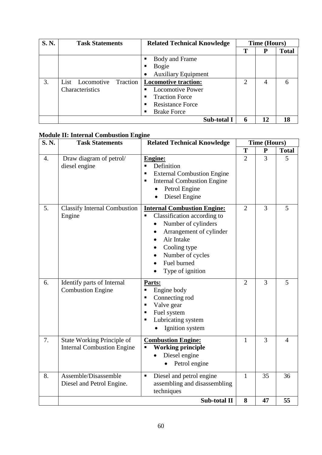| S.N. | <b>Task Statements</b>         | <b>Related Technical Knowledge</b> | <b>Time (Hours)</b> |    |              |
|------|--------------------------------|------------------------------------|---------------------|----|--------------|
|      |                                |                                    | T                   | P  | <b>Total</b> |
|      |                                | Body and Frame<br>п                |                     |    |              |
|      |                                | <b>Bogie</b><br>п                  |                     |    |              |
|      |                                | <b>Auxiliary Equipment</b>         |                     |    |              |
| 3.   | Traction<br>Locomotive<br>List | <b>Locomotive traction:</b>        | $\overline{2}$      | 4  | 6            |
|      | Characteristics                | <b>Locomotive Power</b>            |                     |    |              |
|      |                                | <b>Traction Force</b><br>п         |                     |    |              |
|      |                                | <b>Resistance Force</b><br>п       |                     |    |              |
|      |                                | <b>Brake Force</b>                 |                     |    |              |
|      |                                | <b>Sub-total I</b>                 | 6                   | 12 | 18           |

## **Module II: Internal Combustion Engine**

| S.N.             | <b>Task Statements</b>                                          | <b>Related Technical Knowledge</b>                                                                                                                                                                                                                                                          |                |           | <b>Time (Hours)</b> |  |  |
|------------------|-----------------------------------------------------------------|---------------------------------------------------------------------------------------------------------------------------------------------------------------------------------------------------------------------------------------------------------------------------------------------|----------------|-----------|---------------------|--|--|
|                  |                                                                 |                                                                                                                                                                                                                                                                                             | T              | ${\bf P}$ | <b>Total</b>        |  |  |
| $\overline{4}$ . | Draw diagram of petrol/<br>diesel engine                        | <b>Engine:</b><br>Definition<br>$\blacksquare$<br><b>External Combustion Engine</b><br>П<br><b>Internal Combustion Engine</b><br>$\blacksquare$<br>Petrol Engine<br>Diesel Engine                                                                                                           | $\overline{2}$ | 3         | 5                   |  |  |
| 5.               | <b>Classify Internal Combustion</b><br>Engine                   | <b>Internal Combustion Engine:</b><br>Classification according to<br>$\blacksquare$<br>Number of cylinders<br>$\bullet$<br>Arrangement of cylinder<br>$\bullet$<br>Air Intake<br>$\bullet$<br>Cooling type<br>$\bullet$<br>Number of cycles<br>$\bullet$<br>Fuel burned<br>Type of ignition | $\overline{2}$ | 3         | 5                   |  |  |
| 6.               | Identify parts of Internal<br><b>Combustion Engine</b>          | Parts:<br>Engine body<br>$\blacksquare$<br>Connecting rod<br>٠<br>Valve gear<br>$\blacksquare$<br>Fuel system<br>$\blacksquare$<br>Lubricating system<br>$\blacksquare$<br>Ignition system                                                                                                  | $\overline{2}$ | 3         | 5                   |  |  |
| 7.               | State Working Principle of<br><b>Internal Combustion Engine</b> | <b>Combustion Engine:</b><br><b>Working principle</b><br>Diesel engine<br>Petrol engine                                                                                                                                                                                                     | 1              | 3         | 4                   |  |  |
| 8.               | Assemble/Disassemble<br>Diesel and Petrol Engine.               | Diesel and petrol engine<br>$\blacksquare$<br>assembling and disassembling<br>techniques                                                                                                                                                                                                    | $\mathbf{1}$   | 35        | 36                  |  |  |
|                  |                                                                 | Sub-total II                                                                                                                                                                                                                                                                                | 8              | 47        | 55                  |  |  |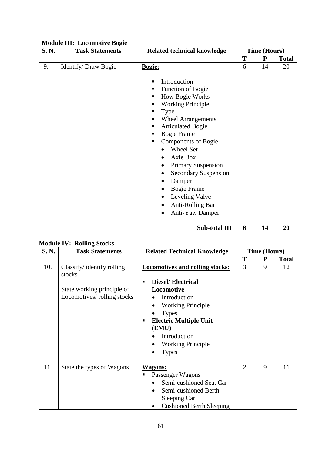| S.N. | <b>Related technical knowledge</b><br><b>Task Statements</b> |                                                                                                                                                                                                                                                                                                                                                                                                      |   | <b>Time (Hours)</b> |              |  |
|------|--------------------------------------------------------------|------------------------------------------------------------------------------------------------------------------------------------------------------------------------------------------------------------------------------------------------------------------------------------------------------------------------------------------------------------------------------------------------------|---|---------------------|--------------|--|
|      |                                                              |                                                                                                                                                                                                                                                                                                                                                                                                      | T | P                   | <b>Total</b> |  |
| 9.   | Identify/ Draw Bogie                                         | <b>Bogie:</b><br>Introduction<br>Function of Bogie<br>How Bogie Works<br><b>Working Principle</b><br>Type<br><b>Wheel Arrangements</b><br><b>Articulated Bogie</b><br><b>Bogie Frame</b><br><b>Components of Bogie</b><br>Wheel Set<br>Axle Box<br><b>Primary Suspension</b><br><b>Secondary Suspension</b><br>Damper<br><b>Bogie Frame</b><br>Leveling Valve<br>Anti-Rolling Bar<br>Anti-Yaw Damper | 6 | 14                  | 20           |  |
|      |                                                              | <b>Sub-total III</b>                                                                                                                                                                                                                                                                                                                                                                                 | 6 | 14                  | 20           |  |

### **Module III: Locomotive Bogie**

## **Module IV: Rolling Stocks**

| S.N. | <b>Task Statements</b>                                   | <b>Related Technical Knowledge</b>                                                                                                                                                                                 | <b>Time (Hours)</b> |   |              |
|------|----------------------------------------------------------|--------------------------------------------------------------------------------------------------------------------------------------------------------------------------------------------------------------------|---------------------|---|--------------|
|      |                                                          |                                                                                                                                                                                                                    | T                   | P | <b>Total</b> |
| 10.  | Classify/identify rolling<br>stocks                      | <b>Locomotives and rolling stocks:</b>                                                                                                                                                                             | 3                   | 9 | 12           |
|      | State working principle of<br>Locomotives/rolling stocks | <b>Diesel/Electrical</b><br>■<br>Locomotive<br>Introduction<br><b>Working Principle</b><br><b>Types</b><br><b>Electric Multiple Unit</b><br>п<br>(EMU)<br>Introduction<br><b>Working Principle</b><br><b>Types</b> |                     |   |              |
| 11.  | State the types of Wagons                                | <b>Wagons:</b><br>Passenger Wagons<br>Semi-cushioned Seat Car<br>Semi-cushioned Berth<br>$\bullet$<br>Sleeping Car<br><b>Cushioned Berth Sleeping</b>                                                              | $\overline{2}$      | 9 | 11           |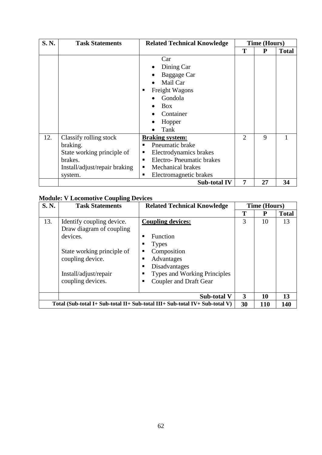| <b>S. N.</b> | <b>Task Statements</b>        | <b>Related Technical Knowledge</b> | Time (Hours)   |    |              |
|--------------|-------------------------------|------------------------------------|----------------|----|--------------|
|              |                               |                                    | T              | P  | <b>Total</b> |
|              |                               | Car                                |                |    |              |
|              |                               | Dining Car<br>$\bullet$            |                |    |              |
|              |                               | Baggage Car                        |                |    |              |
|              |                               | Mail Car                           |                |    |              |
|              |                               | Freight Wagons<br>п                |                |    |              |
|              |                               | Gondola                            |                |    |              |
|              |                               | <b>Box</b>                         |                |    |              |
|              |                               | Container                          |                |    |              |
|              |                               | Hopper                             |                |    |              |
|              |                               | Tank<br>●                          |                |    |              |
| 12.          | Classify rolling stock        | <b>Braking system:</b>             | $\overline{2}$ | 9  |              |
|              | braking.                      | Pneumatic brake<br>■               |                |    |              |
|              | State working principle of    | Electrodynamics brakes<br>Е        |                |    |              |
|              | brakes.                       | Electro-Pneumatic brakes<br>■      |                |    |              |
|              | Install/adjust/repair braking | Mechanical brakes<br>п             |                |    |              |
|              | system.                       | Electromagnetic brakes<br>п        |                |    |              |
|              |                               | <b>Sub-total IV</b>                | 7              | 27 | 34           |

## **Module: V Locomotive Coupling Devices**

| <b>S. N.</b> | <b>Task Statements</b>                                                                                              | <b>Related Technical Knowledge</b>                                                                             | Time (Hours) |     |              |
|--------------|---------------------------------------------------------------------------------------------------------------------|----------------------------------------------------------------------------------------------------------------|--------------|-----|--------------|
|              |                                                                                                                     |                                                                                                                | т            | P   | <b>Total</b> |
| 13.          | Identify coupling device.<br>Draw diagram of coupling<br>devices.<br>State working principle of<br>coupling device. | <b>Coupling devices:</b><br><b>Function</b><br><b>Types</b><br>Composition<br>Advantages<br>Disadvantages<br>п | 3            | 10  | 13           |
|              | Install/adjust/repair<br>coupling devices.                                                                          | <b>Types and Working Principles</b><br>п<br><b>Coupler and Draft Gear</b><br><b>Sub-total V</b>                | 3            | 10  | 13           |
|              |                                                                                                                     | Total (Sub-total I+ Sub-total II+ Sub-total III+ Sub-total IV+ Sub-total V)                                    | 30           | 110 | 140          |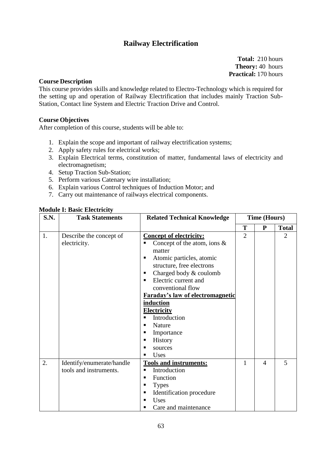## **Railway Electrification**

**Total:** 210 hours **Theory:** 40 hours **Practical:** 170 hours

### **Course Description**

This course provides skills and knowledge related to Electro-Technology which is required for the setting up and operation of Railway Electrification that includes mainly Traction Sub-Station, Contact line System and Electric Traction Drive and Control.

### **Course Objectives**

After completion of this course, students will be able to:

- 1. Explain the scope and important of railway electrification systems;
- 2. Apply safety rules for electrical works;
- 3. Explain Electrical terms, constitution of matter, fundamental laws of electricity and electromagnetism;
- 4. Setup Traction Sub-Station;
- 5. Perform various Catenary wire installation;
- 6. Explain various Control techniques of Induction Motor; and
- 7. Carry out maintenance of railways electrical components.

| <b>S.N.</b> | <b>Task Statements</b>                              | <b>Related Technical Knowledge</b>                                                                                                                                                                                                                                                                                                                                                                                      | <b>Time (Hours)</b> |                |                |
|-------------|-----------------------------------------------------|-------------------------------------------------------------------------------------------------------------------------------------------------------------------------------------------------------------------------------------------------------------------------------------------------------------------------------------------------------------------------------------------------------------------------|---------------------|----------------|----------------|
|             |                                                     |                                                                                                                                                                                                                                                                                                                                                                                                                         | T                   | ${\bf P}$      | <b>Total</b>   |
| 1.          | Describe the concept of<br>electricity.             | <b>Concept of electricity:</b><br>Concept of the atom, ions $\&$<br>п<br>matter<br>Atomic particles, atomic<br>п<br>structure, free electrons<br>Charged body & coulomb<br>п<br>Electric current and<br>٠<br>conventional flow<br><b>Faraday's law of electromagnetic</b><br><i>induction</i><br><b>Electricity</b><br>Introduction<br>П<br>Nature<br>п<br>Importance<br>п<br>History<br>п<br>sources<br>п<br>Uses<br>п | $\overline{2}$      |                | $\mathfrak{D}$ |
| 2.          | Identify/enumerate/handle<br>tools and instruments. | <b>Tools and instruments:</b><br>Introduction<br>$\blacksquare$<br>Function<br>п<br><b>Types</b><br>п<br>Identification procedure<br>п<br>Uses<br>п<br>Care and maintenance<br>п                                                                                                                                                                                                                                        | 1                   | $\overline{4}$ | 5              |

#### **Module I: Basic Electricity**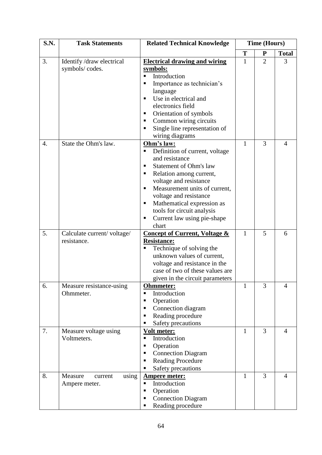| S.N.<br><b>Related Technical Knowledge</b><br><b>Task Statements</b>                  | <b>Time (Hours)</b> |                |                |
|---------------------------------------------------------------------------------------|---------------------|----------------|----------------|
|                                                                                       | T                   | ${\bf P}$      | <b>Total</b>   |
| 3.<br>Identify /draw electrical<br><b>Electrical drawing and wiring</b>               | 1                   | $\overline{2}$ | 3              |
| symbols/codes.<br>symbols:                                                            |                     |                |                |
| Introduction<br>$\blacksquare$                                                        |                     |                |                |
| Importance as technician's<br>п                                                       |                     |                |                |
| language                                                                              |                     |                |                |
| Use in electrical and<br>п                                                            |                     |                |                |
| electronics field                                                                     |                     |                |                |
| Orientation of symbols<br>п                                                           |                     |                |                |
| Common wiring circuits<br>п                                                           |                     |                |                |
| Single line representation of<br>п                                                    |                     |                |                |
| wiring diagrams                                                                       |                     |                |                |
| State the Ohm's law.<br>Ohm's law:<br>4.                                              | $\mathbf{1}$        | 3              | $\overline{4}$ |
| Definition of current, voltage<br>$\blacksquare$                                      |                     |                |                |
| and resistance                                                                        |                     |                |                |
| <b>Statement of Ohm's law</b><br>п                                                    |                     |                |                |
| Relation among current,<br>п                                                          |                     |                |                |
| voltage and resistance                                                                |                     |                |                |
| Measurement units of current,<br>п                                                    |                     |                |                |
| voltage and resistance                                                                |                     |                |                |
| Mathematical expression as<br>п                                                       |                     |                |                |
| tools for circuit analysis                                                            |                     |                |                |
| Current law using pie-shape<br>п                                                      |                     |                |                |
| chart                                                                                 |                     |                |                |
| 5.<br><b>Concept of Current, Voltage &amp;</b><br>Calculate current/voltage/          | 1                   | 5              | 6              |
| <b>Resistance:</b><br>resistance.                                                     |                     |                |                |
| Technique of solving the                                                              |                     |                |                |
| unknown values of current,                                                            |                     |                |                |
| voltage and resistance in the                                                         |                     |                |                |
| case of two of these values are                                                       |                     |                |                |
| given in the circuit parameters                                                       |                     |                |                |
| Measure resistance-using<br>6.<br><b>Ohmmeter:</b>                                    | $\mathbf{1}$        | 3              | 4              |
| Introduction<br>Ohmmeter.<br>$\blacksquare$                                           |                     |                |                |
| Operation<br>П                                                                        |                     |                |                |
| Connection diagram<br>п<br>٠                                                          |                     |                |                |
| Reading procedure<br>٠                                                                |                     |                |                |
| Safety precautions<br>7.                                                              | $\mathbf{1}$        | 3              | $\overline{4}$ |
| Measure voltage using<br>Volt meter:<br>Introduction<br>Voltmeters.<br>$\blacksquare$ |                     |                |                |
| Operation<br>٠                                                                        |                     |                |                |
| п                                                                                     |                     |                |                |
| <b>Connection Diagram</b><br>Reading Procedure<br>п                                   |                     |                |                |
| Safety precautions                                                                    |                     |                |                |
| 8.<br>Measure<br>using<br><b>Ampere meter:</b><br>current                             | $\mathbf{1}$        | $\overline{3}$ | $\overline{4}$ |
| Introduction<br>Ampere meter.<br>٠                                                    |                     |                |                |
| Operation<br>$\blacksquare$                                                           |                     |                |                |
| <b>Connection Diagram</b><br>п                                                        |                     |                |                |
| Reading procedure<br>п                                                                |                     |                |                |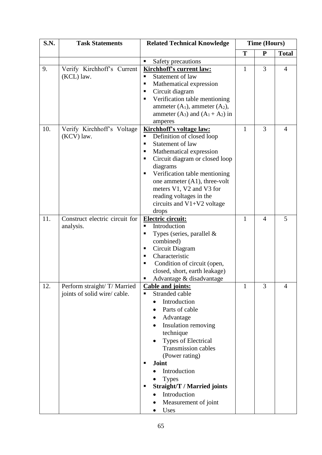| S.N. | <b>Task Statements</b>         | <b>Related Technical Knowledge</b>               | <b>Time (Hours)</b> |                |                |  |
|------|--------------------------------|--------------------------------------------------|---------------------|----------------|----------------|--|
|      |                                |                                                  | T                   | ${\bf P}$      | <b>Total</b>   |  |
|      |                                | Safety precautions<br>Ξ                          |                     |                |                |  |
| 9.   | Verify Kirchhoff's Current     | <b>Kirchhoff's current law:</b>                  | 1                   | 3              | $\overline{4}$ |  |
|      | (KCL) law.                     | Statement of law<br>$\blacksquare$               |                     |                |                |  |
|      |                                | Mathematical expression<br>Е                     |                     |                |                |  |
|      |                                | Circuit diagram<br>٠                             |                     |                |                |  |
|      |                                | Verification table mentioning<br>٠               |                     |                |                |  |
|      |                                | ammeter $(A_1)$ , ammeter $(A_2)$ ,              |                     |                |                |  |
|      |                                | ammeter $(A_3)$ and $(A_1 + A_2)$ in             |                     |                |                |  |
|      |                                | amperes                                          |                     |                |                |  |
| 10.  | Verify Kirchhoff's Voltage     | <b>Kirchhoff's voltage law:</b>                  | 1                   | 3              | 4              |  |
|      | (KCV) law.                     | Definition of closed loop<br>٠<br>п              |                     |                |                |  |
|      |                                | Statement of law<br>Mathematical expression<br>п |                     |                |                |  |
|      |                                | Circuit diagram or closed loop<br>Е              |                     |                |                |  |
|      |                                | diagrams                                         |                     |                |                |  |
|      |                                | Verification table mentioning<br>٠               |                     |                |                |  |
|      |                                | one ammeter $(A1)$ , three-volt                  |                     |                |                |  |
|      |                                | meters V1, V2 and V3 for                         |                     |                |                |  |
|      |                                | reading voltages in the                          |                     |                |                |  |
|      |                                | circuits and $V1+V2$ voltage                     |                     |                |                |  |
|      |                                | drops                                            |                     |                |                |  |
| 11.  | Construct electric circuit for | <b>Electric circuit:</b>                         | $\mathbf{1}$        | $\overline{4}$ | 5              |  |
|      | analysis.                      | Introduction<br>$\blacksquare$                   |                     |                |                |  |
|      |                                | Types (series, parallel &<br>٠                   |                     |                |                |  |
|      |                                | combined)                                        |                     |                |                |  |
|      |                                | Circuit Diagram<br>п                             |                     |                |                |  |
|      |                                | Characteristic<br>п                              |                     |                |                |  |
|      |                                | Condition of circuit (open,<br>п                 |                     |                |                |  |
|      |                                | closed, short, earth leakage)                    |                     |                |                |  |
|      |                                | Advantage & disadvantage<br>п                    |                     |                |                |  |
| 12.  | Perform straight/ T/ Married   | <b>Cable and joints:</b><br>П                    | 1                   | 3              | $\overline{4}$ |  |
|      | joints of solid wire/ cable.   | Stranded cable<br>Introduction                   |                     |                |                |  |
|      |                                |                                                  |                     |                |                |  |
|      |                                | Parts of cable                                   |                     |                |                |  |
|      |                                | Advantage                                        |                     |                |                |  |
|      |                                | Insulation removing                              |                     |                |                |  |
|      |                                | technique<br>Types of Electrical                 |                     |                |                |  |
|      |                                | <b>Transmission cables</b>                       |                     |                |                |  |
|      |                                | (Power rating)                                   |                     |                |                |  |
|      |                                | Joint<br>п                                       |                     |                |                |  |
|      |                                | Introduction                                     |                     |                |                |  |
|      |                                | <b>Types</b>                                     |                     |                |                |  |
|      |                                | <b>Straight/T / Married joints</b><br>п          |                     |                |                |  |
|      |                                | Introduction                                     |                     |                |                |  |
|      |                                | Measurement of joint                             |                     |                |                |  |
|      |                                | Uses                                             |                     |                |                |  |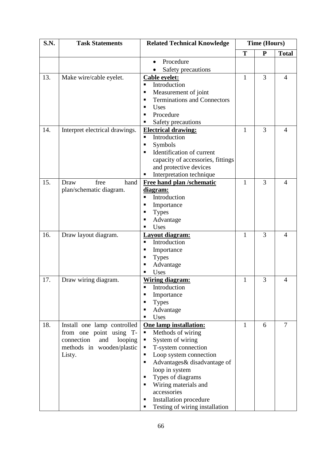| S.N. | <b>Task Statements</b>         | <b>Related Technical Knowledge</b>      |              | <b>Time (Hours)</b> |                |
|------|--------------------------------|-----------------------------------------|--------------|---------------------|----------------|
|      |                                |                                         | T            | ${\bf P}$           | <b>Total</b>   |
|      |                                | Procedure                               |              |                     |                |
|      |                                | Safety precautions                      |              |                     |                |
| 13.  | Make wire/cable eyelet.        | <b>Cable eyelet:</b>                    | $\mathbf{1}$ | 3                   | $\overline{4}$ |
|      |                                | Introduction<br>п                       |              |                     |                |
|      |                                | Measurement of joint<br>п               |              |                     |                |
|      |                                | <b>Terminations and Connectors</b><br>п |              |                     |                |
|      |                                | <b>Uses</b>                             |              |                     |                |
|      |                                | Procedure                               |              |                     |                |
|      |                                | Safety precautions                      |              |                     |                |
| 14.  | Interpret electrical drawings. | <b>Electrical drawing:</b>              | $\mathbf{1}$ | 3                   | $\overline{4}$ |
|      |                                | Introduction<br>$\blacksquare$          |              |                     |                |
|      |                                | Symbols<br>п                            |              |                     |                |
|      |                                | Identification of current               |              |                     |                |
|      |                                | capacity of accessories, fittings       |              |                     |                |
|      |                                | and protective devices                  |              |                     |                |
|      |                                | Interpretation technique                |              |                     |                |
| 15.  | free<br>Draw<br>hand           | Free hand plan /schematic               | 1            | 3                   | 4              |
|      | plan/schematic diagram.        | diagram:                                |              |                     |                |
|      |                                | Introduction<br>П                       |              |                     |                |
|      |                                | Importance                              |              |                     |                |
|      |                                | <b>Types</b>                            |              |                     |                |
|      |                                | Advantage                               |              |                     |                |
|      |                                | Uses                                    |              |                     |                |
| 16.  | Draw layout diagram.           | Layout diagram:                         | $\mathbf{1}$ | 3                   | $\overline{4}$ |
|      |                                | Introduction<br>п                       |              |                     |                |
|      |                                | Importance                              |              |                     |                |
|      |                                | <b>Types</b>                            |              |                     |                |
|      |                                | Advantage<br>п                          |              |                     |                |
|      |                                | Uses                                    |              |                     |                |
| 17.  | Draw wiring diagram.           | <b>Wiring diagram:</b>                  | 1            | 3                   | $\overline{A}$ |
|      |                                | Introduction<br>٠                       |              |                     |                |
|      |                                | Importance<br>п                         |              |                     |                |
|      |                                | <b>Types</b><br>п                       |              |                     |                |
|      |                                | Advantage<br>п                          |              |                     |                |
|      |                                | Uses                                    |              |                     |                |
| 18.  | Install one lamp controlled    | One lamp installation:                  | 1            | 6                   | $\overline{7}$ |
|      | from one point using T-        | Methods of wiring<br>$\blacksquare$     |              |                     |                |
|      | connection<br>looping<br>and   | System of wiring<br>п                   |              |                     |                |
|      | methods in wooden/plastic      | T-system connection<br>п                |              |                     |                |
|      | Listy.                         | Loop system connection                  |              |                     |                |
|      |                                | Advantages & disadvantage of<br>п       |              |                     |                |
|      |                                | loop in system                          |              |                     |                |
|      |                                | Types of diagrams<br>п                  |              |                     |                |
|      |                                | Wiring materials and<br>п               |              |                     |                |
|      |                                | accessories                             |              |                     |                |
|      |                                | Installation procedure<br>п             |              |                     |                |
|      |                                | Testing of wiring installation          |              |                     |                |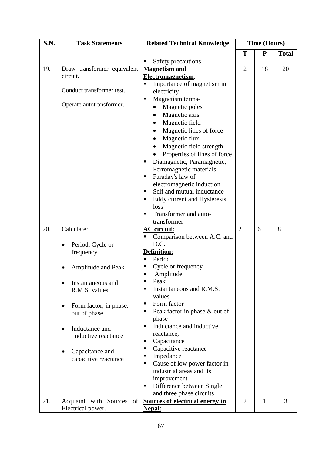| S.N. | <b>Task Statements</b>              | <b>Related Technical Knowledge</b>         | <b>Time (Hours)</b> |           |              |
|------|-------------------------------------|--------------------------------------------|---------------------|-----------|--------------|
|      |                                     |                                            | T                   | ${\bf P}$ | <b>Total</b> |
|      |                                     | Safety precautions<br>Е                    |                     |           |              |
| 19.  | Draw transformer equivalent         | <b>Magnetism and</b>                       | $\overline{2}$      | 18        | 20           |
|      | circuit.                            | Electromagnetism:                          |                     |           |              |
|      |                                     | Importance of magnetism in                 |                     |           |              |
|      | Conduct transformer test.           | electricity                                |                     |           |              |
|      |                                     | Magnetism terms-                           |                     |           |              |
|      | Operate autotransformer.            | Magnetic poles                             |                     |           |              |
|      |                                     | Magnetic axis<br>$\bullet$                 |                     |           |              |
|      |                                     | Magnetic field                             |                     |           |              |
|      |                                     | Magnetic lines of force                    |                     |           |              |
|      |                                     | Magnetic flux                              |                     |           |              |
|      |                                     | Magnetic field strength                    |                     |           |              |
|      |                                     | Properties of lines of force               |                     |           |              |
|      |                                     | Diamagnetic, Paramagnetic,<br>п            |                     |           |              |
|      |                                     | Ferromagnetic materials                    |                     |           |              |
|      |                                     | Faraday's law of<br>Е                      |                     |           |              |
|      |                                     | electromagnetic induction                  |                     |           |              |
|      |                                     | Self and mutual inductance<br>п            |                     |           |              |
|      |                                     | Eddy current and Hysteresis                |                     |           |              |
|      |                                     | loss                                       |                     |           |              |
|      |                                     | Transformer and auto-                      |                     |           |              |
|      |                                     | transformer                                |                     |           |              |
| 20.  | Calculate:                          | <b>AC</b> circuit:                         | $\overline{2}$      | 6         | 8            |
|      |                                     | Comparison between A.C. and                |                     |           |              |
|      | Period, Cycle or                    | D.C.                                       |                     |           |              |
|      | frequency                           | Definition:                                |                     |           |              |
|      |                                     | Period                                     |                     |           |              |
|      | Amplitude and Peak                  | Cycle or frequency                         |                     |           |              |
|      |                                     | Amplitude                                  |                     |           |              |
|      | Instantaneous and<br>$\bullet$      | Peak                                       |                     |           |              |
|      | R.M.S. values                       | Instantaneous and R.M.S.<br>п              |                     |           |              |
|      |                                     | values<br>п                                |                     |           |              |
|      | Form factor, in phase,<br>$\bullet$ | Form factor<br>п                           |                     |           |              |
|      | out of phase                        | Peak factor in phase & out of<br>phase     |                     |           |              |
|      |                                     | Inductance and inductive<br>$\blacksquare$ |                     |           |              |
|      | Inductance and<br>$\bullet$         | reactance,                                 |                     |           |              |
|      | inductive reactance                 | Capacitance<br>п                           |                     |           |              |
|      |                                     | Capacitive reactance<br>٠                  |                     |           |              |
|      | Capacitance and<br>$\bullet$        | Impedance<br>п                             |                     |           |              |
|      | capacitive reactance                | Cause of low power factor in<br>П          |                     |           |              |
|      |                                     | industrial areas and its                   |                     |           |              |
|      |                                     | improvement                                |                     |           |              |
|      |                                     | Difference between Single<br>٠             |                     |           |              |
|      |                                     | and three phase circuits                   |                     |           |              |
| 21.  | Acquaint with Sources<br>of         | <b>Sources of electrical energy in</b>     | $\overline{2}$      | 1         | 3            |
|      | Electrical power.                   | Nepal:                                     |                     |           |              |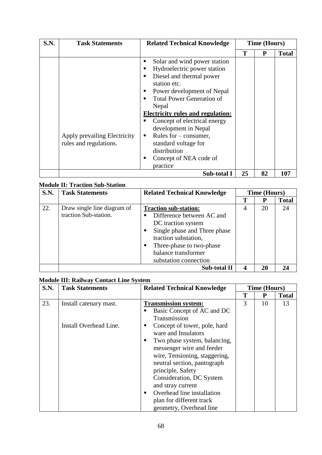| S.N. | <b>Task Statements</b>                                 | <b>Related Technical Knowledge</b>                                                                                                                                                                                                                                                                              | <b>Time (Hours)</b> |    |              |
|------|--------------------------------------------------------|-----------------------------------------------------------------------------------------------------------------------------------------------------------------------------------------------------------------------------------------------------------------------------------------------------------------|---------------------|----|--------------|
|      |                                                        |                                                                                                                                                                                                                                                                                                                 | Т                   | P  | <b>Total</b> |
|      |                                                        | Solar and wind power station<br>п<br>Hydroelectric power station<br>п<br>Diesel and thermal power<br>٠<br>station etc.<br>Power development of Nepal<br>п<br><b>Total Power Generation of</b><br>٠<br>Nepal<br><b>Electricity rules and regulation:</b><br>Concept of electrical energy<br>development in Nepal |                     |    |              |
|      | Apply prevailing Electricity<br>rules and regulations. | Rules for $-$ consumer,<br>standard voltage for<br>distribution<br>Concept of NEA code of<br>п<br>practice                                                                                                                                                                                                      |                     |    |              |
|      |                                                        | <b>Sub-total I</b>                                                                                                                                                                                                                                                                                              | 25                  | 82 | 107          |

### **Module II: Traction Sub-Station**

| <b>S.N.</b> | <b>Task Statements</b>                               | <b>Related Technical Knowledge</b>                                                                                                                                                                                  | Time (Hours) |    |              |
|-------------|------------------------------------------------------|---------------------------------------------------------------------------------------------------------------------------------------------------------------------------------------------------------------------|--------------|----|--------------|
|             |                                                      |                                                                                                                                                                                                                     | Т            |    | <b>Total</b> |
| 22.         | Draw single line diagram of<br>traction Sub-station. | <b>Traction sub-station:</b><br>Difference between AC and<br>DC traction system<br>Single phase and Three phase<br>traction substation,<br>Three-phase to two-phase<br>balance transformer<br>substation connection | 4            | 20 | 24           |
|             |                                                      | <b>Sub-total II</b>                                                                                                                                                                                                 | 4            | 20 | 24           |

### **Module III: Railway Contact Line System**

| S.N. | <b>Task Statements</b> | <b>Related Technical Knowledge</b> | <b>Time (Hours)</b> |    |              |
|------|------------------------|------------------------------------|---------------------|----|--------------|
|      |                        |                                    | Т                   | P  | <b>Total</b> |
| 23.  | Install catenary mast. | <b>Transmission system:</b>        | 3                   | 10 | 13           |
|      |                        | Basic Concept of AC and DC         |                     |    |              |
|      |                        | Transmission                       |                     |    |              |
|      | Install Overhead Line. | Concept of tower, pole, hard       |                     |    |              |
|      |                        | ware and Insulators                |                     |    |              |
|      |                        | Two phase system, balancing,       |                     |    |              |
|      |                        | messenger wire and feeder          |                     |    |              |
|      |                        | wire, Tensioning, staggering,      |                     |    |              |
|      |                        | neutral section, pantograph        |                     |    |              |
|      |                        | principle, Safety                  |                     |    |              |
|      |                        | Consideration, DC System           |                     |    |              |
|      |                        | and stray current                  |                     |    |              |
|      |                        | Overhead line installation         |                     |    |              |
|      |                        | plan for different track           |                     |    |              |
|      |                        | geometry, Overhead line            |                     |    |              |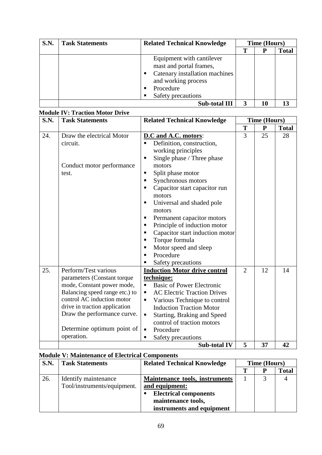| S.N. | <b>Task Statements</b> | <b>Related Technical Knowledge</b>                                                                                                               | <b>Time (Hours)</b> |    |              |
|------|------------------------|--------------------------------------------------------------------------------------------------------------------------------------------------|---------------------|----|--------------|
|      |                        |                                                                                                                                                  | Т                   |    | <b>Total</b> |
|      |                        | Equipment with cantilever<br>mast and portal frames,<br>Catenary installation machines<br>and working process<br>Procedure<br>Safety precautions |                     |    |              |
|      |                        | <b>Sub-total III</b>                                                                                                                             | 3                   | 10 | 13           |

| S.N. | <b>Task Statements</b>         | <b>Related Technical Knowledge</b>      | <b>Time (Hours)</b> |    |              |
|------|--------------------------------|-----------------------------------------|---------------------|----|--------------|
|      |                                |                                         | T                   | P  | <b>Total</b> |
| 24.  | Draw the electrical Motor      | <b>D.C</b> and A.C. motors:             | 3                   | 25 | 28           |
|      | circuit.                       | Definition, construction,               |                     |    |              |
|      |                                | working principles                      |                     |    |              |
|      |                                | Single phase / Three phase              |                     |    |              |
|      | Conduct motor performance      | motors                                  |                     |    |              |
|      | test.                          | Split phase motor                       |                     |    |              |
|      |                                | Synchronous motors<br>п                 |                     |    |              |
|      |                                | Capacitor start capacitor run           |                     |    |              |
|      |                                | motors                                  |                     |    |              |
|      |                                | Universal and shaded pole               |                     |    |              |
|      |                                | motors                                  |                     |    |              |
|      |                                | Permanent capacitor motors              |                     |    |              |
|      |                                | Principle of induction motor            |                     |    |              |
|      |                                | Capacitor start induction motor         |                     |    |              |
|      |                                | Torque formula                          |                     |    |              |
|      |                                | Motor speed and sleep                   |                     |    |              |
|      |                                | Procedure                               |                     |    |              |
|      |                                | Safety precautions                      |                     |    |              |
| 25.  | Perform/Test various           | <b>Induction Motor drive control</b>    | $\overline{2}$      | 12 | 14           |
|      | parameters (Constant torque    | technique:                              |                     |    |              |
|      | mode, Constant power mode,     | <b>Basic of Power Electronic</b><br>Ξ   |                     |    |              |
|      | Balancing speed range etc.) to | <b>AC Electric Traction Drives</b><br>Е |                     |    |              |
|      | control AC induction motor     | Various Technique to control<br>Е       |                     |    |              |
|      | drive in traction application  | <b>Induction Traction Motor</b>         |                     |    |              |
|      | Draw the performance curve.    | Starting, Braking and Speed<br>п        |                     |    |              |
|      |                                | control of traction motors              |                     |    |              |
|      | Determine optimum point of     | Procedure<br>п                          |                     |    |              |
|      | operation.                     | Safety precautions<br>п                 |                     |    |              |
|      |                                | <b>Sub-total IV</b>                     | 5                   | 37 | 42           |

# **Module V: Maintenance of Electrical Components**

| <b>S.N.</b> | <b>Task Statements</b>      | <b>Related Technical Knowledge</b> | <b>Time (Hours)</b> |  |              |
|-------------|-----------------------------|------------------------------------|---------------------|--|--------------|
|             |                             |                                    |                     |  | <b>Total</b> |
| 26.         | Identify maintenance        | Maintenance tools, instruments     |                     |  |              |
|             | Tool/instruments/equipment. | and equipment:                     |                     |  |              |
|             |                             | <b>Electrical components</b>       |                     |  |              |
|             |                             | maintenance tools,                 |                     |  |              |
|             |                             | instruments and equipment          |                     |  |              |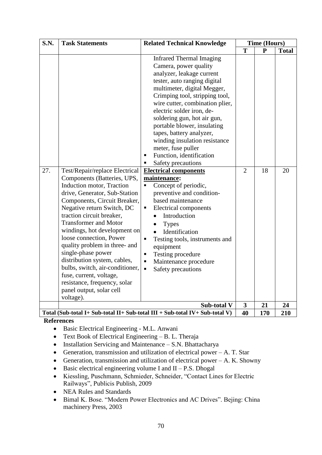| S.N. | <b>Task Statements</b>                                                                                                                                                                                                                                                                                                                                                                                                                                                                                                                          | <b>Related Technical Knowledge</b>                                                                                                                                                                                                                                                                                                                                                                                                                                                                                                                                                                                                                                                                                                                                                                                                                                 |                | <b>Time (Hours)</b> |              |
|------|-------------------------------------------------------------------------------------------------------------------------------------------------------------------------------------------------------------------------------------------------------------------------------------------------------------------------------------------------------------------------------------------------------------------------------------------------------------------------------------------------------------------------------------------------|--------------------------------------------------------------------------------------------------------------------------------------------------------------------------------------------------------------------------------------------------------------------------------------------------------------------------------------------------------------------------------------------------------------------------------------------------------------------------------------------------------------------------------------------------------------------------------------------------------------------------------------------------------------------------------------------------------------------------------------------------------------------------------------------------------------------------------------------------------------------|----------------|---------------------|--------------|
|      |                                                                                                                                                                                                                                                                                                                                                                                                                                                                                                                                                 |                                                                                                                                                                                                                                                                                                                                                                                                                                                                                                                                                                                                                                                                                                                                                                                                                                                                    | T              | ${\bf P}$           | <b>Total</b> |
| 27.  | Test/Repair/replace Electrical<br>Components (Batteries, UPS,<br>Induction motor, Traction<br>drive, Generator, Sub-Station<br>Components, Circuit Breaker,<br>Negative return Switch, DC<br>traction circuit breaker.<br><b>Transformer and Motor</b><br>windings, hot development on<br>loose connection, Power<br>quality problem in three- and<br>single-phase power<br>distribution system, cables,<br>bulbs, switch, air-conditioner,<br>fuse, current, voltage,<br>resistance, frequency, solar<br>panel output, solar cell<br>voltage). | <b>Infrared Thermal Imaging</b><br>Camera, power quality<br>analyzer, leakage current<br>tester, auto ranging digital<br>multimeter, digital Megger,<br>Crimping tool, stripping tool,<br>wire cutter, combination plier,<br>electric solder iron, de-<br>soldering gun, hot air gun,<br>portable blower, insulating<br>tapes, battery analyzer,<br>winding insulation resistance<br>meter, fuse puller<br>Function, identification<br>п<br>Safety precautions<br><b>Electrical components</b><br>maintenance:<br>Concept of periodic,<br>Ξ<br>preventive and condition-<br>based maintenance<br><b>Electrical components</b><br>п<br>Introduction<br>$\bullet$<br><b>Types</b><br>Identification<br>Testing tools, instruments and<br>п<br>equipment<br>Testing procedure<br>п<br>Maintenance procedure<br>$\blacksquare$<br>Safety precautions<br>$\blacksquare$ | $\overline{2}$ | 18                  | 20           |
|      |                                                                                                                                                                                                                                                                                                                                                                                                                                                                                                                                                 | Sub-total V                                                                                                                                                                                                                                                                                                                                                                                                                                                                                                                                                                                                                                                                                                                                                                                                                                                        | 3              | 21                  | 24           |
|      | 1/0, 1, 1, 1, 1, 0, 1, 1<br>$1$ III. $\alpha$ ii                                                                                                                                                                                                                                                                                                                                                                                                                                                                                                | C <sub>1</sub><br>11117.01111111<br>1TT                                                                                                                                                                                                                                                                                                                                                                                                                                                                                                                                                                                                                                                                                                                                                                                                                            | $\overline{A}$ | 150                 | 210          |

**Total (Sub-total I+ Sub-total II+ Sub-total III + Sub-total IV+ Sub-total V)**  $\begin{bmatrix} 40 & 170 & 210 \end{bmatrix}$ **References**

- Basic Electrical Engineering M.L. Anwani
- Text Book of Electrical Engineering B. L. Theraja
- Installation Servicing and Maintenance S.N. Bhattacharya
- Generation, transmission and utilization of electrical power  $A$ . T. Star
- Generation, transmission and utilization of electrical power  $A$ . K. Showny
- Basic electrical engineering volume I and  $II P.S.$  Dhogal
- Kiessling, Puschmann, Schmieder, Schneider, "Contact Lines for Electric Railways", Publicis Publish, 2009
- NEA Rules and Standards
- Bimal K. Bose. "Modern Power Electronics and AC Drives". Bejing: China machinery Press, 2003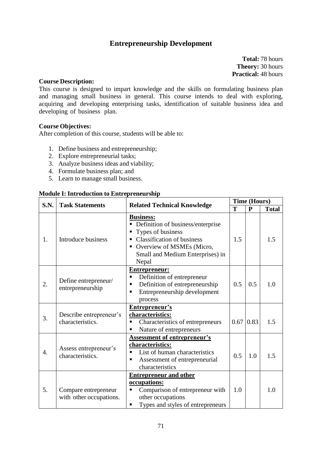# **Entrepreneurship Development**

**Total:** 78 hours **Theory:** 30 hours **Practical:** 48 hours

#### **Course Description:**

This course is designed to impart knowledge and the skills on formulating business plan and managing small business in general. This course intends to deal with exploring, acquiring and developing enterprising tasks, identification of suitable business idea and developing of business plan.

#### **Course Objectives:**

After completion of this course, students will be able to:

- 1. Define business and entrepreneurship;
- 2. Explore entrepreneurial tasks;
- 3. Analyze business ideas and viability;
- 4. Formulate business plan; and
- 5. Learn to manage small business.

#### **Module I: Introduction to Entrepreneurship**

| <b>S.N.</b>      |                                                 |                                                                                                                                                                                                         | <b>Time (Hours)</b> |              |              |
|------------------|-------------------------------------------------|---------------------------------------------------------------------------------------------------------------------------------------------------------------------------------------------------------|---------------------|--------------|--------------|
|                  | <b>Task Statements</b>                          | <b>Related Technical Knowledge</b>                                                                                                                                                                      | T                   | $\mathbf{P}$ | <b>Total</b> |
| 1.               | Introduce business                              | <b>Business:</b><br>• Definition of business/enterprise<br>Types of business<br><b>Classification of business</b><br>1.5<br>Overview of MSMEs (Micro,<br>٠<br>Small and Medium Enterprises) in<br>Nepal |                     |              | 1.5          |
| 2.               | Define entrepreneur/<br>entrepreneurship        | <b>Entrepreneur:</b><br>Definition of entrepreneur<br>Ξ<br>Definition of entrepreneurship<br>▪<br>Entrepreneurship development<br>п<br>process                                                          | 0.5                 | 0.5          | 1.0          |
| 3.               | Describe entrepreneur's<br>characteristics.     | <b>Entrepreneur's</b><br>characteristics:<br>Characteristics of entrepreneurs<br>Nature of entrepreneurs                                                                                                | 0.67                | 0.83         | 1.5          |
| $\overline{4}$ . | Assess entrepreneur's<br>characteristics.       | <b>Assessment of entrepreneur's</b><br>characteristics:<br>List of human characteristics<br>Assessment of entrepreneurial<br>П<br>characteristics                                                       | 0.5                 | 1.0          | 1.5          |
| 5.               | Compare entrepreneur<br>with other occupations. | <b>Entrepreneur and other</b><br>occupations:<br>Comparison of entrepreneur with<br>п<br>other occupations<br>Types and styles of entrepreneurs<br>٠                                                    | 1.0                 |              | 1.0          |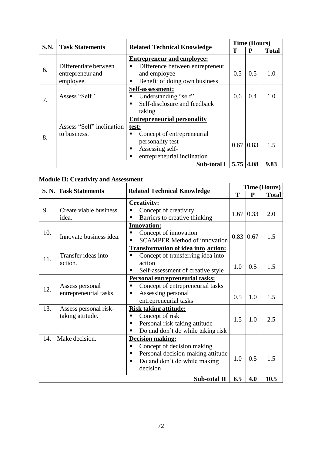| S.N. | <b>Task Statements</b>                                 |                                                                                                                                                      |                  | <b>Time (Hours)</b> |      |  |  |
|------|--------------------------------------------------------|------------------------------------------------------------------------------------------------------------------------------------------------------|------------------|---------------------|------|--|--|
|      |                                                        | <b>Related Technical Knowledge</b>                                                                                                                   | Т                | P<br><b>Total</b>   |      |  |  |
| 6.   | Differentiate between<br>entrepreneur and<br>employee. | <b>Entrepreneur and employee:</b><br>Difference between entrepreneur<br>0.5<br>and employee<br>Benefit of doing own business<br>п                    |                  | 0.5                 | 1.0  |  |  |
| 7.   | Assess "Self."                                         | Self-assessment:<br>Understanding "self"<br>Self-disclosure and feedback<br>taking                                                                   |                  | 0.4                 | 1.0  |  |  |
| 8.   | Assess "Self" inclination<br>to business.              | <b>Entrepreneurial personality</b><br>test:<br>Concept of entrepreneurial<br>personality test<br>Assessing self-<br>▪<br>entrepreneurial inclination |                  | $0.67 \mid 0.83$    | 1.5  |  |  |
|      |                                                        | Sub-total I                                                                                                                                          | $5.75 \,   4.08$ |                     | 9.83 |  |  |

|      | wouunt 11. Createvity and resolssment     |                                                                                                                                                       |      |                     | <b>Time (Hours)</b> |
|------|-------------------------------------------|-------------------------------------------------------------------------------------------------------------------------------------------------------|------|---------------------|---------------------|
| S.N. | <b>Task Statements</b>                    | <b>Related Technical Knowledge</b>                                                                                                                    | T    | ${\bf P}$           | <b>Total</b>        |
| 9.   | Create viable business<br>idea.           | <b>Creativity:</b><br>Concept of creativity<br>Barriers to creative thinking<br>٠                                                                     | 1.67 | 0.33                | 2.0                 |
| 10.  | Innovate business idea.                   | <b>Innovation:</b><br>Concept of innovation<br><b>SCAMPER Method of innovation</b>                                                                    |      | $0.83 \,   \, 0.67$ | 1.5                 |
| 11.  | Transfer ideas into<br>action.            | <b>Transformation of idea into action:</b><br>Concept of transferring idea into<br>П<br>action<br>Self-assessment of creative style<br>п              | 1.0  | 0.5                 | 1.5                 |
| 12.  | Assess personal<br>entrepreneurial tasks. | Personal entrepreneurial tasks:<br>Concept of entrepreneurial tasks<br>п<br>Assessing personal<br>п<br>entrepreneurial tasks                          | 0.5  | 1.0                 | 1.5                 |
| 13.  | Assess personal risk-<br>taking attitude. | <b>Risk taking attitude:</b><br>Concept of risk<br>Personal risk-taking attitude<br>п<br>Do and don't do while taking risk<br>٠                       | 1.5  | 1.0                 | 2.5                 |
| 14.  | Make decision.                            | <b>Decision making:</b><br>Concept of decision making<br>٠<br>Personal decision-making attitude<br>п<br>Do and don't do while making<br>п<br>decision | 1.0  | 0.5                 | 1.5                 |
|      |                                           | Sub-total II                                                                                                                                          | 6.5  | 4.0                 | 10.5                |

## **Module II: Creativity and Assessment**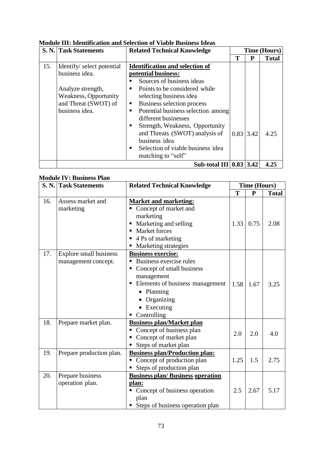|     | S. N. Task Statements     | <b>Related Technical Knowledge</b>     | <b>Time (Hours)</b> |   |              |
|-----|---------------------------|----------------------------------------|---------------------|---|--------------|
|     |                           |                                        | T                   | P | <b>Total</b> |
| 15. | Identify/select potential | <b>Identification and selection of</b> |                     |   |              |
|     | business idea.            | potential business:                    |                     |   |              |
|     |                           | Sources of business ideas<br>▪         |                     |   |              |
|     | Analyze strength,         | Points to be considered while<br>٠     |                     |   |              |
|     | Weakness, Opportunity     | selecting business idea                |                     |   |              |
|     | and Threat (SWOT) of      | Business selection process             |                     |   |              |
|     | business idea.            | Potential business selection among     |                     |   |              |
|     |                           | different businesses                   |                     |   |              |
|     |                           | Strength, Weakness, Opportunity        |                     |   |              |
|     |                           | and Threats (SWOT) analysis of         | $0.83$ 3.42         |   | 4.25         |
|     |                           | business idea                          |                     |   |              |
|     |                           | Selection of viable business idea      |                     |   |              |
|     |                           | matching to "self"                     |                     |   |              |
|     |                           | Sub-total III $ 0.83 3.42 $            |                     |   | 4.25         |

# **Module III: Identification and Selection of Viable Business Ideas**

# **Module IV: Business Plan**

|     | S. N. Task Statements                         | <b>Related Technical Knowledge</b>                                                                                                                                                                 | <b>Time (Hours)</b> |           |              |
|-----|-----------------------------------------------|----------------------------------------------------------------------------------------------------------------------------------------------------------------------------------------------------|---------------------|-----------|--------------|
|     |                                               |                                                                                                                                                                                                    | T                   | ${\bf P}$ | <b>Total</b> |
| 16. | Assess market and<br>marketing                | <b>Market and marketing:</b><br>Concept of market and<br>marketing<br>Marketing and selling<br>Market forces<br>п<br>4 Ps of marketing<br>Marketing strategies                                     | 1.33                | 0.75      | 2.08         |
| 17. | Explore small business<br>management concept. | <b>Business exercise:</b><br>Business exercise rules<br>Concept of small business<br>management<br>Elements of business management<br>1.58<br>• Planning<br>Organizing<br>Executing<br>Controlling |                     | 1.67      | 3.25         |
| 18. | Prepare market plan.                          | <b>Business plan/Market plan</b><br>Concept of business plan<br>Concept of market plan<br>Steps of market plan                                                                                     | 2.0                 | 2.0       | 4.0          |
| 19. | Prepare production plan.                      | <b>Business plan/Production plan:</b><br>Concept of production plan<br>Steps of production plan                                                                                                    | 1.25                | 1.5       | 2.75         |
| 20. | Prepare business<br>operation plan.           | <b>Business plan/ Business operation</b><br>plan:<br>Concept of business operation<br>plan<br>Steps of business operation plan                                                                     | 2.5                 | 2.67      | 5.17         |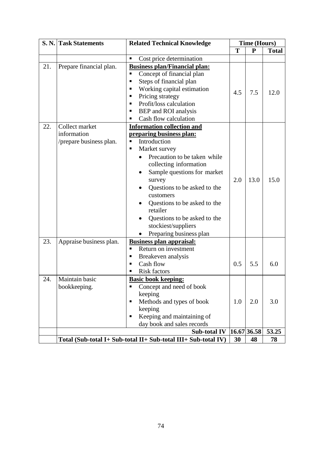|     | S. N. Task Statements                                    | <b>Related Technical Knowledge</b>                                                                                                                                                                                                                                                                                                                                                                  | <b>Time (Hours)</b> |             |              |
|-----|----------------------------------------------------------|-----------------------------------------------------------------------------------------------------------------------------------------------------------------------------------------------------------------------------------------------------------------------------------------------------------------------------------------------------------------------------------------------------|---------------------|-------------|--------------|
|     |                                                          |                                                                                                                                                                                                                                                                                                                                                                                                     | T                   | ${\bf P}$   | <b>Total</b> |
|     |                                                          | Cost price determination                                                                                                                                                                                                                                                                                                                                                                            |                     |             |              |
| 21. | Prepare financial plan.                                  | <b>Business plan/Financial plan:</b><br>Concept of financial plan<br>Steps of financial plan<br>Working capital estimation<br>Pricing strategy<br>٠<br>Profit/loss calculation<br>п<br>BEP and ROI analysis<br>٠<br>Cash flow calculation                                                                                                                                                           | 4.5                 | 7.5         | 12.0         |
| 22. | Collect market<br>information<br>/prepare business plan. | <b>Information collection and</b><br>preparing business plan:<br>Introduction<br>$\blacksquare$<br>Market survey<br>Е<br>Precaution to be taken while<br>collecting information<br>Sample questions for market<br>survey<br>Questions to be asked to the<br>customers<br>Questions to be asked to the<br>retailer<br>Questions to be asked to the<br>stockiest/suppliers<br>Preparing business plan | 2.0                 | 13.0        | 15.0         |
| 23. | Appraise business plan.                                  | <b>Business plan appraisal:</b><br>Return on investment<br>Breakeven analysis<br>Cash flow<br>п<br><b>Risk factors</b>                                                                                                                                                                                                                                                                              | 0.5                 | 5.5         | 6.0          |
| 24. | Maintain basic<br>bookkeeping.                           | <b>Basic book keeping:</b><br>Concept and need of book<br>п<br>keeping<br>Methods and types of book<br>keeping<br>Keeping and maintaining of<br>day book and sales records                                                                                                                                                                                                                          | 1.0                 | 2.0         | 3.0          |
|     |                                                          | <b>Sub-total IV</b>                                                                                                                                                                                                                                                                                                                                                                                 |                     | 16.67 36.58 | 53.25        |
|     |                                                          | Total (Sub-total I+ Sub-total II+ Sub-total III+ Sub-total IV)                                                                                                                                                                                                                                                                                                                                      | 30                  | 48          | 78           |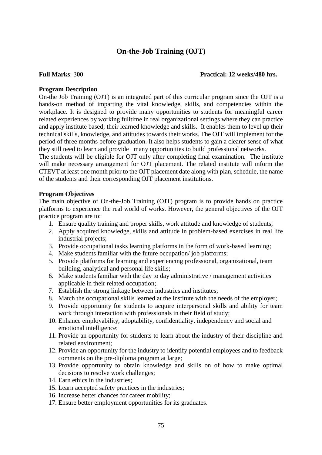# **On-the-Job Training (OJT)**

#### **Full Marks**: 3**00 Practical: 12 weeks/480 hrs.**

#### **Program Description**

On-the Job Training (OJT) is an integrated part of this curricular program since the OJT is a hands-on method of imparting the vital knowledge, skills, and competencies within the workplace. It is designed to provide many opportunities to students for meaningful career related experiences by working fulltime in real organizational settings where they can practice and apply institute based; their learned knowledge and skills. It enables them to level up their technical skills, knowledge, and attitudes towards their works. The OJT will implement for the period of three months before graduation. It also helps students to gain a clearer sense of what they still need to learn and provide many opportunities to build professional networks.

The students will be eligible for OJT only after completing final examination. The institute will make necessary arrangement for OJT placement. The related institute will inform the CTEVT at least one month prior to the OJT placement date along with plan, schedule, the name of the students and their corresponding OJT placement institutions.

## **Program Objectives**

The main objective of On-the-Job Training (OJT) program is to provide hands on practice platforms to experience the real world of works. However, the general objectives of the OJT practice program are to:

- 1. Ensure quality training and proper skills, work attitude and knowledge of students;
- 2. Apply acquired knowledge, skills and attitude in problem-based exercises in real life industrial projects;
- 3. Provide occupational tasks learning platforms in the form of work-based learning;
- 4. Make students familiar with the future occupation/ job platforms;
- 5. Provide platforms for learning and experiencing professional, organizational, team building, analytical and personal life skills;
- 6. Make students familiar with the day to day administrative / management activities applicable in their related occupation;
- 7. Establish the strong linkage between industries and institutes;
- 8. Match the occupational skills learned at the institute with the needs of the employer;
- 9. Provide opportunity for students to acquire interpersonal skills and ability for team work through interaction with professionals in their field of study;
- 10. Enhance employability, adoptability, confidentiality, independency and social and emotional intelligence;
- 11. Provide an opportunity for students to learn about the industry of their discipline and related environment;
- 12. Provide an opportunity for the industry to identify potential employees and to feedback comments on the pre-diploma program at large;
- 13. Provide opportunity to obtain knowledge and skills on of how to make optimal decisions to resolve work challenges;
- 14. Earn ethics in the industries;
- 15. Learn accepted safety practices in the industries;
- 16. Increase better chances for career mobility;
- 17. Ensure better employment opportunities for its graduates.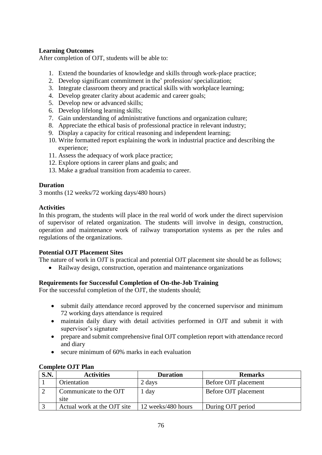# **Learning Outcomes**

After completion of OJT, students will be able to:

- 1. Extend the boundaries of knowledge and skills through work-place practice;
- 2. Develop significant commitment in the' profession/ specialization;
- 3. Integrate classroom theory and practical skills with workplace learning;
- 4. Develop greater clarity about academic and career goals;
- 5. Develop new or advanced skills;
- 6. Develop lifelong learning skills;
- 7. Gain understanding of administrative functions and organization culture;
- 8. Appreciate the ethical basis of professional practice in relevant industry;
- 9. Display a capacity for critical reasoning and independent learning;
- 10. Write formatted report explaining the work in industrial practice and describing the experience;
- 11. Assess the adequacy of work place practice;
- 12. Explore options in career plans and goals; and
- 13. Make a gradual transition from academia to career.

## **Duration**

3 months (12 weeks/72 working days/480 hours)

## **Activities**

In this program, the students will place in the real world of work under the direct supervision of supervisor of related organization. The students will involve in design, construction, operation and maintenance work of railway transportation systems as per the rules and regulations of the organizations.

# **Potential OJT Placement Sites**

The nature of work in OJT is practical and potential OJT placement site should be as follows;

• Railway design, construction, operation and maintenance organizations

# **Requirements for Successful Completion of On-the-Job Training**

For the successful completion of the OJT, the students should;

- submit daily attendance record approved by the concerned supervisor and minimum 72 working days attendance is required
- maintain daily diary with detail activities performed in OJT and submit it with supervisor's signature
- prepare and submit comprehensive final OJT completion report with attendance record and diary
- secure minimum of 60% marks in each evaluation

| S.N. | <b>Activities</b>              | <b>Duration</b>    | <b>Remarks</b>       |
|------|--------------------------------|--------------------|----------------------|
|      | Orientation                    | 2 days             | Before OJT placement |
|      | Communicate to the OJT<br>site | 1 day              | Before OJT placement |
|      | Actual work at the OJT site    | 12 weeks/480 hours | During OJT period    |

## **Complete OJT Plan**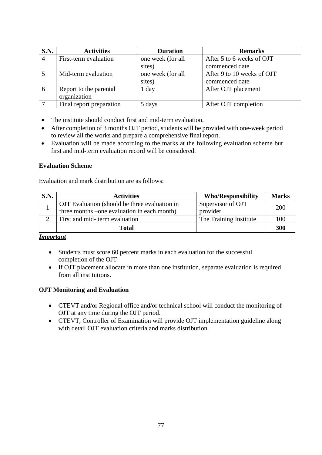| <b>S.N.</b>    | <b>Activities</b>        | <b>Duration</b>   | <b>Remarks</b>             |
|----------------|--------------------------|-------------------|----------------------------|
| $\overline{4}$ | First-term evaluation    | one week (for all | After 5 to 6 weeks of OJT  |
|                |                          | sites)            | commenced date             |
|                | Mid-term evaluation      | one week (for all | After 9 to 10 weeks of OJT |
|                |                          | sites)            | commenced date             |
| 6              | Report to the parental   | $1$ day           | After OJT placement        |
|                | organization             |                   |                            |
|                | Final report preparation | 5 days            | After OJT completion       |

- The institute should conduct first and mid-term evaluation.
- After completion of 3 months OJT period, students will be provided with one-week period to review all the works and prepare a comprehensive final report.
- Evaluation will be made according to the marks at the following evaluation scheme but first and mid-term evaluation record will be considered.

# **Evaluation Scheme**

Evaluation and mark distribution are as follows:

| S.N. | <b>Activities</b>                             | <b>Who/Responsibility</b> | <b>Marks</b> |
|------|-----------------------------------------------|---------------------------|--------------|
|      | OJT Evaluation (should be three evaluation in | Supervisor of OJT         | 200          |
|      | three months –one evaluation in each month)   | provider                  |              |
|      | First and mid-term evaluation                 | The Training Institute    | 100          |
|      | Total                                         |                           | 300          |

## *Important*

- Students must score 60 percent marks in each evaluation for the successful completion of the OJT
- If OJT placement allocate in more than one institution, separate evaluation is required from all institutions.

## **OJT Monitoring and Evaluation**

- CTEVT and/or Regional office and/or technical school will conduct the monitoring of OJT at any time during the OJT period.
- CTEVT, Controller of Examination will provide OJT implementation guideline along with detail OJT evaluation criteria and marks distribution